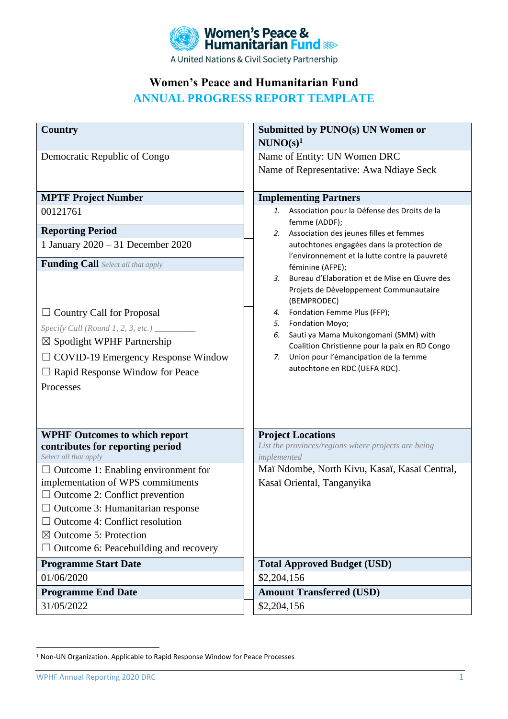

**Women's Peace and Humanitarian Fund** 

**ANNUAL PROGRESS REPORT TEMPLATE**

| <b>Country</b>                                                             | Submitted by PUNO(s) UN Women or                                    |
|----------------------------------------------------------------------------|---------------------------------------------------------------------|
|                                                                            | $NUNO(s)^1$                                                         |
| Democratic Republic of Congo                                               | Name of Entity: UN Women DRC                                        |
|                                                                            | Name of Representative: Awa Ndiaye Seck                             |
|                                                                            |                                                                     |
| <b>MPTF Project Number</b>                                                 | <b>Implementing Partners</b>                                        |
| 00121761                                                                   | Association pour la Défense des Droits de la<br>1.<br>femme (ADDF); |
| <b>Reporting Period</b>                                                    | 2. Association des jeunes filles et femmes                          |
| 1 January 2020 - 31 December 2020                                          | autochtones engagées dans la protection de                          |
| <b>Funding Call</b> Select all that apply                                  | l'environnement et la lutte contre la pauvreté<br>féminine (AFPE);  |
|                                                                            | Bureau d'Elaboration et de Mise en Œuvre des<br>3.                  |
|                                                                            | Projets de Développement Communautaire                              |
|                                                                            | (BEMPRODEC)                                                         |
| $\Box$ Country Call for Proposal                                           | 4. Fondation Femme Plus (FFP);<br>Fondation Moyo;<br>5.             |
| Specify Call (Round 1, 2, 3, etc.) ___________                             | Sauti ya Mama Mukongomani (SMM) with<br>6.                          |
| $\boxtimes$ Spotlight WPHF Partnership                                     | Coalition Christienne pour la paix en RD Congo                      |
| $\Box$ COVID-19 Emergency Response Window                                  | Union pour l'émancipation de la femme<br>7.                         |
| □ Rapid Response Window for Peace                                          | autochtone en RDC (UEFA RDC).                                       |
| Processes                                                                  |                                                                     |
|                                                                            |                                                                     |
|                                                                            |                                                                     |
| <b>WPHF Outcomes to which report</b>                                       | <b>Project Locations</b>                                            |
| contributes for reporting period                                           | List the provinces/regions where projects are being                 |
| Select all that apply                                                      | implemented                                                         |
| $\Box$ Outcome 1: Enabling environment for                                 | Maï Ndombe, North Kivu, Kasaï, Kasaï Central,                       |
| implementation of WPS commitments<br>$\Box$ Outcome 2: Conflict prevention | Kasaï Oriental, Tanganyika                                          |
| Outcome 3: Humanitarian response                                           |                                                                     |
| $\Box$ Outcome 4: Conflict resolution                                      |                                                                     |
| $\boxtimes$ Outcome 5: Protection                                          |                                                                     |
| $\Box$ Outcome 6: Peacebuilding and recovery                               |                                                                     |
| <b>Programme Start Date</b>                                                | <b>Total Approved Budget (USD)</b>                                  |
| 01/06/2020                                                                 | \$2,204,156                                                         |
| <b>Programme End Date</b>                                                  | <b>Amount Transferred (USD)</b>                                     |
| 31/05/2022                                                                 | \$2,204,156                                                         |

<sup>1</sup> Non-UN Organization. Applicable to Rapid Response Window for Peace Processes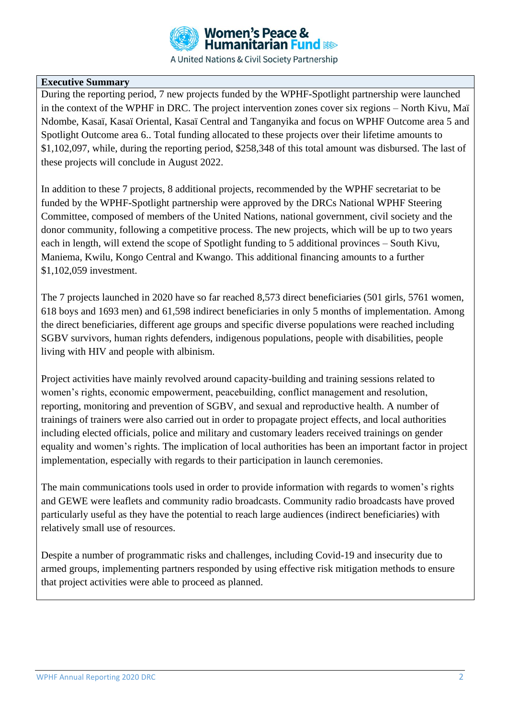

# **Executive Summary**

During the reporting period, 7 new projects funded by the WPHF-Spotlight partnership were launched in the context of the WPHF in DRC. The project intervention zones cover six regions – North Kivu, Maï Ndombe, Kasaï, Kasaï Oriental, Kasaï Central and Tanganyika and focus on WPHF Outcome area 5 and Spotlight Outcome area 6.. Total funding allocated to these projects over their lifetime amounts to \$1,102,097, while, during the reporting period, \$258,348 of this total amount was disbursed. The last of these projects will conclude in August 2022.

In addition to these 7 projects, 8 additional projects, recommended by the WPHF secretariat to be funded by the WPHF-Spotlight partnership were approved by the DRCs National WPHF Steering Committee, composed of members of the United Nations, national government, civil society and the donor community, following a competitive process. The new projects, which will be up to two years each in length, will extend the scope of Spotlight funding to 5 additional provinces – South Kivu, Maniema, Kwilu, Kongo Central and Kwango. This additional financing amounts to a further \$1,102,059 investment.

The 7 projects launched in 2020 have so far reached 8,573 direct beneficiaries (501 girls, 5761 women, 618 boys and 1693 men) and 61,598 indirect beneficiaries in only 5 months of implementation. Among the direct beneficiaries, different age groups and specific diverse populations were reached including SGBV survivors, human rights defenders, indigenous populations, people with disabilities, people living with HIV and people with albinism.

Project activities have mainly revolved around capacity-building and training sessions related to women's rights, economic empowerment, peacebuilding, conflict management and resolution, reporting, monitoring and prevention of SGBV, and sexual and reproductive health. A number of trainings of trainers were also carried out in order to propagate project effects, and local authorities including elected officials, police and military and customary leaders received trainings on gender equality and women's rights. The implication of local authorities has been an important factor in project implementation, especially with regards to their participation in launch ceremonies.

The main communications tools used in order to provide information with regards to women's rights and GEWE were leaflets and community radio broadcasts. Community radio broadcasts have proved particularly useful as they have the potential to reach large audiences (indirect beneficiaries) with relatively small use of resources.

Despite a number of programmatic risks and challenges, including Covid-19 and insecurity due to armed groups, implementing partners responded by using effective risk mitigation methods to ensure that project activities were able to proceed as planned.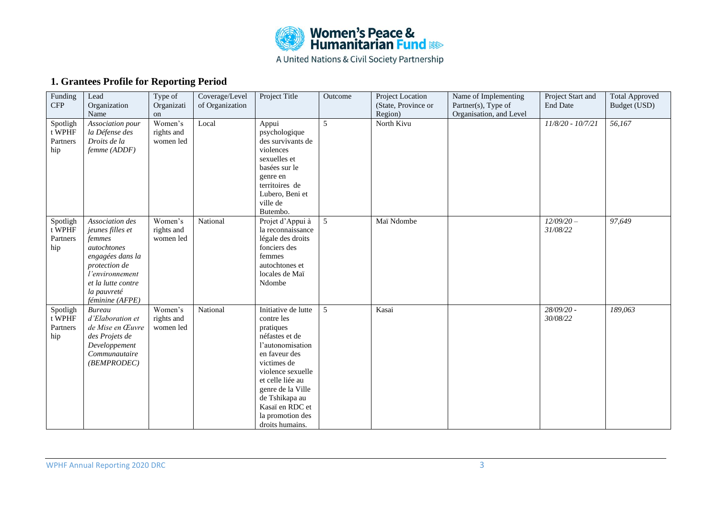

# **1. Grantees Profile for Reporting Period**

| Funding<br><b>CFP</b>                   | Lead<br>Organization                                                                                                                                                         | Type of<br>Organizati              | Coverage/Level<br>of Organization | Project Title                                                                                                                                                                                                                                                  | Outcome | Project Location<br>(State, Province or | Name of Implementing<br>Partner(s), Type of | Project Start and<br><b>End Date</b> | <b>Total Approved</b><br>Budget (USD) |
|-----------------------------------------|------------------------------------------------------------------------------------------------------------------------------------------------------------------------------|------------------------------------|-----------------------------------|----------------------------------------------------------------------------------------------------------------------------------------------------------------------------------------------------------------------------------------------------------------|---------|-----------------------------------------|---------------------------------------------|--------------------------------------|---------------------------------------|
|                                         | Name                                                                                                                                                                         | on                                 |                                   |                                                                                                                                                                                                                                                                |         | Region)                                 | Organisation, and Level                     |                                      |                                       |
| Spotligh<br>$t$ WPHF<br>Partners<br>hip | Association pour<br>la Défense des<br>Droits de la<br>femme (ADDF)                                                                                                           | Women's<br>rights and<br>women led | Local                             | Appui<br>psychologique<br>des survivants de<br>violences<br>sexuelles et<br>basées sur le<br>genre en<br>territoires de<br>Lubero, Beni et<br>ville de<br>Butembo.                                                                                             | 5       | North Kivu                              |                                             | 11/8/20 - 10/7/21                    | 56,167                                |
| Spotligh<br>t WPHF<br>Partners<br>hip   | Association des<br>jeunes filles et<br>femmes<br>autochtones<br>engagées dans la<br>protection de<br>l'environnement<br>et la lutte contre<br>la pauvreté<br>féminine (AFPE) | Women's<br>rights and<br>women led | National                          | Projet d'Appui à<br>la reconnaissance<br>légale des droits<br>fonciers des<br>femmes<br>autochtones et<br>locales de Maï<br>Ndombe                                                                                                                             | 5       | Maï Ndombe                              |                                             | $12/09/20 -$<br>31/08/22             | 97,649                                |
| Spotligh<br>t WPHF<br>Partners<br>hip   | <b>Bureau</b><br>d'Elaboration et<br>de Mise en Œuvre<br>des Projets de<br>Developpement<br>Communautaire<br>(BEMPRODEC)                                                     | Women's<br>rights and<br>women led | National                          | Initiative de lutte<br>contre les<br>pratiques<br>néfastes et de<br>l'autonomisation<br>en faveur des<br>victimes de<br>violence sexuelle<br>et celle liée au<br>genre de la Ville<br>de Tshikapa au<br>Kasaï en RDC et<br>la promotion des<br>droits humains. | 5       | Kasai                                   |                                             | 28/09/20 -<br>30/08/22               | 189,063                               |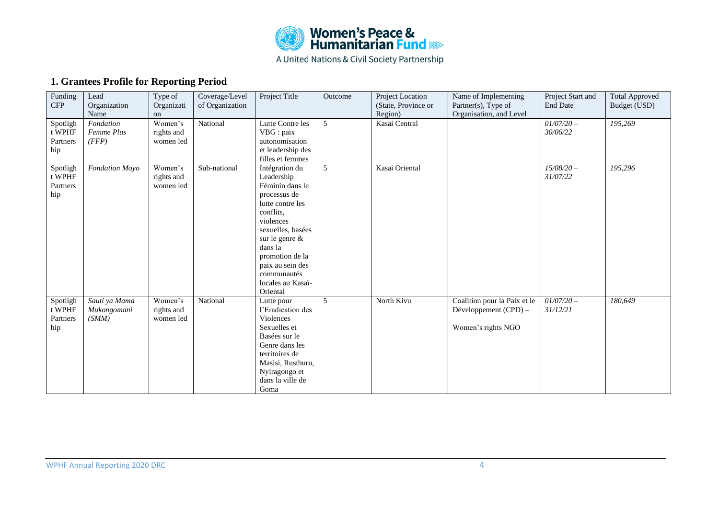

# **1. Grantees Profile for Reporting Period**

| Funding<br><b>CFP</b> | Lead<br>Organization | Type of<br>Organizati | Coverage/Level<br>of Organization | Project Title     | Outcome | Project Location<br>(State, Province or | Name of Implementing<br>Partner(s), Type of | Project Start and<br><b>End Date</b> | <b>Total Approved</b><br>Budget (USD) |
|-----------------------|----------------------|-----------------------|-----------------------------------|-------------------|---------|-----------------------------------------|---------------------------------------------|--------------------------------------|---------------------------------------|
|                       | Name                 | on                    |                                   |                   |         | Region)                                 | Organisation, and Level                     |                                      |                                       |
| Spotligh              | Fondation            | Women's               | National                          | Lutte Contre les  | 5       | Kasai Central                           |                                             | $01/07/20 -$                         | $\overline{195,269}$                  |
| t WPHF                | Femme Plus           | rights and            |                                   | VBG : paix        |         |                                         |                                             | 30/06/22                             |                                       |
| Partners              | (FFP)                | women led             |                                   | autonomisation    |         |                                         |                                             |                                      |                                       |
| hip                   |                      |                       |                                   | et leadership des |         |                                         |                                             |                                      |                                       |
|                       |                      |                       |                                   | filles et femmes  |         |                                         |                                             |                                      |                                       |
| Spotligh              | Fondation Moyo       | Women's               | Sub-national                      | Intégration du    | 5       | Kasai Oriental                          |                                             | $15/08/20 -$                         | 195,296                               |
| t WPHF                |                      | rights and            |                                   | Leadership        |         |                                         |                                             | 31/07/22                             |                                       |
| Partners              |                      | women led             |                                   | Féminin dans le   |         |                                         |                                             |                                      |                                       |
| hip                   |                      |                       |                                   | processus de      |         |                                         |                                             |                                      |                                       |
|                       |                      |                       |                                   | lutte contre les  |         |                                         |                                             |                                      |                                       |
|                       |                      |                       |                                   | conflits,         |         |                                         |                                             |                                      |                                       |
|                       |                      |                       |                                   | violences         |         |                                         |                                             |                                      |                                       |
|                       |                      |                       |                                   | sexuelles, basées |         |                                         |                                             |                                      |                                       |
|                       |                      |                       |                                   | sur le genre $\&$ |         |                                         |                                             |                                      |                                       |
|                       |                      |                       |                                   | dans la           |         |                                         |                                             |                                      |                                       |
|                       |                      |                       |                                   | promotion de la   |         |                                         |                                             |                                      |                                       |
|                       |                      |                       |                                   | paix au sein des  |         |                                         |                                             |                                      |                                       |
|                       |                      |                       |                                   | communautés       |         |                                         |                                             |                                      |                                       |
|                       |                      |                       |                                   | locales au Kasaï- |         |                                         |                                             |                                      |                                       |
|                       |                      |                       |                                   | Oriental          |         |                                         |                                             |                                      |                                       |
| Spotligh              | Sauti ya Mama        | Women's               | National                          | Lutte pour        | 5       | North Kivu                              | Coalition pour la Paix et le                | $01/07/20 -$                         | 180,649                               |
| t WPHF                | Mukongomani          | rights and            |                                   | l'Eradication des |         |                                         | Développement (CPD) -                       | 31/12/21                             |                                       |
| Partners              | (SMM)                | women led             |                                   | Violences         |         |                                         |                                             |                                      |                                       |
| hip                   |                      |                       |                                   | Sexuelles et      |         |                                         | Women's rights NGO                          |                                      |                                       |
|                       |                      |                       |                                   | Basées sur le     |         |                                         |                                             |                                      |                                       |
|                       |                      |                       |                                   | Genre dans les    |         |                                         |                                             |                                      |                                       |
|                       |                      |                       |                                   | territoires de    |         |                                         |                                             |                                      |                                       |
|                       |                      |                       |                                   | Masisi, Rusthuru, |         |                                         |                                             |                                      |                                       |
|                       |                      |                       |                                   | Nyiragongo et     |         |                                         |                                             |                                      |                                       |
|                       |                      |                       |                                   | dans la ville de  |         |                                         |                                             |                                      |                                       |
|                       |                      |                       |                                   | Goma              |         |                                         |                                             |                                      |                                       |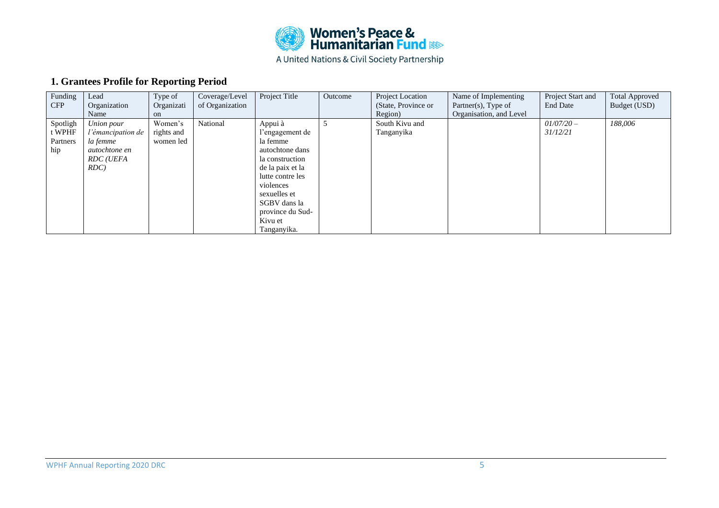

# **1. Grantees Profile for Reporting Period**

| Funding<br><b>CFP</b> | Lead<br>Organization | Type of<br>Organizati | Coverage/Level<br>of Organization | Project Title    | Outcome | Project Location<br>(State, Province or) | Name of Implementing<br>Partner $(s)$ , Type of | Project Start and<br><b>End Date</b> | <b>Total Approved</b><br>Budget (USD) |
|-----------------------|----------------------|-----------------------|-----------------------------------|------------------|---------|------------------------------------------|-------------------------------------------------|--------------------------------------|---------------------------------------|
|                       | Name                 | on                    |                                   |                  |         | Region)                                  | Organisation, and Level                         |                                      |                                       |
| Spotligh              | Union pour           | Women's               | National                          | Appui à          |         | South Kivu and                           |                                                 | $01/07/20 -$                         | 188,006                               |
| t WPHF                | l'émancipation de    | rights and            |                                   | l'engagement de  |         | Tanganyika                               |                                                 | 31/12/21                             |                                       |
| Partners              | la femme             | women led             |                                   | la femme         |         |                                          |                                                 |                                      |                                       |
| hip                   | autochtone en        |                       |                                   | autochtone dans  |         |                                          |                                                 |                                      |                                       |
|                       | <b>RDC</b> (UEFA     |                       |                                   | la construction  |         |                                          |                                                 |                                      |                                       |
|                       | $RDC$ )              |                       |                                   | de la paix et la |         |                                          |                                                 |                                      |                                       |
|                       |                      |                       |                                   | lutte contre les |         |                                          |                                                 |                                      |                                       |
|                       |                      |                       |                                   | violences        |         |                                          |                                                 |                                      |                                       |
|                       |                      |                       |                                   | sexuelles et     |         |                                          |                                                 |                                      |                                       |
|                       |                      |                       |                                   | SGBV dans la     |         |                                          |                                                 |                                      |                                       |
|                       |                      |                       |                                   | province du Sud- |         |                                          |                                                 |                                      |                                       |
|                       |                      |                       |                                   | Kivu et          |         |                                          |                                                 |                                      |                                       |
|                       |                      |                       |                                   | Tanganyika.      |         |                                          |                                                 |                                      |                                       |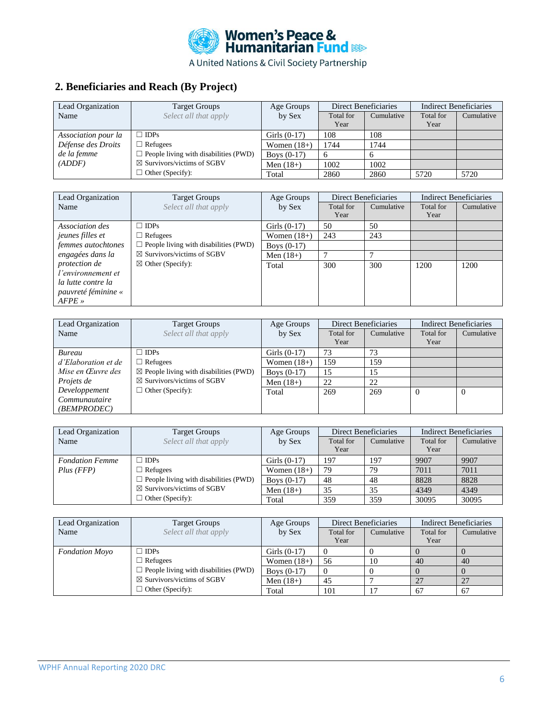

# **2. Beneficiaries and Reach (By Project)**

| Lead Organization   | <b>Target Groups</b>                         | Age Groups     | Direct Beneficiaries |            | <b>Indirect Beneficiaries</b> |            |
|---------------------|----------------------------------------------|----------------|----------------------|------------|-------------------------------|------------|
| Name                | Select all that apply                        | by Sex         | Total for            | Cumulative | Total for                     | Cumulative |
|                     |                                              |                | Year                 |            | Year                          |            |
| Association pour la | $\Box$ IDPs                                  | Girls $(0-17)$ | 108                  | 108        |                               |            |
| Défense des Droits  | $\Box$ Refugees                              | Women $(18+)$  | 1744                 | 1744       |                               |            |
| de la femme         | $\Box$ People living with disabilities (PWD) | Boys $(0-17)$  |                      |            |                               |            |
| (ADDF)              | $\boxtimes$ Survivors/victims of SGBV        | Men $(18+)$    | 1002                 | 1002       |                               |            |
|                     | $\Box$ Other (Specify):                      | Total          | 2860                 | 2860       | 5720                          | 5720       |

| Lead Organization       | <b>Target Groups</b>                         | Age Groups     |           | <b>Direct Beneficiaries</b> | <b>Indirect Beneficiaries</b> |            |
|-------------------------|----------------------------------------------|----------------|-----------|-----------------------------|-------------------------------|------------|
| Name                    | Select all that apply                        | by Sex         | Total for | Cumulative                  | Total for                     | Cumulative |
|                         |                                              |                | Year      |                             | Year                          |            |
| Association des         | $\Box$ IDPs                                  | Girls $(0-17)$ | 50        | 50                          |                               |            |
| <i>jeunes filles et</i> | $\Box$ Refugees                              | Women $(18+)$  | 243       | 243                         |                               |            |
| femmes autochtones      | $\Box$ People living with disabilities (PWD) | Boys $(0-17)$  |           |                             |                               |            |
| engagées dans la        | $\boxtimes$ Survivors/victims of SGBV        | Men $(18+)$    |           |                             |                               |            |
| <i>protection de</i>    | $\boxtimes$ Other (Specify):                 | Total          | 300       | 300                         | 1200                          | 1200       |
| l'environnement et      |                                              |                |           |                             |                               |            |
| la lutte contre la      |                                              |                |           |                             |                               |            |
| pauvreté féminine «     |                                              |                |           |                             |                               |            |
| $AFPE \times$           |                                              |                |           |                             |                               |            |

| Lead Organization   | <b>Target Groups</b>                              | Age Groups     | Direct Beneficiaries | <b>Indirect Beneficiaries</b> |           |            |
|---------------------|---------------------------------------------------|----------------|----------------------|-------------------------------|-----------|------------|
| Name                | Select all that apply                             | by Sex         | Total for            | Cumulative                    | Total for | Cumulative |
|                     |                                                   |                | Year                 |                               | Year      |            |
| <b>Bureau</b>       | $\Box$ IDPs                                       | Girls $(0-17)$ | 73                   | 73                            |           |            |
| d'Elaboration et de | $\Box$ Refugees                                   | Women $(18+)$  | 159                  | 159                           |           |            |
| Mise en Œuvre des   | $\boxtimes$ People living with disabilities (PWD) | Boys $(0-17)$  | 15                   | 15                            |           |            |
| Projets de          | $\boxtimes$ Survivors/victims of SGBV             | Men $(18+)$    | 22                   | 22                            |           |            |
| Developpement       | $\Box$ Other (Specify):                           | Total          | 269                  | 269                           | 0         | 0          |
| Communautaire       |                                                   |                |                      |                               |           |            |
| (BEMPRODEC)         |                                                   |                |                      |                               |           |            |

| Lead Organization      | <b>Target Groups</b>                         | Age Groups     |           | Direct Beneficiaries |           | Indirect Beneficiaries |  |
|------------------------|----------------------------------------------|----------------|-----------|----------------------|-----------|------------------------|--|
| Name                   | Select all that apply                        | by Sex         | Total for | Cumulative           | Total for | Cumulative             |  |
|                        |                                              |                | Year      |                      | Year      |                        |  |
| <b>Fondation Femme</b> | $\Box$ IDPs                                  | Girls $(0-17)$ | 197       | 197                  | 9907      | 9907                   |  |
| Plus (FFF)             | $\Box$ Refugees                              | Women $(18+)$  | 79        | 79                   | 7011      | 7011                   |  |
|                        | $\Box$ People living with disabilities (PWD) | Boys $(0-17)$  | 48        | 48                   | 8828      | 8828                   |  |
|                        | $\boxtimes$ Survivors/victims of SGBV        |                | 35        | 35                   | 4349      | 4349                   |  |
|                        | $\Box$ Other (Specify):                      | Total          | 359       | 359                  | 30095     | 30095                  |  |

| Lead Organization     | <b>Target Groups</b>                         | Age Groups    | Direct Beneficiaries |            |           | Indirect Beneficiaries |
|-----------------------|----------------------------------------------|---------------|----------------------|------------|-----------|------------------------|
| Name                  | Select all that apply                        | by Sex        | Total for            | Cumulative | Total for | Cumulative             |
|                       |                                              |               | Year                 |            | Year      |                        |
| <b>Fondation Moyo</b> | $\Box$ IDPs                                  |               |                      |            |           |                        |
|                       | $\Box$ Refugees                              | Women $(18+)$ | 56                   | 10         | 40        | 40                     |
|                       | $\Box$ People living with disabilities (PWD) | Boys $(0-17)$ |                      |            |           |                        |
|                       | $\boxtimes$ Survivors/victims of SGBV        | Men $(18+)$   | 45                   |            | 27        | 27                     |
|                       | $\Box$ Other (Specify):                      | Total         | 101                  |            | -67       | -67                    |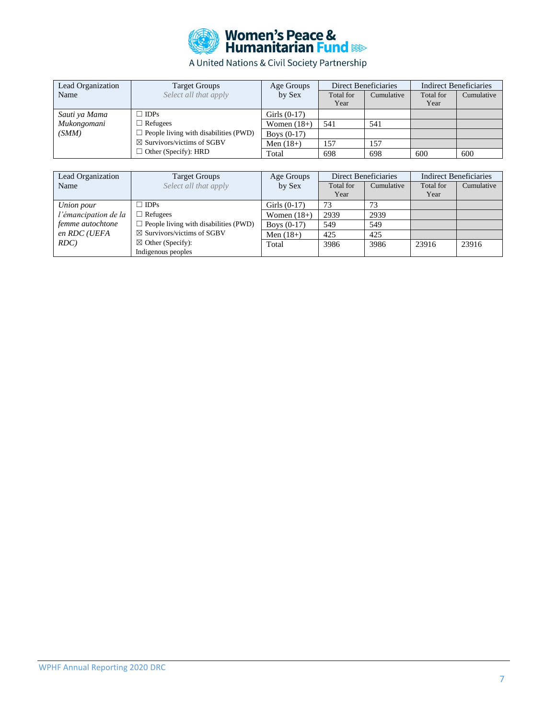

| Lead Organization           | <b>Target Groups</b>                         | Age Groups     | Direct Beneficiaries |            |           | <b>Indirect Beneficiaries</b> |  |
|-----------------------------|----------------------------------------------|----------------|----------------------|------------|-----------|-------------------------------|--|
| Name                        | Select all that apply                        | by Sex         | Total for            | Cumulative | Total for | Cumulative                    |  |
|                             |                                              |                | Year                 |            | Year      |                               |  |
| Sauti ya Mama               | $\Box$ IDPs                                  | Girls $(0-17)$ |                      |            |           |                               |  |
| Mukongomani                 | $\Box$ Refugees                              | Women $(18+)$  | 541                  | 541        |           |                               |  |
| (SMM)                       | $\Box$ People living with disabilities (PWD) | Boys $(0-17)$  |                      |            |           |                               |  |
|                             | $\boxtimes$ Survivors/victims of SGBV        | Men $(18+)$    | 157                  | 157        |           |                               |  |
| $\Box$ Other (Specify): HRD |                                              | Total          | 698                  | 698        | 600       | 600                           |  |

| Lead Organization    | <b>Target Groups</b>                         | Age Groups     | Direct Beneficiaries |            | <b>Indirect Beneficiaries</b> |            |
|----------------------|----------------------------------------------|----------------|----------------------|------------|-------------------------------|------------|
| Name                 | Select all that apply                        | by Sex         | Total for<br>Year    | Cumulative | Total for<br>Year             | Cumulative |
| Union pour           | $\Box$ IDPs                                  | Girls $(0-17)$ | 73                   | 73         |                               |            |
| l'émancipation de la | $\Box$ Refugees                              | Women $(18+)$  | 2939                 | 2939       |                               |            |
| femme autochtone     | $\Box$ People living with disabilities (PWD) | Boys $(0-17)$  | 549                  | 549        |                               |            |
| en RDC (UEFA         | $\boxtimes$ Survivors/victims of SGBV        | Men $(18+)$    | 425                  | 425        |                               |            |
| RDC)                 | $\boxtimes$ Other (Specify):                 | Total          | 3986                 | 3986       | 23916                         | 23916      |
|                      | Indigenous peoples                           |                |                      |            |                               |            |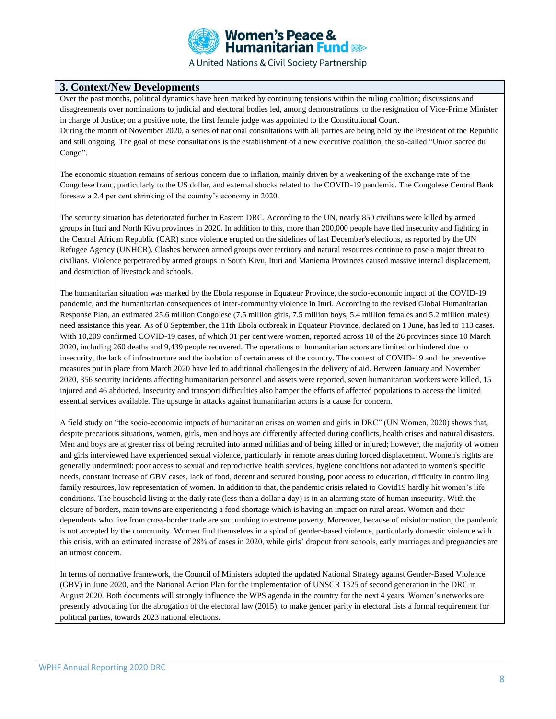

### **3. Context/New Developments**

Over the past months, political dynamics have been marked by continuing tensions within the ruling coalition; discussions and disagreements over nominations to judicial and electoral bodies led, among demonstrations, to the resignation of Vice-Prime Minister in charge of Justice; on a positive note, the first female judge was appointed to the Constitutional Court. During the month of November 2020, a series of national consultations with all parties are being held by the President of the Republic and still ongoing. The goal of these consultations is the establishment of a new executive coalition, the so-called "Union sacrée du Congo".

The economic situation remains of serious concern due to inflation, mainly driven by a weakening of the exchange rate of the Congolese franc, particularly to the US dollar, and external shocks related to the COVID-19 pandemic. The Congolese Central Bank foresaw a 2.4 per cent shrinking of the country's economy in 2020.

The security situation has deteriorated further in Eastern DRC. According to the UN, nearly 850 civilians were killed by armed groups in Ituri and North Kivu provinces in 2020. In addition to this, more than 200,000 people have fled insecurity and fighting in the Central African Republic (CAR) since violence erupted on the sidelines of last December's elections, as reported by the UN Refugee Agency (UNHCR). Clashes between armed groups over territory and natural resources continue to pose a major threat to civilians. Violence perpetrated by armed groups in South Kivu, Ituri and Maniema Provinces caused massive internal displacement, and destruction of livestock and schools.

The humanitarian situation was marked by the Ebola response in Equateur Province, the socio-economic impact of the COVID-19 pandemic, and the humanitarian consequences of inter-community violence in Ituri. According to the revised Global Humanitarian Response Plan, an estimated 25.6 million Congolese (7.5 million girls, 7.5 million boys, 5.4 million females and 5.2 million males) need assistance this year. As of 8 September, the 11th Ebola outbreak in Equateur Province, declared on 1 June, has led to 113 cases. With 10,209 confirmed COVID-19 cases, of which 31 per cent were women, reported across 18 of the 26 provinces since 10 March 2020, including 260 deaths and 9,439 people recovered. The operations of humanitarian actors are limited or hindered due to insecurity, the lack of infrastructure and the isolation of certain areas of the country. The context of COVID-19 and the preventive measures put in place from March 2020 have led to additional challenges in the delivery of aid. Between January and November 2020, 356 security incidents affecting humanitarian personnel and assets were reported, seven humanitarian workers were killed, 15 injured and 46 abducted. Insecurity and transport difficulties also hamper the efforts of affected populations to access the limited essential services available. The upsurge in attacks against humanitarian actors is a cause for concern.

A field study on "the socio-economic impacts of humanitarian crises on women and girls in DRC" (UN Women, 2020) shows that, despite precarious situations, women, girls, men and boys are differently affected during conflicts, health crises and natural disasters. Men and boys are at greater risk of being recruited into armed militias and of being killed or injured; however, the majority of women and girls interviewed have experienced sexual violence, particularly in remote areas during forced displacement. Women's rights are generally undermined: poor access to sexual and reproductive health services, hygiene conditions not adapted to women's specific needs, constant increase of GBV cases, lack of food, decent and secured housing, poor access to education, difficulty in controlling family resources, low representation of women. In addition to that, the pandemic crisis related to Covid19 hardly hit women's life conditions. The household living at the daily rate (less than a dollar a day) is in an alarming state of human insecurity. With the closure of borders, main towns are experiencing a food shortage which is having an impact on rural areas. Women and their dependents who live from cross-border trade are succumbing to extreme poverty. Moreover, because of misinformation, the pandemic is not accepted by the community. Women find themselves in a spiral of gender-based violence, particularly domestic violence with this crisis, with an estimated increase of 28% of cases in 2020, while girls' dropout from schools, early marriages and pregnancies are an utmost concern.

In terms of normative framework, the Council of Ministers adopted the updated National Strategy against Gender-Based Violence (GBV) in June 2020, and the National Action Plan for the implementation of UNSCR 1325 of second generation in the DRC in August 2020. Both documents will strongly influence the WPS agenda in the country for the next 4 years. Women's networks are presently advocating for the abrogation of the electoral law (2015), to make gender parity in electoral lists a formal requirement for political parties, towards 2023 national elections.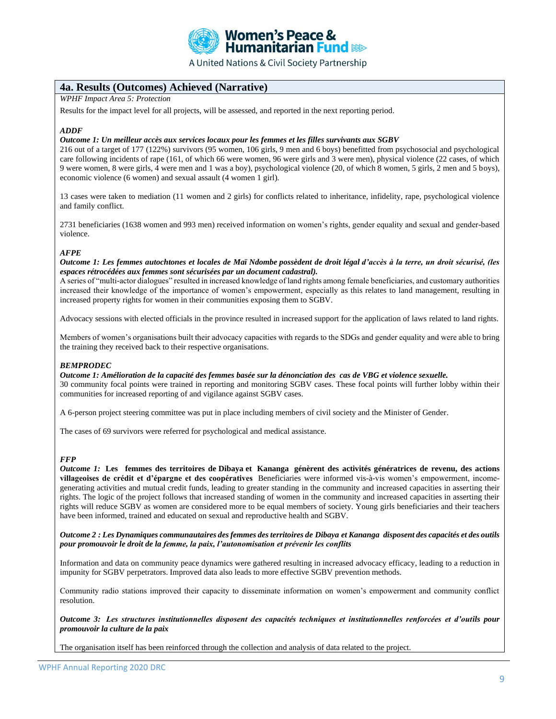

## **4a. Results (Outcomes) Achieved (Narrative)**

*WPHF Impact Area 5: Protection* 

Results for the impact level for all projects, will be assessed, and reported in the next reporting period.

#### *ADDF*

#### *Outcome 1: Un meilleur accès aux services locaux pour les femmes et les filles survivants aux SGBV*

216 out of a target of 177 (122%) survivors (95 women, 106 girls, 9 men and 6 boys) benefitted from psychosocial and psychological care following incidents of rape (161, of which 66 were women, 96 were girls and 3 were men), physical violence (22 cases, of which 9 were women, 8 were girls, 4 were men and 1 was a boy), psychological violence (20, of which 8 women, 5 girls, 2 men and 5 boys), economic violence (6 women) and sexual assault (4 women 1 girl).

13 cases were taken to mediation (11 women and 2 girls) for conflicts related to inheritance, infidelity, rape, psychological violence and family conflict.

2731 beneficiaries (1638 women and 993 men) received information on women's rights, gender equality and sexual and gender-based violence.

#### *AFPE*

*Outcome 1: Les femmes autochtones et locales de Maï Ndombe possèdent de droit légal d'accès à la terre, un droit sécurisé, (les espaces rétrocédées aux femmes sont sécurisées par un document cadastral).*

A series of "multi-actor dialogues" resulted in increased knowledge of land rights among female beneficiaries, and customary authorities increased their knowledge of the importance of women's empowerment, especially as this relates to land management, resulting in increased property rights for women in their communities exposing them to SGBV.

Advocacy sessions with elected officials in the province resulted in increased support for the application of laws related to land rights.

Members of women's organisations built their advocacy capacities with regards to the SDGs and gender equality and were able to bring the training they received back to their respective organisations.

#### *BEMPRODEC*

*Outcome 1: Amélioration de la capacité des femmes basée sur la dénonciation des cas de VBG et violence sexuelle.* 30 community focal points were trained in reporting and monitoring SGBV cases. These focal points will further lobby within their communities for increased reporting of and vigilance against SGBV cases.

A 6-person project steering committee was put in place including members of civil society and the Minister of Gender.

The cases of 69 survivors were referred for psychological and medical assistance.

#### *FFP*

*Outcome 1:* **Les femmes des territoires de Dibaya et Kananga génèrent des activités génératrices de revenu, des actions villageoises de crédit et d'épargne et des coopératives** Beneficiaries were informed vis-à-vis women's empowerment, incomegenerating activities and mutual credit funds, leading to greater standing in the community and increased capacities in asserting their rights. The logic of the project follows that increased standing of women in the community and increased capacities in asserting their rights will reduce SGBV as women are considered more to be equal members of society. Young girls beneficiaries and their teachers have been informed, trained and educated on sexual and reproductive health and SGBV.

*Outcome 2 : Les Dynamiques communautaires des femmes des territoires de Dibaya et Kananga disposent des capacités et des outils pour promouvoir le droit de la femme, la paix, l'autonomisation et prévenir les conflits*

Information and data on community peace dynamics were gathered resulting in increased advocacy efficacy, leading to a reduction in impunity for SGBV perpetrators. Improved data also leads to more effective SGBV prevention methods.

Community radio stations improved their capacity to disseminate information on women's empowerment and community conflict resolution.

*Outcome 3: Les structures institutionnelles disposent des capacités techniques et institutionnelles renforcées et d'outils pour promouvoir la culture de la paix*

The organisation itself has been reinforced through the collection and analysis of data related to the project.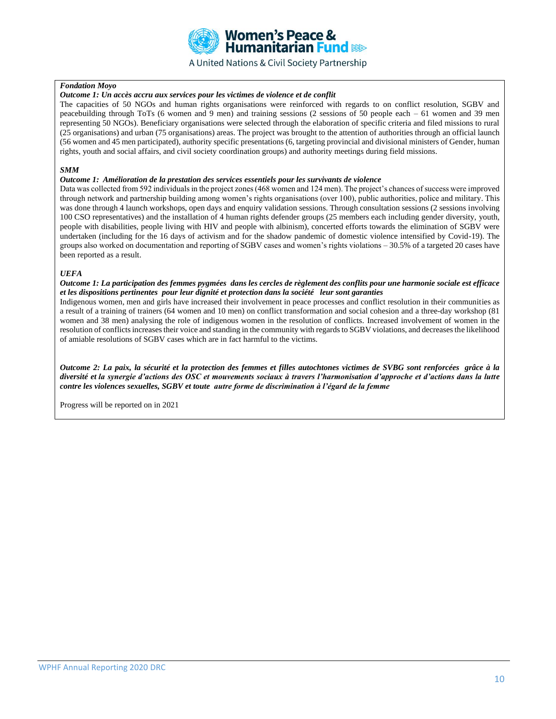

#### *Fondation Moyo*

#### *Outcome 1: Un accès accru aux services pour les victimes de violence et de conflit*

The capacities of 50 NGOs and human rights organisations were reinforced with regards to on conflict resolution, SGBV and peacebuilding through ToTs (6 women and 9 men) and training sessions (2 sessions of 50 people each – 61 women and 39 men representing 50 NGOs). Beneficiary organisations were selected through the elaboration of specific criteria and filed missions to rural (25 organisations) and urban (75 organisations) areas. The project was brought to the attention of authorities through an official launch (56 women and 45 men participated), authority specific presentations (6, targeting provincial and divisional ministers of Gender, human rights, youth and social affairs, and civil society coordination groups) and authority meetings during field missions.

#### *SMM*

#### *Outcome 1: Amélioration de la prestation des services essentiels pour les survivants de violence*

Data was collected from 592 individuals in the project zones (468 women and 124 men). The project's chances of success were improved through network and partnership building among women's rights organisations (over 100), public authorities, police and military. This was done through 4 launch workshops, open days and enquiry validation sessions. Through consultation sessions (2 sessions involving 100 CSO representatives) and the installation of 4 human rights defender groups (25 members each including gender diversity, youth, people with disabilities, people living with HIV and people with albinism), concerted efforts towards the elimination of SGBV were undertaken (including for the 16 days of activism and for the shadow pandemic of domestic violence intensified by Covid-19). The groups also worked on documentation and reporting of SGBV cases and women's rights violations – 30.5% of a targeted 20 cases have been reported as a result.

#### *UEFA*

#### *Outcome 1: La participation des femmes pygmées dans les cercles de règlement des conflits pour une harmonie sociale est efficace et les dispositions pertinentes pour leur dignité et protection dans la société leur sont garanties*

Indigenous women, men and girls have increased their involvement in peace processes and conflict resolution in their communities as a result of a training of trainers (64 women and 10 men) on conflict transformation and social cohesion and a three-day workshop (81 women and 38 men) analysing the role of indigenous women in the resolution of conflicts. Increased involvement of women in the resolution of conflicts increases their voice and standing in the community with regards to SGBV violations, and decreases the likelihood of amiable resolutions of SGBV cases which are in fact harmful to the victims.

*Outcome 2: La paix, la sécurité et la protection des femmes et filles autochtones victimes de SVBG sont renforcées grâce à la diversité et la synergie d'actions des OSC et mouvements sociaux à travers l'harmonisation d'approche et d'actions dans la lutte contre les violences sexuelles, SGBV et toute autre forme de discrimination à l'égard de la femme* 

Progress will be reported on in 2021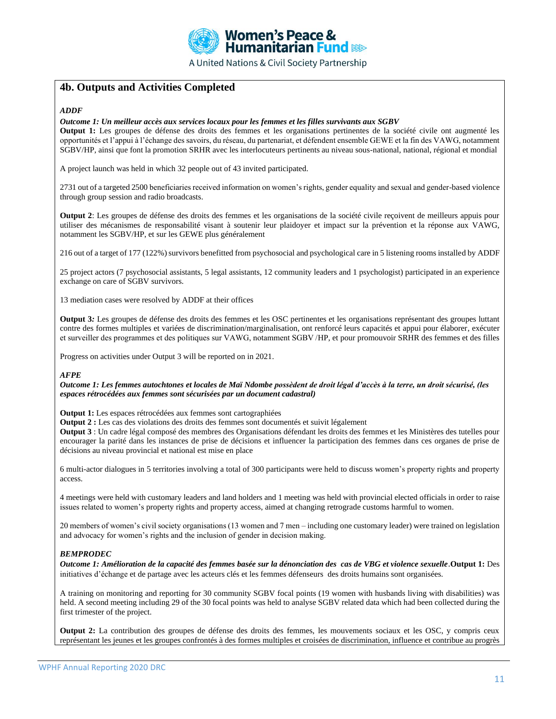

# **4b. Outputs and Activities Completed**

#### *ADDF*

#### *Outcome 1: Un meilleur accès aux services locaux pour les femmes et les filles survivants aux SGBV*

**Output 1:** Les groupes de défense des droits des femmes et les organisations pertinentes de la société civile ont augmenté les opportunités et l'appui à l'échange des savoirs, du réseau, du partenariat, et défendent ensemble GEWE et la fin des VAWG, notamment SGBV/HP, ainsi que font la promotion SRHR avec les interlocuteurs pertinents au niveau sous-national, national, régional et mondial

A project launch was held in which 32 people out of 43 invited participated.

2731 out of a targeted 2500 beneficiaries received information on women's rights, gender equality and sexual and gender-based violence through group session and radio broadcasts.

**Output 2**: Les groupes de défense des droits des femmes et les organisations de la société civile reçoivent de meilleurs appuis pour utiliser des mécanismes de responsabilité visant à soutenir leur plaidoyer et impact sur la prévention et la réponse aux VAWG, notamment les SGBV/HP, et sur les GEWE plus généralement

216 out of a target of 177 (122%) survivors benefitted from psychosocial and psychological care in 5 listening rooms installed by ADDF

25 project actors (7 psychosocial assistants, 5 legal assistants, 12 community leaders and 1 psychologist) participated in an experience exchange on care of SGBV survivors.

13 mediation cases were resolved by ADDF at their offices

**Output 3***:* Les groupes de défense des droits des femmes et les OSC pertinentes et les organisations représentant des groupes luttant contre des formes multiples et variées de discrimination/marginalisation, ont renforcé leurs capacités et appui pour élaborer, exécuter et surveiller des programmes et des politiques sur VAWG, notamment SGBV /HP, et pour promouvoir SRHR des femmes et des filles

Progress on activities under Output 3 will be reported on in 2021.

#### *AFPE*

*Outcome 1: Les femmes autochtones et locales de Maï Ndombe possèdent de droit légal d'accès à la terre, un droit sécurisé, (les espaces rétrocédées aux femmes sont sécurisées par un document cadastral)*

**Output 1:** Les espaces rétrocédées aux femmes sont cartographiées

**Output 2 :** Les cas des violations des droits des femmes sont documentés et suivit légalement

**Output 3** : Un cadre légal composé des membres des Organisations défendant les droits des femmes et les Ministères des tutelles pour encourager la parité dans les instances de prise de décisions et influencer la participation des femmes dans ces organes de prise de décisions au niveau provincial et national est mise en place

6 multi-actor dialogues in 5 territories involving a total of 300 participants were held to discuss women's property rights and property access.

4 meetings were held with customary leaders and land holders and 1 meeting was held with provincial elected officials in order to raise issues related to women's property rights and property access, aimed at changing retrograde customs harmful to women.

20 members of women's civil society organisations (13 women and 7 men – including one customary leader) were trained on legislation and advocacy for women's rights and the inclusion of gender in decision making.

#### *BEMPRODEC*

*Outcome 1: Amélioration de la capacité des femmes basée sur la dénonciation des cas de VBG et violence sexuelle*.**Output 1:** Des initiatives d'échange et de partage avec les acteurs clés et les femmes défenseurs des droits humains sont organisées.

A training on monitoring and reporting for 30 community SGBV focal points (19 women with husbands living with disabilities) was held. A second meeting including 29 of the 30 focal points was held to analyse SGBV related data which had been collected during the first trimester of the project.

**Output 2:** La contribution des groupes de défense des droits des femmes, les mouvements sociaux et les OSC, y compris ceux représentant les jeunes et les groupes confrontés à des formes multiples et croisées de discrimination, influence et contribue au progrès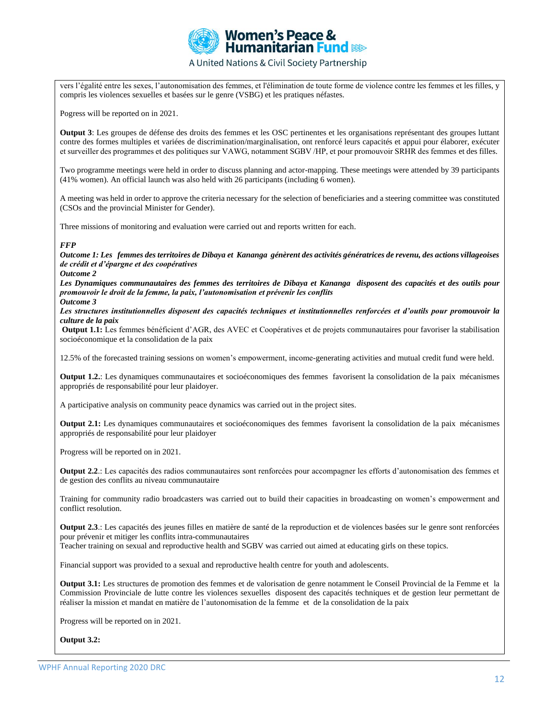

vers l'égalité entre les sexes, l'autonomisation des femmes, et l'élimination de toute forme de violence contre les femmes et les filles, y compris les violences sexuelles et basées sur le genre (VSBG) et les pratiques néfastes.

Pogress will be reported on in 2021.

**Output 3**: Les groupes de défense des droits des femmes et les OSC pertinentes et les organisations représentant des groupes luttant contre des formes multiples et variées de discrimination/marginalisation, ont renforcé leurs capacités et appui pour élaborer, exécuter et surveiller des programmes et des politiques sur VAWG, notamment SGBV /HP, et pour promouvoir SRHR des femmes et des filles.

Two programme meetings were held in order to discuss planning and actor-mapping. These meetings were attended by 39 participants (41% women). An official launch was also held with 26 participants (including 6 women).

A meeting was held in order to approve the criteria necessary for the selection of beneficiaries and a steering committee was constituted (CSOs and the provincial Minister for Gender).

Three missions of monitoring and evaluation were carried out and reports written for each.

#### *FFP*

*Outcome 1: Les femmes des territoires de Dibaya et Kananga génèrent des activités génératrices de revenu, des actions villageoises de crédit et d'épargne et des coopératives*

#### *Outcome 2*

*Les Dynamiques communautaires des femmes des territoires de Dibaya et Kananga disposent des capacités et des outils pour promouvoir le droit de la femme, la paix, l'autonomisation et prévenir les conflits Outcome 3*

*Les structures institutionnelles disposent des capacités techniques et institutionnelles renforcées et d'outils pour promouvoir la culture de la paix*

**Output 1.1:** Les femmes bénéficient d'AGR, des AVEC et Coopératives et de projets communautaires pour favoriser la stabilisation socioéconomique et la consolidation de la paix

12.5% of the forecasted training sessions on women's empowerment, income-generating activities and mutual credit fund were held.

**Output 1.2.**: Les dynamiques communautaires et socioéconomiques des femmes favorisent la consolidation de la paix mécanismes appropriés de responsabilité pour leur plaidoyer.

A participative analysis on community peace dynamics was carried out in the project sites.

**Output 2.1:** Les dynamiques communautaires et socioéconomiques des femmes favorisent la consolidation de la paix mécanismes appropriés de responsabilité pour leur plaidoyer

Progress will be reported on in 2021.

**Output 2.2**.: Les capacités des radios communautaires sont renforcées pour accompagner les efforts d'autonomisation des femmes et de gestion des conflits au niveau communautaire

Training for community radio broadcasters was carried out to build their capacities in broadcasting on women's empowerment and conflict resolution.

**Output 2.3**.: Les capacités des jeunes filles en matière de santé de la reproduction et de violences basées sur le genre sont renforcées pour prévenir et mitiger les conflits intra-communautaires

Teacher training on sexual and reproductive health and SGBV was carried out aimed at educating girls on these topics.

Financial support was provided to a sexual and reproductive health centre for youth and adolescents.

**Output 3.1:** Les structures de promotion des femmes et de valorisation de genre notamment le Conseil Provincial de la Femme et la Commission Provinciale de lutte contre les violences sexuelles disposent des capacités techniques et de gestion leur permettant de réaliser la mission et mandat en matière de l'autonomisation de la femme et de la consolidation de la paix

Progress will be reported on in 2021.

#### **Output 3.2:**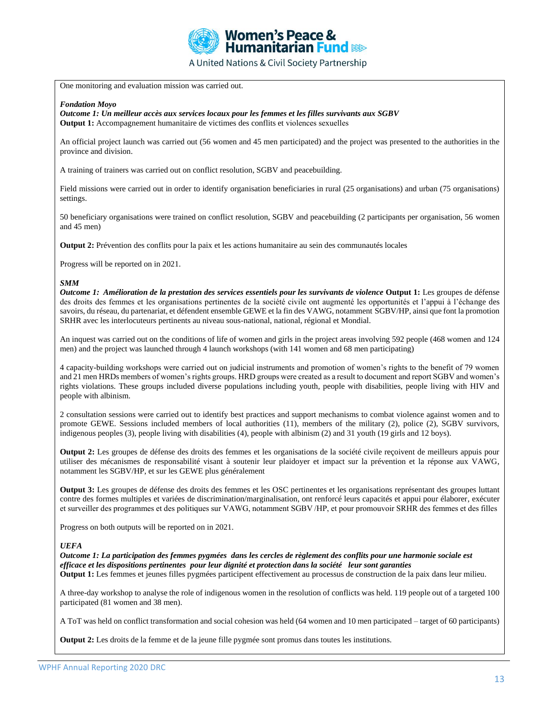

One monitoring and evaluation mission was carried out.

#### *Fondation Moyo*

*Outcome 1: Un meilleur accès aux services locaux pour les femmes et les filles survivants aux SGBV* **Output 1:** Accompagnement humanitaire de victimes des conflits et violences sexuelles 

An official project launch was carried out (56 women and 45 men participated) and the project was presented to the authorities in the province and division.

A training of trainers was carried out on conflict resolution, SGBV and peacebuilding.

Field missions were carried out in order to identify organisation beneficiaries in rural (25 organisations) and urban (75 organisations) settings.

50 beneficiary organisations were trained on conflict resolution, SGBV and peacebuilding (2 participants per organisation, 56 women and 45 men)

**Output 2:** Prévention des conflits pour la paix et les actions humanitaire au sein des communautés locales

Progress will be reported on in 2021.

#### *SMM*

*Outcome 1: Amélioration de la prestation des services essentiels pour les survivants de violence* **Output 1:** Les groupes de défense des droits des femmes et les organisations pertinentes de la société civile ont augmenté les opportunités et l'appui à l'échange des savoirs, du réseau, du partenariat, et défendent ensemble GEWE et la fin des VAWG, notamment SGBV/HP, ainsi que font la promotion SRHR avec les interlocuteurs pertinents au niveau sous-national, national, régional et Mondial.

An inquest was carried out on the conditions of life of women and girls in the project areas involving 592 people (468 women and 124 men) and the project was launched through 4 launch workshops (with 141 women and 68 men participating)

4 capacity-building workshops were carried out on judicial instruments and promotion of women's rights to the benefit of 79 women and 21 men HRDs members of women's rights groups. HRD groups were created as a result to document and report SGBV and women's rights violations. These groups included diverse populations including youth, people with disabilities, people living with HIV and people with albinism.

2 consultation sessions were carried out to identify best practices and support mechanisms to combat violence against women and to promote GEWE. Sessions included members of local authorities (11), members of the military (2), police (2), SGBV survivors, indigenous peoples (3), people living with disabilities (4), people with albinism (2) and 31 youth (19 girls and 12 boys).

**Output 2:** Les groupes de défense des droits des femmes et les organisations de la société civile reçoivent de meilleurs appuis pour utiliser des mécanismes de responsabilité visant à soutenir leur plaidoyer et impact sur la prévention et la réponse aux VAWG, notamment les SGBV/HP, et sur les GEWE plus généralement

**Output 3:** Les groupes de défense des droits des femmes et les OSC pertinentes et les organisations représentant des groupes luttant contre des formes multiples et variées de discrimination/marginalisation, ont renforcé leurs capacités et appui pour élaborer, exécuter et surveiller des programmes et des politiques sur VAWG, notamment SGBV /HP, et pour promouvoir SRHR des femmes et des filles

Progress on both outputs will be reported on in 2021.

#### *UEFA*

*Outcome 1: La participation des femmes pygmées dans les cercles de règlement des conflits pour une harmonie sociale est efficace et les dispositions pertinentes pour leur dignité et protection dans la société leur sont garanties*  **Output 1:** Les femmes et jeunes filles pygmées participent effectivement au processus de construction de la paix dans leur milieu.

A three-day workshop to analyse the role of indigenous women in the resolution of conflicts was held. 119 people out of a targeted 100 participated (81 women and 38 men).

A ToT was held on conflict transformation and social cohesion was held (64 women and 10 men participated – target of 60 participants)

**Output 2:** Les droits de la femme et de la jeune fille pygmée sont promus dans toutes les institutions.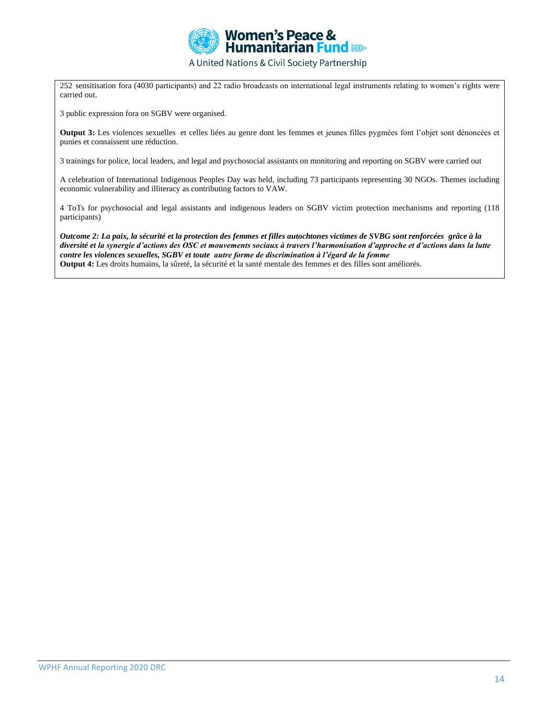

252 sensitisation fora (4030 participants) and 22 radio broadcasts on international legal instruments relating to women's rights were carried out.

3 public expression fora on SGBV were organised.

**Output 3:** Les violences sexuelles et celles liées au genre dont les femmes et jeunes filles pygmées font l'objet sont dénoncées et punies et connaissent une réduction.

3 trainings for police, local leaders, and legal and psychosocial assistants on monitoring and reporting on SGBV were carried out

A celebration of International Indigenous Peoples Day was held, including 73 participants representing 30 NGOs. Themes including economic vulnerability and illiteracy as contributing factors to VAW.

4 ToTs for psychosocial and legal assistants and indigenous leaders on SGBV victim protection mechanisms and reporting (118 participants)

*Outcome 2: La paix, la sécurité et la protection des femmes et filles autochtones victimes de SVBG sont renforcées grâce à la diversité et la synergie d'actions des OSC et mouvements sociaux à travers l'harmonisation d'approche et d'actions dans la lutte contre les violences sexuelles, SGBV et toute autre forme de discrimination à l'égard de la femme*  **Output 4:** Les droits humains, la sûreté, la sécurité et la santé mentale des femmes et des filles sont améliorés.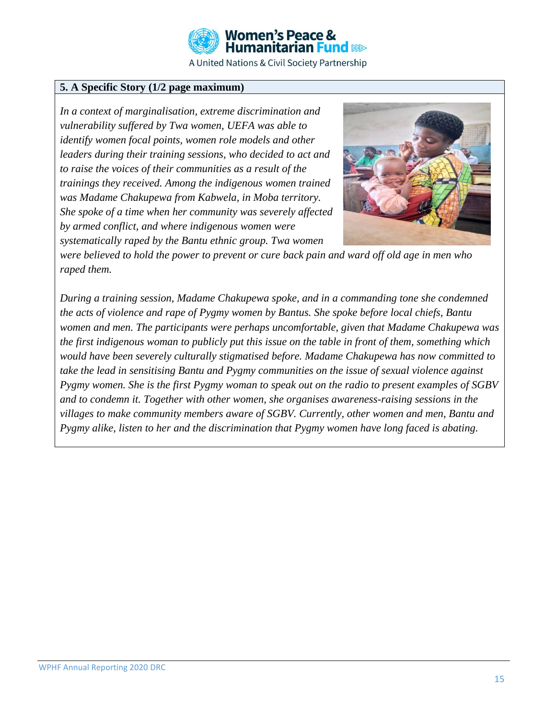

# **5. A Specific Story (1/2 page maximum)**

*In a context of marginalisation, extreme discrimination and vulnerability suffered by Twa women, UEFA was able to identify women focal points, women role models and other leaders during their training sessions, who decided to act and to raise the voices of their communities as a result of the trainings they received. Among the indigenous women trained was Madame Chakupewa from Kabwela, in Moba territory. She spoke of a time when her community was severely affected by armed conflict, and where indigenous women were systematically raped by the Bantu ethnic group. Twa women* 



*were believed to hold the power to prevent or cure back pain and ward off old age in men who raped them.* 

*During a training session, Madame Chakupewa spoke, and in a commanding tone she condemned the acts of violence and rape of Pygmy women by Bantus. She spoke before local chiefs, Bantu women and men. The participants were perhaps uncomfortable, given that Madame Chakupewa was the first indigenous woman to publicly put this issue on the table in front of them, something which would have been severely culturally stigmatised before. Madame Chakupewa has now committed to take the lead in sensitising Bantu and Pygmy communities on the issue of sexual violence against Pygmy women. She is the first Pygmy woman to speak out on the radio to present examples of SGBV and to condemn it. Together with other women, she organises awareness-raising sessions in the villages to make community members aware of SGBV. Currently, other women and men, Bantu and Pygmy alike, listen to her and the discrimination that Pygmy women have long faced is abating.*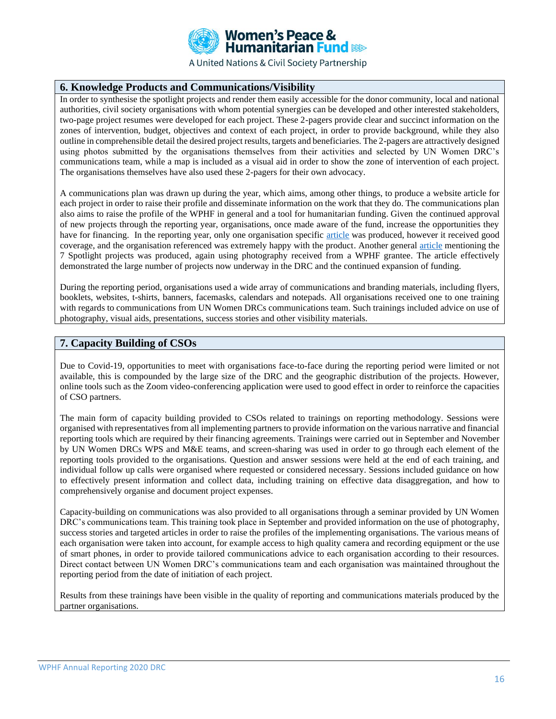

## **6. Knowledge Products and Communications/Visibility**

In order to synthesise the spotlight projects and render them easily accessible for the donor community, local and national authorities, civil society organisations with whom potential synergies can be developed and other interested stakeholders, two-page project resumes were developed for each project. These 2-pagers provide clear and succinct information on the zones of intervention, budget, objectives and context of each project, in order to provide background, while they also outline in comprehensible detail the desired project results, targets and beneficiaries. The 2-pagers are attractively designed using photos submitted by the organisations themselves from their activities and selected by UN Women DRC's communications team, while a map is included as a visual aid in order to show the zone of intervention of each project. The organisations themselves have also used these 2-pagers for their own advocacy.

A communications plan was drawn up during the year, which aims, among other things, to produce a website article for each project in order to raise their profile and disseminate information on the work that they do. The communications plan also aims to raise the profile of the WPHF in general and a tool for humanitarian funding. Given the continued approval of new projects through the reporting year, organisations, once made aware of the fund, increase the opportunities they have for financing. In the reporting year, only one organisation specific [article](https://africa.unwomen.org/en/news-and-events/stories/2021/01/organisation-locale-de-femmes-en-rdc) was produced, however it received good coverage, and the organisation referenced was extremely happy with the product. Another general [article](https://africa.unwomen.org/en/news-and-events/stories/2020/11/congolese-ngos-continue-to-commit-to-the-protection-of-women-and-humanitarian-action) mentioning the 7 Spotlight projects was produced, again using photography received from a WPHF grantee. The article effectively demonstrated the large number of projects now underway in the DRC and the continued expansion of funding.

During the reporting period, organisations used a wide array of communications and branding materials, including flyers, booklets, websites, t-shirts, banners, facemasks, calendars and notepads. All organisations received one to one training with regards to communications from UN Women DRCs communications team. Such trainings included advice on use of photography, visual aids, presentations, success stories and other visibility materials.

## **7. Capacity Building of CSOs**

Due to Covid-19, opportunities to meet with organisations face-to-face during the reporting period were limited or not available, this is compounded by the large size of the DRC and the geographic distribution of the projects. However, online tools such as the Zoom video-conferencing application were used to good effect in order to reinforce the capacities of CSO partners.

The main form of capacity building provided to CSOs related to trainings on reporting methodology. Sessions were organised with representatives from all implementing partners to provide information on the various narrative and financial reporting tools which are required by their financing agreements. Trainings were carried out in September and November by UN Women DRCs WPS and M&E teams, and screen-sharing was used in order to go through each element of the reporting tools provided to the organisations. Question and answer sessions were held at the end of each training, and individual follow up calls were organised where requested or considered necessary. Sessions included guidance on how to effectively present information and collect data, including training on effective data disaggregation, and how to comprehensively organise and document project expenses.

Capacity-building on communications was also provided to all organisations through a seminar provided by UN Women DRC's communications team. This training took place in September and provided information on the use of photography, success stories and targeted articles in order to raise the profiles of the implementing organisations. The various means of each organisation were taken into account, for example access to high quality camera and recording equipment or the use of smart phones, in order to provide tailored communications advice to each organisation according to their resources. Direct contact between UN Women DRC's communications team and each organisation was maintained throughout the reporting period from the date of initiation of each project.

Results from these trainings have been visible in the quality of reporting and communications materials produced by the partner organisations.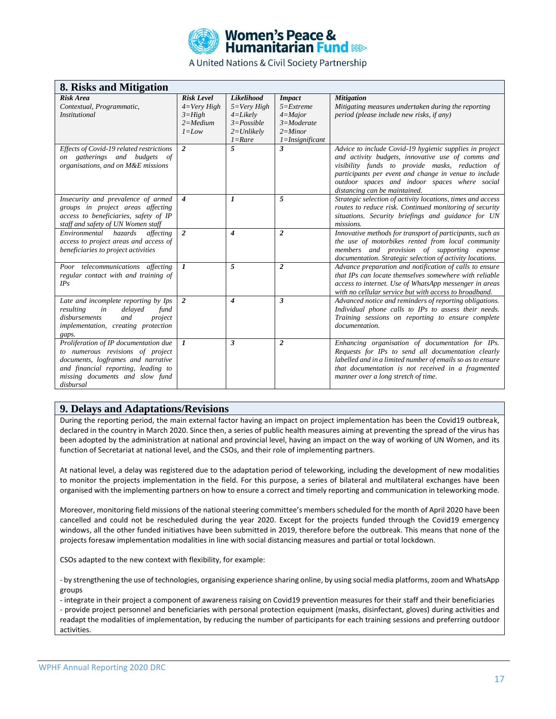

| 8. Risks and Mitigation                   |                           |                  |                            |                                                             |
|-------------------------------------------|---------------------------|------------------|----------------------------|-------------------------------------------------------------|
| Risk Area                                 | <b>Risk Level</b>         | Likelihood       | <b>Impact</b>              | <b>Mitigation</b>                                           |
| Contextual, Programmatic,                 | $4=Verv High$             | $5=Verv High$    | $5 =$ Extreme              | Mitigating measures undertaken during the reporting         |
| <b>Institutional</b>                      | $3=High$                  | $4 = Likely$     | $4 =$ Major                | period (please include new risks, if any)                   |
|                                           | $2 = Medium$              | $3 = Possible$   | $3 =$ Moderate             |                                                             |
|                                           | $1 = Low$                 | $2=Unlikely$     | $2 =$ Minor                |                                                             |
|                                           |                           | $1 =$ Rare       | $1 =$ <i>Insignificant</i> |                                                             |
| Effects of Covid-19 related restrictions  | 2                         | 5                | $\mathbf{3}$               | Advice to include Covid-19 hygienic supplies in project     |
| gatherings and budgets<br>of<br><i>on</i> |                           |                  |                            | and activity budgets, innovative use of comms and           |
| organisations, and on M&E missions        |                           |                  |                            | visibility funds to provide masks, reduction of             |
|                                           |                           |                  |                            | participants per event and change in venue to include       |
|                                           |                           |                  |                            | outdoor spaces and indoor spaces where social               |
|                                           |                           |                  |                            | distancing can be maintained.                               |
| Insecurity and prevalence of armed        | $\boldsymbol{4}$          | $\mathbf{I}$     | 5                          | Strategic selection of activity locations, times and access |
| groups in project areas affecting         |                           |                  |                            | routes to reduce risk. Continued monitoring of security     |
| access to beneficiaries, safety of IP     |                           |                  |                            | situations. Security briefings and guidance for UN          |
| staff and safety of UN Women staff        |                           |                  |                            | missions.                                                   |
| Environmental hazards<br>affecting        | $\overline{2}$            | $\boldsymbol{4}$ | $\overline{2}$             | Innovative methods for transport of participants, such as   |
| access to project areas and access of     |                           |                  |                            | the use of motorbikes rented from local community           |
| beneficiaries to project activities       |                           |                  |                            | members and provision of supporting expense                 |
|                                           |                           |                  |                            | documentation. Strategic selection of activity locations.   |
| Poor telecommunications affecting         | $\boldsymbol{\mathit{1}}$ | 5                | $\overline{2}$             | Advance preparation and notification of calls to ensure     |
| regular contact with and training of      |                           |                  |                            | that IPs can locate themselves somewhere with reliable      |
| IPs                                       |                           |                  |                            | access to internet. Use of WhatsApp messenger in areas      |
|                                           |                           |                  |                            | with no cellular service but with access to broadband.      |
| Late and incomplete reporting by Ips      | $\overline{2}$            | $\boldsymbol{4}$ | 3                          | Advanced notice and reminders of reporting obligations.     |
| resulting<br>in<br>delayed<br>fund        |                           |                  |                            | Individual phone calls to IPs to assess their needs.        |
| disbursements<br>and<br>project           |                           |                  |                            | Training sessions on reporting to ensure complete           |
| implementation, creating protection       |                           |                  |                            | <i>documentation.</i>                                       |
| gaps.                                     |                           |                  |                            |                                                             |
| Proliferation of IP documentation due     | $\mathbf{I}$              | $\mathbf{3}$     | 2                          | Enhancing organisation of documentation for IPs.            |
| to numerous revisions of project          |                           |                  |                            | Requests for IPs to send all documentation clearly          |
| documents, logframes and narrative        |                           |                  |                            | labelled and in a limited number of emails so as to ensure  |
| and financial reporting, leading to       |                           |                  |                            | that documentation is not received in a fragmented          |
| missing documents and slow fund           |                           |                  |                            | manner over a long stretch of time.                         |
| disbursal                                 |                           |                  |                            |                                                             |

### **9. Delays and Adaptations/Revisions**

During the reporting period, the main external factor having an impact on project implementation has been the Covid19 outbreak, declared in the country in March 2020. Since then, a series of public health measures aiming at preventing the spread of the virus has been adopted by the administration at national and provincial level, having an impact on the way of working of UN Women, and its function of Secretariat at national level, and the CSOs, and their role of implementing partners.

At national level, a delay was registered due to the adaptation period of teleworking, including the development of new modalities to monitor the projects implementation in the field. For this purpose, a series of bilateral and multilateral exchanges have been organised with the implementing partners on how to ensure a correct and timely reporting and communication in teleworking mode.

Moreover, monitoring field missions of the national steering committee's members scheduled for the month of April 2020 have been cancelled and could not be rescheduled during the year 2020. Except for the projects funded through the Covid19 emergency windows, all the other funded initiatives have been submitted in 2019, therefore before the outbreak. This means that none of the projects foresaw implementation modalities in line with social distancing measures and partial or total lockdown.

CSOs adapted to the new context with flexibility, for example:

- by strengthening the use of technologies, organising experience sharing online, by using social media platforms, zoom and WhatsApp groups

- integrate in their project a component of awareness raising on Covid19 prevention measures for their staff and their beneficiaries - provide project personnel and beneficiaries with personal protection equipment (masks, disinfectant, gloves) during activities and readapt the modalities of implementation, by reducing the number of participants for each training sessions and preferring outdoor activities.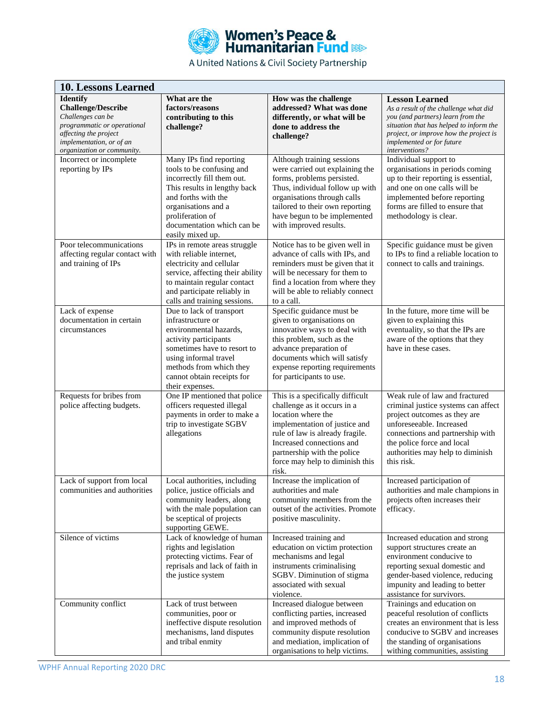

| <b>10. Lessons Learned</b>                                                                                                                                                                                     |                                                                                                                                                                                                                                      |                                                                                                                                                                                                                                                                   |                                                                                                                                                                                                                                                                  |
|----------------------------------------------------------------------------------------------------------------------------------------------------------------------------------------------------------------|--------------------------------------------------------------------------------------------------------------------------------------------------------------------------------------------------------------------------------------|-------------------------------------------------------------------------------------------------------------------------------------------------------------------------------------------------------------------------------------------------------------------|------------------------------------------------------------------------------------------------------------------------------------------------------------------------------------------------------------------------------------------------------------------|
| <b>Identify</b><br><b>Challenge/Describe</b><br>Challenges can be<br>programmatic or operational<br>affecting the project<br>implementation, or of an<br>organization or community.<br>Incorrect or incomplete | What are the<br>factors/reasons<br>contributing to this<br>challenge?<br>Many IPs find reporting                                                                                                                                     | How was the challenge<br>addressed? What was done<br>differently, or what will be<br>done to address the<br>challenge?<br>Although training sessions                                                                                                              | <b>Lesson Learned</b><br>As a result of the challenge what did<br>you (and partners) learn from the<br>situation that has helped to inform the<br>project, or improve how the project is<br>implemented or for future<br>interventions?<br>Individual support to |
| reporting by IPs                                                                                                                                                                                               | tools to be confusing and<br>incorrectly fill them out.<br>This results in lengthy back<br>and forths with the<br>organisations and a<br>proliferation of<br>documentation which can be<br>easily mixed up.                          | were carried out explaining the<br>forms, problems persisted.<br>Thus, individual follow up with<br>organisations through calls<br>tailored to their own reporting<br>have begun to be implemented<br>with improved results.                                      | organisations in periods coming<br>up to their reporting is essential,<br>and one on one calls will be<br>implemented before reporting<br>forms are filled to ensure that<br>methodology is clear.                                                               |
| Poor telecommunications<br>affecting regular contact with<br>and training of IPs                                                                                                                               | IPs in remote areas struggle<br>with reliable internet,<br>electricity and cellular<br>service, affecting their ability<br>to maintain regular contact<br>and participate reliably in<br>calls and training sessions.                | Notice has to be given well in<br>advance of calls with IPs, and<br>reminders must be given that it<br>will be necessary for them to<br>find a location from where they<br>will be able to reliably connect<br>to a call.                                         | Specific guidance must be given<br>to IPs to find a reliable location to<br>connect to calls and trainings.                                                                                                                                                      |
| Lack of expense<br>documentation in certain<br>circumstances                                                                                                                                                   | Due to lack of transport<br>infrastructure or<br>environmental hazards,<br>activity participants<br>sometimes have to resort to<br>using informal travel<br>methods from which they<br>cannot obtain receipts for<br>their expenses. | Specific guidance must be<br>given to organisations on<br>innovative ways to deal with<br>this problem, such as the<br>advance preparation of<br>documents which will satisfy<br>expense reporting requirements<br>for participants to use.                       | In the future, more time will be<br>given to explaining this<br>eventuality, so that the IPs are<br>aware of the options that they<br>have in these cases.                                                                                                       |
| Requests for bribes from<br>police affecting budgets.                                                                                                                                                          | One IP mentioned that police<br>officers requested illegal<br>payments in order to make a<br>trip to investigate SGBV<br>allegations                                                                                                 | This is a specifically difficult<br>challenge as it occurs in a<br>location where the<br>implementation of justice and<br>rule of law is already fragile.<br>Increased connections and<br>partnership with the police<br>force may help to diminish this<br>risk. | Weak rule of law and fractured<br>criminal justice systems can affect<br>project outcomes as they are<br>unforeseeable. Increased<br>connections and partnership with<br>the police force and local<br>authorities may help to diminish<br>this risk.            |
| Lack of support from local<br>communities and authorities                                                                                                                                                      | Local authorities, including<br>police, justice officials and<br>community leaders, along<br>with the male population can<br>be sceptical of projects<br>supporting GEWE.                                                            | Increase the implication of<br>authorities and male<br>community members from the<br>outset of the activities. Promote<br>positive masculinity.                                                                                                                   | Increased participation of<br>authorities and male champions in<br>projects often increases their<br>efficacy.                                                                                                                                                   |
| Silence of victims                                                                                                                                                                                             | Lack of knowledge of human<br>rights and legislation<br>protecting victims. Fear of<br>reprisals and lack of faith in<br>the justice system                                                                                          | Increased training and<br>education on victim protection<br>mechanisms and legal<br>instruments criminalising<br>SGBV. Diminution of stigma<br>associated with sexual<br>violence.                                                                                | Increased education and strong<br>support structures create an<br>environment conducive to<br>reporting sexual domestic and<br>gender-based violence, reducing<br>impunity and leading to better<br>assistance for survivors.                                    |
| Community conflict                                                                                                                                                                                             | Lack of trust between<br>communities, poor or<br>ineffective dispute resolution<br>mechanisms, land disputes<br>and tribal enmity                                                                                                    | Increased dialogue between<br>conflicting parties, increased<br>and improved methods of<br>community dispute resolution<br>and mediation, implication of<br>organisations to help victims.                                                                        | Trainings and education on<br>peaceful resolution of conflicts<br>creates an environment that is less<br>conducive to SGBV and increases<br>the standing of organisations<br>withing communities, assisting                                                      |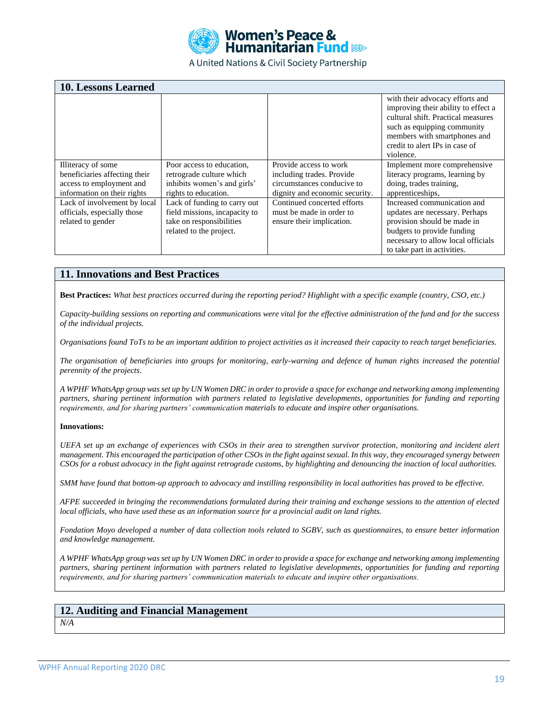

| <b>10. Lessons Learned</b>                                                       |                                                                                                                      |                                                                                      |                                                                                                                                                                                                                            |
|----------------------------------------------------------------------------------|----------------------------------------------------------------------------------------------------------------------|--------------------------------------------------------------------------------------|----------------------------------------------------------------------------------------------------------------------------------------------------------------------------------------------------------------------------|
|                                                                                  |                                                                                                                      |                                                                                      | with their advocacy efforts and<br>improving their ability to effect a<br>cultural shift. Practical measures<br>such as equipping community<br>members with smartphones and<br>credit to alert IPs in case of<br>violence. |
| Illiteracy of some                                                               | Poor access to education.                                                                                            | Provide access to work                                                               | Implement more comprehensive                                                                                                                                                                                               |
| beneficiaries affecting their<br>access to employment and                        | retrograde culture which<br>inhibits women's and girls'                                                              | including trades. Provide<br>circumstances conducive to                              | literacy programs, learning by<br>doing, trades training,                                                                                                                                                                  |
| information on their rights                                                      | rights to education.                                                                                                 | dignity and economic security.                                                       | apprenticeships.                                                                                                                                                                                                           |
| Lack of involvement by local<br>officials, especially those<br>related to gender | Lack of funding to carry out<br>field missions, incapacity to<br>take on responsibilities<br>related to the project. | Continued concerted efforts<br>must be made in order to<br>ensure their implication. | Increased communication and<br>updates are necessary. Perhaps<br>provision should be made in<br>budgets to provide funding<br>necessary to allow local officials<br>to take part in activities.                            |

### **11. Innovations and Best Practices**

**Best Practices:** *What best practices occurred during the reporting period? Highlight with a specific example (country, CSO, etc.)*

*Capacity-building sessions on reporting and communications were vital for the effective administration of the fund and for the success of the individual projects.* 

*Organisations found ToTs to be an important addition to project activities as it increased their capacity to reach target beneficiaries.* 

*The organisation of beneficiaries into groups for monitoring, early-warning and defence of human rights increased the potential perennity of the projects.* 

*A WPHF WhatsApp group was set up by UN Women DRC in order to provide a space for exchange and networking among implementing partners, sharing pertinent information with partners related to legislative developments, opportunities for funding and reporting requirements, and for sharing partners' communication materials to educate and inspire other organisations.* 

#### **Innovations:**

*UEFA set up an exchange of experiences with CSOs in their area to strengthen survivor protection, monitoring and incident alert management. This encouraged the participation of other CSOs in the fight against sexual. In this way, they encouraged synergy between CSOs for a robust advocacy in the fight against retrograde customs, by highlighting and denouncing the inaction of local authorities.* 

*SMM have found that bottom-up approach to advocacy and instilling responsibility in local authorities has proved to be effective.* 

*AFPE succeeded in bringing the recommendations formulated during their training and exchange sessions to the attention of elected local officials, who have used these as an information source for a provincial audit on land rights.*

*Fondation Moyo developed a number of data collection tools related to SGBV, such as questionnaires, to ensure better information and knowledge management.* 

*A WPHF WhatsApp group was set up by UN Women DRC in order to provide a space for exchange and networking among implementing partners, sharing pertinent information with partners related to legislative developments, opportunities for funding and reporting requirements, and for sharing partners' communication materials to educate and inspire other organisations.* 

## **12. Auditing and Financial Management**

*N/A*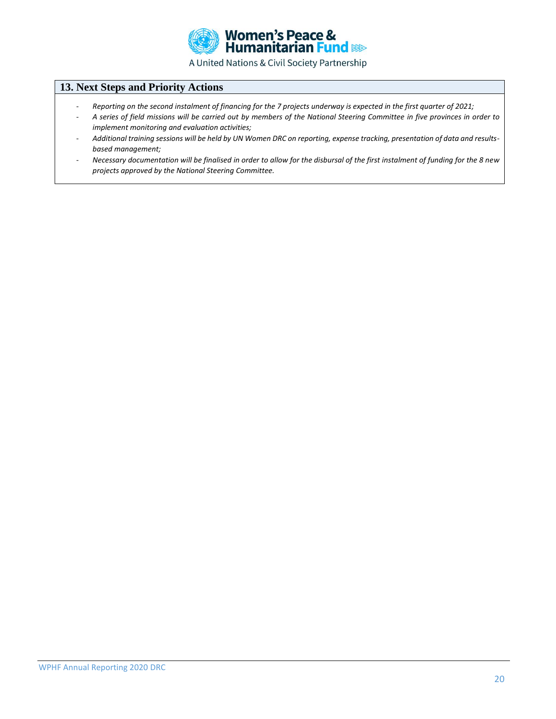

# **13. Next Steps and Priority Actions**

- *Reporting on the second instalment of financing for the 7 projects underway is expected in the first quarter of 2021;*
- *A series of field missions will be carried out by members of the National Steering Committee in five provinces in order to implement monitoring and evaluation activities;*
- *Additional training sessions will be held by UN Women DRC on reporting, expense tracking, presentation of data and resultsbased management;*
- *Necessary documentation will be finalised in order to allow for the disbursal of the first instalment of funding for the 8 new projects approved by the National Steering Committee.*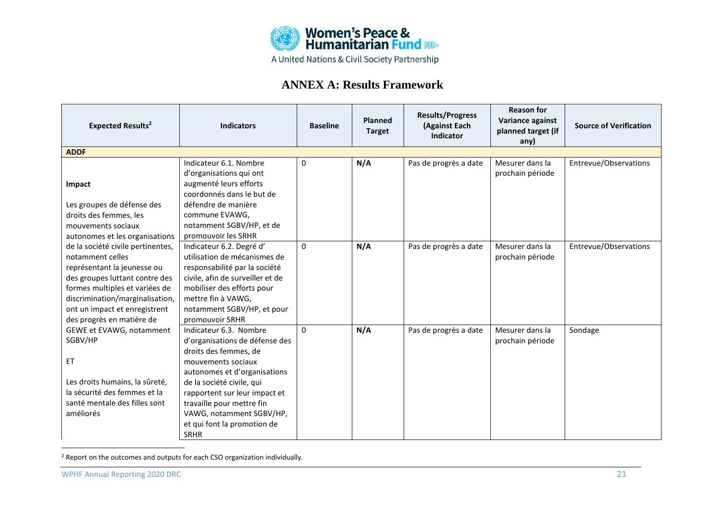

# **ANNEX A: Results Framework**

| <b>Expected Results<sup>2</sup></b>                                                                                                                                                                                                                       | <b>Indicators</b>                                                                                                                                                                                                                                                                                            | <b>Baseline</b> | Planned<br><b>Target</b> | <b>Results/Progress</b><br>(Against Each<br><b>Indicator</b> | <b>Reason for</b><br>Variance against<br>planned target (if<br>any) | <b>Source of Verification</b> |
|-----------------------------------------------------------------------------------------------------------------------------------------------------------------------------------------------------------------------------------------------------------|--------------------------------------------------------------------------------------------------------------------------------------------------------------------------------------------------------------------------------------------------------------------------------------------------------------|-----------------|--------------------------|--------------------------------------------------------------|---------------------------------------------------------------------|-------------------------------|
| <b>ADDF</b>                                                                                                                                                                                                                                               |                                                                                                                                                                                                                                                                                                              |                 |                          |                                                              |                                                                     |                               |
| Impact<br>Les groupes de défense des<br>droits des femmes, les<br>mouvements sociaux<br>autonomes et les organisations                                                                                                                                    | Indicateur 6.1. Nombre<br>d'organisations qui ont<br>augmenté leurs efforts<br>coordonnés dans le but de<br>défendre de manière<br>commune EVAWG,<br>notamment SGBV/HP, et de<br>promouvoir les SRHR                                                                                                         | 0               | N/A                      | Pas de progrès a date                                        | Mesurer dans la<br>prochain période                                 | Entrevue/Observations         |
| de la société civile pertinentes,<br>notamment celles<br>représentant la jeunesse ou<br>des groupes luttant contre des<br>formes multiples et variées de<br>discrimination/marginalisation,<br>ont un impact et enregistrent<br>des progrès en matière de | Indicateur 6.2. Degré d'<br>utilisation de mécanismes de<br>responsabilité par la société<br>civile, afin de surveiller et de<br>mobiliser des efforts pour<br>mettre fin à VAWG,<br>notamment SGBV/HP, et pour<br>promouvoir SRHR                                                                           | $\Omega$        | N/A                      | Pas de progrès a date                                        | Mesurer dans la<br>prochain période                                 | Entrevue/Observations         |
| GEWE et EVAWG, notamment<br>SGBV/HP<br>ET<br>Les droits humains, la sûreté,<br>la sécurité des femmes et la<br>santé mentale des filles sont<br>améliorés                                                                                                 | Indicateur 6.3. Nombre<br>d'organisations de défense des<br>droits des femmes, de<br>mouvements sociaux<br>autonomes et d'organisations<br>de la société civile, qui<br>rapportent sur leur impact et<br>travaille pour mettre fin<br>VAWG, notamment SGBV/HP,<br>et qui font la promotion de<br><b>SRHR</b> | $\Omega$        | N/A                      | Pas de progrès a date                                        | Mesurer dans la<br>prochain période                                 | Sondage                       |

<sup>2</sup> Report on the outcomes and outputs for each CSO organization individually.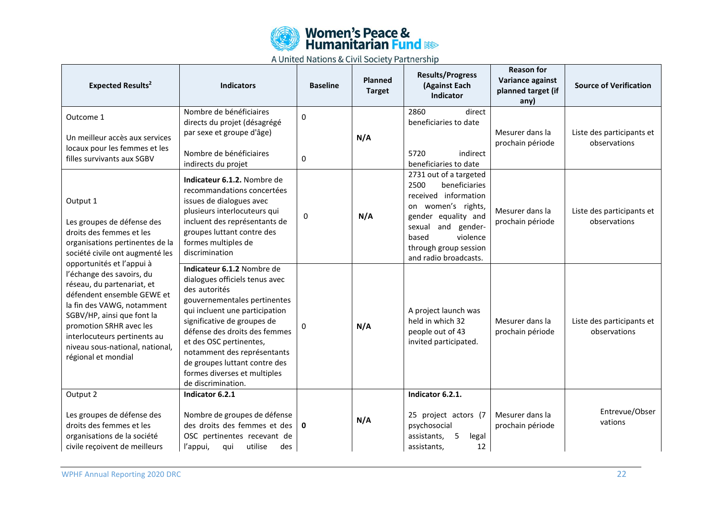

| <b>Expected Results<sup>2</sup></b>                                                                                                                                                                                                                                                                 | <b>Indicators</b>                                                                                                                                                                                                                                                                                                                                                | <b>Baseline</b> | <b>Planned</b><br><b>Target</b> | <b>Results/Progress</b><br>(Against Each<br>Indicator                                                                                                                                                                | <b>Reason for</b><br>Variance against<br>planned target (if<br>any) | <b>Source of Verification</b>             |
|-----------------------------------------------------------------------------------------------------------------------------------------------------------------------------------------------------------------------------------------------------------------------------------------------------|------------------------------------------------------------------------------------------------------------------------------------------------------------------------------------------------------------------------------------------------------------------------------------------------------------------------------------------------------------------|-----------------|---------------------------------|----------------------------------------------------------------------------------------------------------------------------------------------------------------------------------------------------------------------|---------------------------------------------------------------------|-------------------------------------------|
| Outcome 1<br>Un meilleur accès aux services                                                                                                                                                                                                                                                         | Nombre de bénéficiaires<br>directs du projet (désagrégé<br>par sexe et groupe d'âge)                                                                                                                                                                                                                                                                             | $\mathbf 0$     | N/A                             | 2860<br>direct<br>beneficiaries to date                                                                                                                                                                              | Mesurer dans la<br>prochain période                                 | Liste des participants et<br>observations |
| locaux pour les femmes et les<br>filles survivants aux SGBV                                                                                                                                                                                                                                         | Nombre de bénéficiaires<br>indirects du projet                                                                                                                                                                                                                                                                                                                   | $\pmb{0}$       |                                 | 5720<br>indirect<br>beneficiaries to date                                                                                                                                                                            |                                                                     |                                           |
| Output 1<br>Les groupes de défense des<br>droits des femmes et les<br>organisations pertinentes de la<br>société civile ont augmenté les                                                                                                                                                            | Indicateur 6.1.2. Nombre de<br>recommandations concertées<br>issues de dialogues avec<br>plusieurs interlocuteurs qui<br>incluent des représentants de<br>groupes luttant contre des<br>formes multiples de<br>discrimination                                                                                                                                    | $\mathbf{0}$    | N/A                             | 2731 out of a targeted<br>2500<br>beneficiaries<br>received information<br>on women's rights,<br>gender equality and<br>and gender-<br>sexual<br>violence<br>based<br>through group session<br>and radio broadcasts. | Mesurer dans la<br>prochain période                                 | Liste des participants et<br>observations |
| opportunités et l'appui à<br>l'échange des savoirs, du<br>réseau, du partenariat, et<br>défendent ensemble GEWE et<br>la fin des VAWG, notamment<br>SGBV/HP, ainsi que font la<br>promotion SRHR avec les<br>interlocuteurs pertinents au<br>niveau sous-national, national,<br>régional et mondial | Indicateur 6.1.2 Nombre de<br>dialogues officiels tenus avec<br>des autorités<br>gouvernementales pertinentes<br>qui incluent une participation<br>significative de groupes de<br>défense des droits des femmes<br>et des OSC pertinentes,<br>notamment des représentants<br>de groupes luttant contre des<br>formes diverses et multiples<br>de discrimination. | $\Omega$        | N/A                             | A project launch was<br>held in which 32<br>people out of 43<br>invited participated.                                                                                                                                | Mesurer dans la<br>prochain période                                 | Liste des participants et<br>observations |
| Output 2<br>Les groupes de défense des<br>droits des femmes et les<br>organisations de la société<br>civile reçoivent de meilleurs                                                                                                                                                                  | Indicator 6.2.1<br>Nombre de groupes de défense<br>des droits des femmes et des<br>OSC pertinentes recevant de<br>utilise<br>l'appui,<br>qui<br>des                                                                                                                                                                                                              | $\mathbf{0}$    | N/A                             | Indicator 6.2.1.<br>25 project actors (7<br>psychosocial<br>5<br>assistants,<br>legal<br>assistants,<br>12                                                                                                           | Mesurer dans la<br>prochain période                                 | Entrevue/Obser<br>vations                 |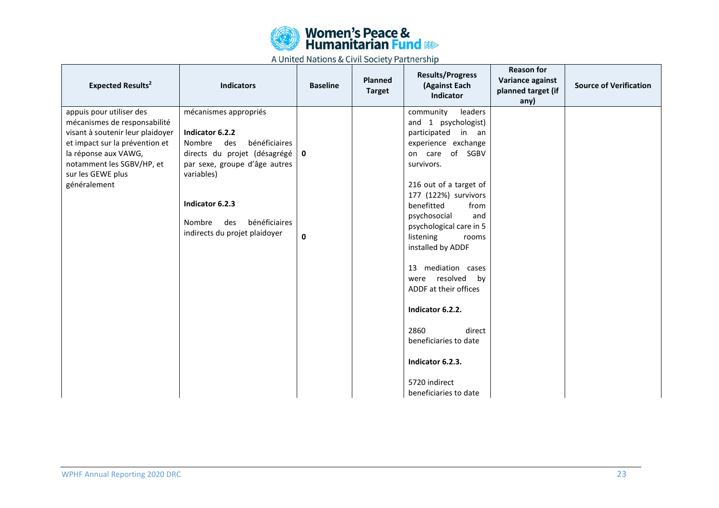

| <b>Expected Results<sup>2</sup></b>                                                                                                                                                                                      | <b>Indicators</b>                                                                                                                                                                                                                                 | <b>Baseline</b>             | <b>Planned</b><br><b>Target</b> | <b>Results/Progress</b><br>(Against Each<br>Indicator                                                                                                                                                                                                                                                                                                                                                                                                                                             | <b>Reason for</b><br>Variance against<br>planned target (if<br>any) | <b>Source of Verification</b> |
|--------------------------------------------------------------------------------------------------------------------------------------------------------------------------------------------------------------------------|---------------------------------------------------------------------------------------------------------------------------------------------------------------------------------------------------------------------------------------------------|-----------------------------|---------------------------------|---------------------------------------------------------------------------------------------------------------------------------------------------------------------------------------------------------------------------------------------------------------------------------------------------------------------------------------------------------------------------------------------------------------------------------------------------------------------------------------------------|---------------------------------------------------------------------|-------------------------------|
| appuis pour utiliser des<br>mécanismes de responsabilité<br>visant à soutenir leur plaidoyer<br>et impact sur la prévention et<br>la réponse aux VAWG,<br>notamment les SGBV/HP, et<br>sur les GEWE plus<br>généralement | mécanismes appropriés<br>Indicator 6.2.2<br>Nombre<br>des<br>bénéficiaires<br>directs du projet (désagrégé  <br>par sexe, groupe d'âge autres<br>variables)<br>Indicator 6.2.3<br>bénéficiaires<br>Nombre<br>des<br>indirects du projet plaidoyer | $\mathbf 0$<br>$\mathbf{0}$ |                                 | community<br>leaders<br>and 1 psychologist)<br>participated in an<br>experience exchange<br>on care of SGBV<br>survivors.<br>216 out of a target of<br>177 (122%) survivors<br>benefitted<br>from<br>psychosocial<br>and<br>psychological care in 5<br>listening<br>rooms<br>installed by ADDF<br>13 mediation cases<br>were resolved<br>by<br>ADDF at their offices<br>Indicator 6.2.2.<br>2860<br>direct<br>beneficiaries to date<br>Indicator 6.2.3.<br>5720 indirect<br>beneficiaries to date |                                                                     |                               |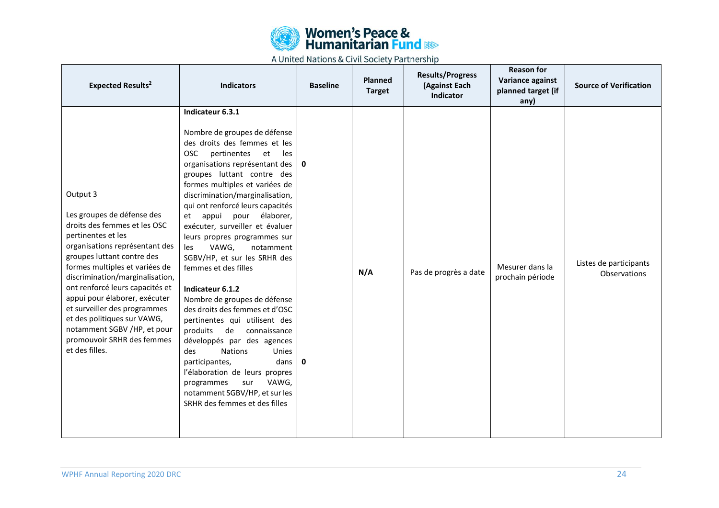

| <b>Expected Results<sup>2</sup></b>                                                                                                                                                                                                                                                                                                                                                                                                                 | <b>Indicators</b>                                                                                                                                                                                                                                                                                                                                                                                                                                                                                                                                                                                                                                                                                                                                                                                                                                                                 | <b>Baseline</b>             | Planned<br><b>Target</b> | <b>Results/Progress</b><br>(Against Each<br>Indicator | <b>Reason for</b><br>Variance against<br>planned target (if<br>any) | <b>Source of Verification</b>          |
|-----------------------------------------------------------------------------------------------------------------------------------------------------------------------------------------------------------------------------------------------------------------------------------------------------------------------------------------------------------------------------------------------------------------------------------------------------|-----------------------------------------------------------------------------------------------------------------------------------------------------------------------------------------------------------------------------------------------------------------------------------------------------------------------------------------------------------------------------------------------------------------------------------------------------------------------------------------------------------------------------------------------------------------------------------------------------------------------------------------------------------------------------------------------------------------------------------------------------------------------------------------------------------------------------------------------------------------------------------|-----------------------------|--------------------------|-------------------------------------------------------|---------------------------------------------------------------------|----------------------------------------|
| Output 3<br>Les groupes de défense des<br>droits des femmes et les OSC<br>pertinentes et les<br>organisations représentant des<br>groupes luttant contre des<br>formes multiples et variées de<br>discrimination/marginalisation,<br>ont renforcé leurs capacités et<br>appui pour élaborer, exécuter<br>et surveiller des programmes<br>et des politiques sur VAWG,<br>notamment SGBV /HP, et pour<br>promouvoir SRHR des femmes<br>et des filles. | Indicateur 6.3.1<br>Nombre de groupes de défense<br>des droits des femmes et les<br><b>OSC</b><br>pertinentes et<br>les<br>organisations représentant des<br>groupes luttant contre des<br>formes multiples et variées de<br>discrimination/marginalisation,<br>qui ont renforcé leurs capacités<br>appui<br>pour<br>élaborer,<br>et<br>exécuter, surveiller et évaluer<br>leurs propres programmes sur<br>VAWG,<br>les<br>notamment<br>SGBV/HP, et sur les SRHR des<br>femmes et des filles<br>Indicateur 6.1.2<br>Nombre de groupes de défense<br>des droits des femmes et d'OSC<br>pertinentes qui utilisent des<br>produits<br>de<br>connaissance<br>développés par des agences<br><b>Nations</b><br>des<br>Unies<br>participantes,<br>dans<br>l'élaboration de leurs propres<br>VAWG,<br>programmes<br>sur<br>notamment SGBV/HP, et sur les<br>SRHR des femmes et des filles | $\mathbf 0$<br>$\mathbf{0}$ | N/A                      | Pas de progrès a date                                 | Mesurer dans la<br>prochain période                                 | Listes de participants<br>Observations |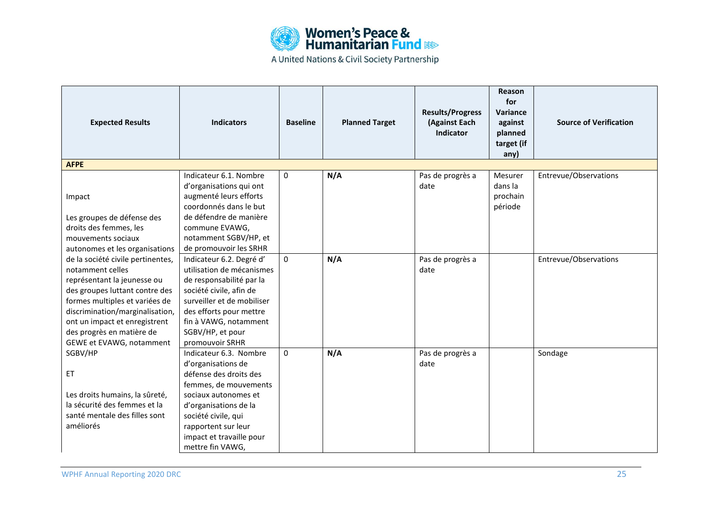

| <b>Expected Results</b>                                                                                                                                                                                                                                                               | <b>Indicators</b>                                                                                                                                                                                                                              | <b>Baseline</b> | <b>Planned Target</b> | <b>Results/Progress</b><br>(Against Each<br><b>Indicator</b> | Reason<br>for<br>Variance<br>against<br>planned<br>target (if<br>any) | <b>Source of Verification</b> |
|---------------------------------------------------------------------------------------------------------------------------------------------------------------------------------------------------------------------------------------------------------------------------------------|------------------------------------------------------------------------------------------------------------------------------------------------------------------------------------------------------------------------------------------------|-----------------|-----------------------|--------------------------------------------------------------|-----------------------------------------------------------------------|-------------------------------|
| <b>AFPE</b>                                                                                                                                                                                                                                                                           |                                                                                                                                                                                                                                                |                 |                       |                                                              |                                                                       |                               |
| Impact<br>Les groupes de défense des                                                                                                                                                                                                                                                  | Indicateur 6.1. Nombre<br>d'organisations qui ont<br>augmenté leurs efforts<br>coordonnés dans le but<br>de défendre de manière                                                                                                                | 0               | N/A                   | Pas de progrès a<br>date                                     | Mesurer<br>dans la<br>prochain<br>période                             | Entrevue/Observations         |
| droits des femmes, les<br>mouvements sociaux<br>autonomes et les organisations                                                                                                                                                                                                        | commune EVAWG,<br>notamment SGBV/HP, et<br>de promouvoir les SRHR                                                                                                                                                                              |                 |                       |                                                              |                                                                       |                               |
| de la société civile pertinentes,<br>notamment celles<br>représentant la jeunesse ou<br>des groupes luttant contre des<br>formes multiples et variées de<br>discrimination/marginalisation,<br>ont un impact et enregistrent<br>des progrès en matière de<br>GEWE et EVAWG, notamment | Indicateur 6.2. Degré d'<br>utilisation de mécanismes<br>de responsabilité par la<br>société civile, afin de<br>surveiller et de mobiliser<br>des efforts pour mettre<br>fin à VAWG, notamment<br>SGBV/HP, et pour<br>promouvoir SRHR          | $\mathbf 0$     | N/A                   | Pas de progrès a<br>date                                     |                                                                       | Entrevue/Observations         |
| SGBV/HP<br>ET<br>Les droits humains, la sûreté,<br>la sécurité des femmes et la<br>santé mentale des filles sont<br>améliorés                                                                                                                                                         | Indicateur 6.3. Nombre<br>d'organisations de<br>défense des droits des<br>femmes, de mouvements<br>sociaux autonomes et<br>d'organisations de la<br>société civile, qui<br>rapportent sur leur<br>impact et travaille pour<br>mettre fin VAWG, | $\Omega$        | N/A                   | Pas de progrès a<br>date                                     |                                                                       | Sondage                       |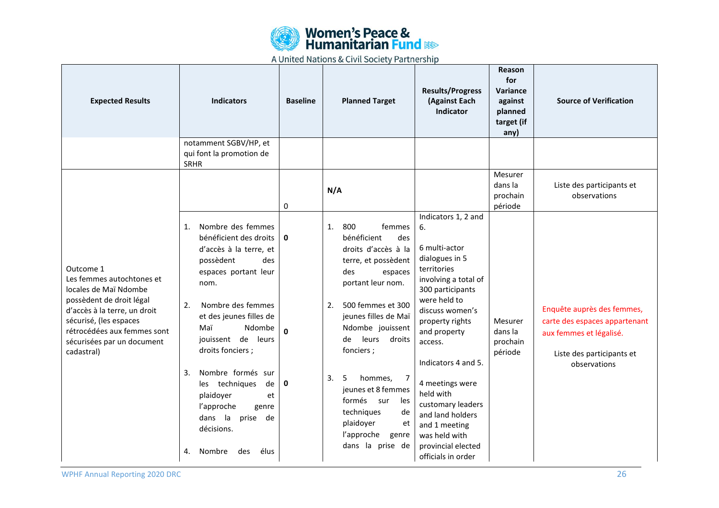

| <b>Expected Results</b>                                                                                                                                                                                                          | <b>Indicators</b>                                                                                                                                                                                                                                                                                                                                                                                                    | <b>Baseline</b>                   | <b>Planned Target</b>                                                                                                                                                                                                                                                                                                                                                                         | <b>Results/Progress</b><br>(Against Each<br><b>Indicator</b>                                                                                                                                                                                                                                                                                                                           | Reason<br>for<br>Variance<br>against<br>planned<br>target (if<br>any) | <b>Source of Verification</b>                                                                                                       |
|----------------------------------------------------------------------------------------------------------------------------------------------------------------------------------------------------------------------------------|----------------------------------------------------------------------------------------------------------------------------------------------------------------------------------------------------------------------------------------------------------------------------------------------------------------------------------------------------------------------------------------------------------------------|-----------------------------------|-----------------------------------------------------------------------------------------------------------------------------------------------------------------------------------------------------------------------------------------------------------------------------------------------------------------------------------------------------------------------------------------------|----------------------------------------------------------------------------------------------------------------------------------------------------------------------------------------------------------------------------------------------------------------------------------------------------------------------------------------------------------------------------------------|-----------------------------------------------------------------------|-------------------------------------------------------------------------------------------------------------------------------------|
|                                                                                                                                                                                                                                  | notamment SGBV/HP, et<br>qui font la promotion de<br><b>SRHR</b>                                                                                                                                                                                                                                                                                                                                                     |                                   |                                                                                                                                                                                                                                                                                                                                                                                               |                                                                                                                                                                                                                                                                                                                                                                                        |                                                                       |                                                                                                                                     |
|                                                                                                                                                                                                                                  |                                                                                                                                                                                                                                                                                                                                                                                                                      | 0                                 | N/A                                                                                                                                                                                                                                                                                                                                                                                           |                                                                                                                                                                                                                                                                                                                                                                                        | Mesurer<br>dans la<br>prochain<br>période                             | Liste des participants et<br>observations                                                                                           |
| Outcome 1<br>Les femmes autochtones et<br>locales de Maï Ndombe<br>possèdent de droit légal<br>d'accès à la terre, un droit<br>sécurisé, (les espaces<br>rétrocédées aux femmes sont<br>sécurisées par un document<br>cadastral) | Nombre des femmes<br>1.<br>bénéficient des droits<br>d'accès à la terre, et<br>possèdent<br>des<br>espaces portant leur<br>nom.<br>2.<br>Nombre des femmes<br>et des jeunes filles de<br>Ndombe<br>Maï<br>jouissent de leurs<br>droits fonciers;<br>Nombre formés sur<br>3.<br>les techniques<br>de<br>plaidoyer<br>et<br>l'approche<br>genre<br>dans la<br>prise<br>de<br>décisions.<br>élus<br>4.<br>Nombre<br>des | $\mathbf{0}$<br>$\mathbf{0}$<br>0 | 1.<br>800<br>femmes<br>bénéficient<br>des<br>droits d'accès à la<br>terre, et possèdent<br>des<br>espaces<br>portant leur nom.<br>2.<br>500 femmes et 300<br>jeunes filles de Maï<br>Ndombe jouissent<br>de leurs droits<br>fonciers;<br>3.<br>5<br>hommes,<br>7<br>jeunes et 8 femmes<br>formés sur<br>les<br>techniques<br>de<br>plaidoyer<br>et<br>l'approche<br>genre<br>dans la prise de | Indicators 1, 2 and<br>6.<br>6 multi-actor<br>dialogues in 5<br>territories<br>involving a total of<br>300 participants<br>were held to<br>discuss women's<br>property rights<br>and property<br>access.<br>Indicators 4 and 5.<br>4 meetings were<br>held with<br>customary leaders<br>and land holders<br>and 1 meeting<br>was held with<br>provincial elected<br>officials in order | Mesurer<br>dans la<br>prochain<br>période                             | Enquête auprès des femmes,<br>carte des espaces appartenant<br>aux femmes et légalisé.<br>Liste des participants et<br>observations |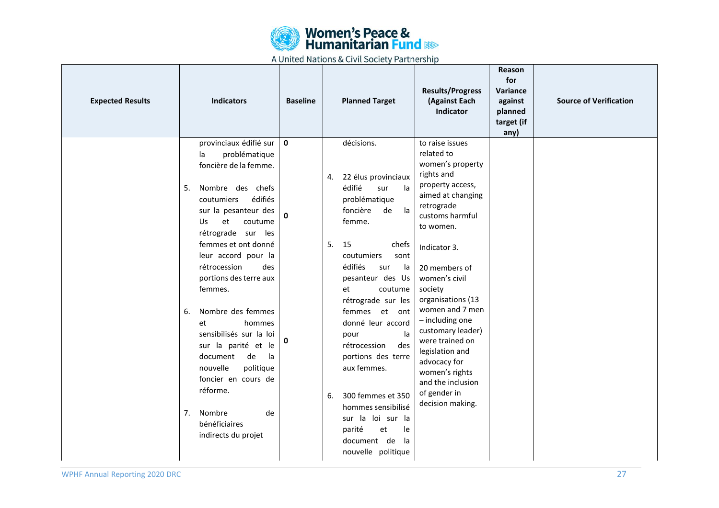

| <b>Expected Results</b> | <b>Indicators</b>                                                                                                                                                                                                                                                                                                                                                                                                                                                                                                                                      | <b>Baseline</b>                  | <b>Planned Target</b>                                                                                                                                                                                                                                                                                                                                                                                                                                                                                  | <b>Results/Progress</b><br>(Against Each<br>Indicator                                                                                                                                                                                                                                                                                                                                                                                | Reason<br>for<br>Variance<br>against<br>planned<br>target (if<br>any) | <b>Source of Verification</b> |
|-------------------------|--------------------------------------------------------------------------------------------------------------------------------------------------------------------------------------------------------------------------------------------------------------------------------------------------------------------------------------------------------------------------------------------------------------------------------------------------------------------------------------------------------------------------------------------------------|----------------------------------|--------------------------------------------------------------------------------------------------------------------------------------------------------------------------------------------------------------------------------------------------------------------------------------------------------------------------------------------------------------------------------------------------------------------------------------------------------------------------------------------------------|--------------------------------------------------------------------------------------------------------------------------------------------------------------------------------------------------------------------------------------------------------------------------------------------------------------------------------------------------------------------------------------------------------------------------------------|-----------------------------------------------------------------------|-------------------------------|
|                         | provinciaux édifié sur<br>problématique<br>la<br>foncière de la femme.<br>5.<br>Nombre des chefs<br>édifiés<br>coutumiers<br>sur la pesanteur des<br>et<br>coutume<br>Us<br>rétrograde sur les<br>femmes et ont donné<br>leur accord pour la<br>rétrocession<br>des<br>portions des terre aux<br>femmes.<br>Nombre des femmes<br>6.<br>hommes<br>et<br>sensibilisés sur la loi<br>sur la parité et le<br>document<br>de<br>la l<br>politique<br>nouvelle<br>foncier en cours de<br>réforme.<br>de<br>7. Nombre<br>bénéficiaires<br>indirects du projet | $\mathbf{0}$<br>$\mathbf 0$<br>0 | décisions.<br>22 élus provinciaux<br>4.<br>édifié<br>sur<br>la<br>problématique<br>foncière<br>la<br>de<br>femme.<br>5.<br>15<br>chefs<br>coutumiers<br>sont<br>édifiés<br>la<br>sur<br>pesanteur des Us<br>et<br>coutume<br>rétrograde sur les<br>femmes et ont<br>donné leur accord<br>la<br>pour<br>rétrocession<br>des<br>portions des terre<br>aux femmes.<br>300 femmes et 350<br>6.<br>hommes sensibilisé<br>sur la loi sur la<br>parité<br>et<br>le<br>document de<br>la<br>nouvelle politique | to raise issues<br>related to<br>women's property<br>rights and<br>property access,<br>aimed at changing<br>retrograde<br>customs harmful<br>to women.<br>Indicator 3.<br>20 members of<br>women's civil<br>society<br>organisations (13<br>women and 7 men<br>- including one<br>customary leader)<br>were trained on<br>legislation and<br>advocacy for<br>women's rights<br>and the inclusion<br>of gender in<br>decision making. |                                                                       |                               |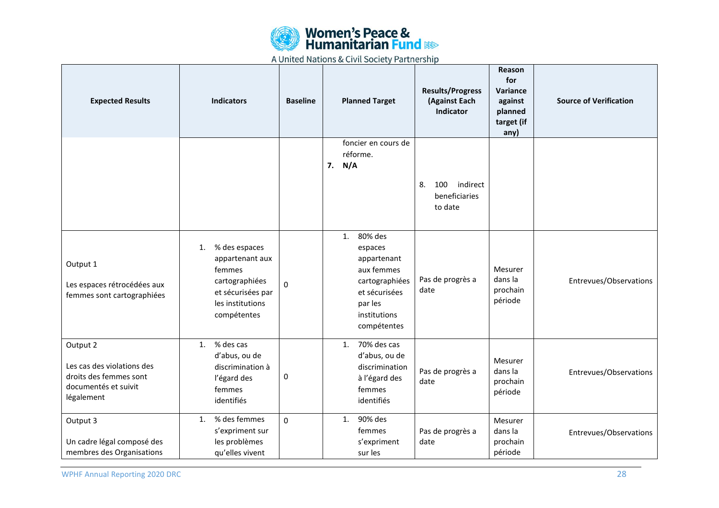

| <b>Expected Results</b>                                                                                | <b>Indicators</b>                                                                                                          | <b>Baseline</b> | <b>Planned Target</b>                                                                                                              | <b>Results/Progress</b><br>(Against Each<br>Indicator | <b>Reason</b><br>for<br>Variance<br>against<br>planned<br>target (if<br>any) | <b>Source of Verification</b> |
|--------------------------------------------------------------------------------------------------------|----------------------------------------------------------------------------------------------------------------------------|-----------------|------------------------------------------------------------------------------------------------------------------------------------|-------------------------------------------------------|------------------------------------------------------------------------------|-------------------------------|
|                                                                                                        |                                                                                                                            |                 | foncier en cours de<br>réforme.<br>7.<br>N/A                                                                                       | indirect<br>100<br>8.<br>beneficiaries<br>to date     |                                                                              |                               |
| Output 1<br>Les espaces rétrocédées aux<br>femmes sont cartographiées                                  | % des espaces<br>1.<br>appartenant aux<br>femmes<br>cartographiées<br>et sécurisées par<br>les institutions<br>compétentes | 0               | 80% des<br>1.<br>espaces<br>appartenant<br>aux femmes<br>cartographiées<br>et sécurisées<br>par les<br>institutions<br>compétentes | Pas de progrès a<br>date                              | Mesurer<br>dans la<br>prochain<br>période                                    | Entrevues/Observations        |
| Output 2<br>Les cas des violations des<br>droits des femmes sont<br>documentés et suivit<br>légalement | % des cas<br>1.<br>d'abus, ou de<br>discrimination à<br>l'égard des<br>femmes<br>identifiés                                | 0               | 70% des cas<br>1.<br>d'abus, ou de<br>discrimination<br>à l'égard des<br>femmes<br>identifiés                                      | Pas de progrès a<br>date                              | Mesurer<br>dans la<br>prochain<br>période                                    | Entrevues/Observations        |
| Output 3<br>Un cadre légal composé des<br>membres des Organisations                                    | % des femmes<br>1.<br>s'expriment sur<br>les problèmes<br>qu'elles vivent                                                  | 0               | 90% des<br>1.<br>femmes<br>s'expriment<br>sur les                                                                                  | Pas de progrès a<br>date                              | Mesurer<br>dans la<br>prochain<br>période                                    | Entrevues/Observations        |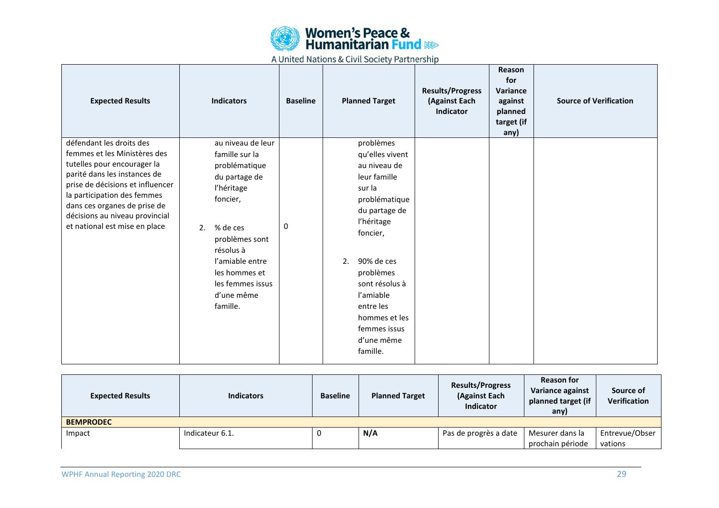

| <b>Expected Results</b>                                                                                                                                                                                                                                                                       | <b>Indicators</b>                                                                                                                                                                                                                  | <b>Baseline</b> | <b>Planned Target</b>                                                                                                                                                                                                                                                      | <b>Results/Progress</b><br>(Against Each<br><b>Indicator</b> | Reason<br>for<br>Variance<br>against<br>planned<br>target (if<br>any) | <b>Source of Verification</b> |
|-----------------------------------------------------------------------------------------------------------------------------------------------------------------------------------------------------------------------------------------------------------------------------------------------|------------------------------------------------------------------------------------------------------------------------------------------------------------------------------------------------------------------------------------|-----------------|----------------------------------------------------------------------------------------------------------------------------------------------------------------------------------------------------------------------------------------------------------------------------|--------------------------------------------------------------|-----------------------------------------------------------------------|-------------------------------|
| défendant les droits des<br>femmes et les Ministères des<br>tutelles pour encourager la<br>parité dans les instances de<br>prise de décisions et influencer<br>la participation des femmes<br>dans ces organes de prise de<br>décisions au niveau provincial<br>et national est mise en place | au niveau de leur<br>famille sur la<br>problématique<br>du partage de<br>l'héritage<br>foncier,<br>% de ces<br>2.<br>problèmes sont<br>résolus à<br>l'amiable entre<br>les hommes et<br>les femmes issus<br>d'une même<br>famille. | 0               | problèmes<br>qu'elles vivent<br>au niveau de<br>leur famille<br>sur la<br>problématique<br>du partage de<br>l'héritage<br>foncier,<br>90% de ces<br>2.<br>problèmes<br>sont résolus à<br>l'amiable<br>entre les<br>hommes et les<br>femmes issus<br>d'une même<br>famille. |                                                              |                                                                       |                               |

| <b>Expected Results</b> | <b>Indicators</b> | <b>Baseline</b> | <b>Planned Target</b> | <b>Results/Progress</b><br>(Against Each<br><b>Indicator</b> | <b>Reason for</b><br>Variance against<br>planned target (if<br>any) | Source of<br><b>Verification</b> |
|-------------------------|-------------------|-----------------|-----------------------|--------------------------------------------------------------|---------------------------------------------------------------------|----------------------------------|
| <b>BEMPRODEC</b>        |                   |                 |                       |                                                              |                                                                     |                                  |
| Impact                  | Indicateur 6.1.   |                 | N/A                   | Pas de progrès a date                                        | Mesurer dans la                                                     | Entrevue/Obser                   |
|                         |                   |                 |                       |                                                              | prochain période                                                    | vations                          |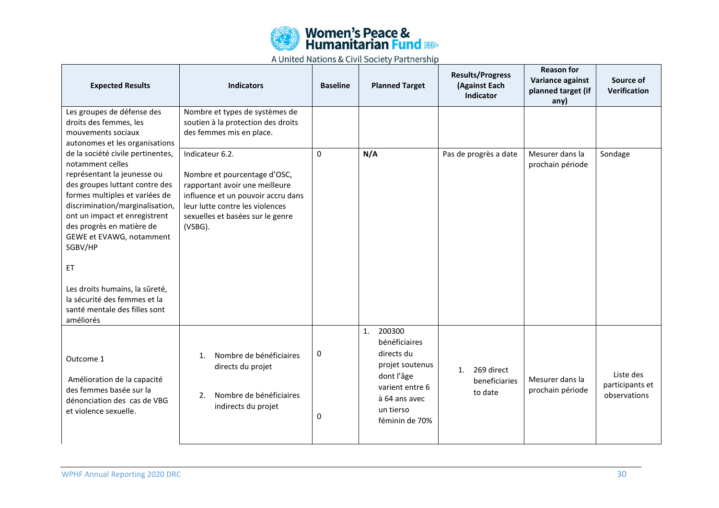

| <b>Expected Results</b>                                                                                                                                                                                                                                                                                                                                                                                                                                                                                                                | <b>Indicators</b>                                                                                                                                                                                         | <b>Baseline</b> | <b>Planned Target</b>                                                                                                                           | <b>Results/Progress</b><br>(Against Each<br>Indicator | <b>Reason for</b><br>Variance against<br>planned target (if<br>any) | Source of<br><b>Verification</b>             |
|----------------------------------------------------------------------------------------------------------------------------------------------------------------------------------------------------------------------------------------------------------------------------------------------------------------------------------------------------------------------------------------------------------------------------------------------------------------------------------------------------------------------------------------|-----------------------------------------------------------------------------------------------------------------------------------------------------------------------------------------------------------|-----------------|-------------------------------------------------------------------------------------------------------------------------------------------------|-------------------------------------------------------|---------------------------------------------------------------------|----------------------------------------------|
| Les groupes de défense des<br>droits des femmes, les<br>mouvements sociaux<br>autonomes et les organisations<br>de la société civile pertinentes,<br>notamment celles<br>représentant la jeunesse ou<br>des groupes luttant contre des<br>formes multiples et variées de<br>discrimination/marginalisation,<br>ont un impact et enregistrent<br>des progrès en matière de<br>GEWE et EVAWG, notamment<br>SGBV/HP<br>ET<br>Les droits humains, la sûreté,<br>la sécurité des femmes et la<br>santé mentale des filles sont<br>améliorés | Nombre et types de systèmes de<br>soutien à la protection des droits<br>des femmes mis en place.                                                                                                          |                 |                                                                                                                                                 |                                                       |                                                                     |                                              |
|                                                                                                                                                                                                                                                                                                                                                                                                                                                                                                                                        | Indicateur 6.2.<br>Nombre et pourcentage d'OSC,<br>rapportant avoir une meilleure<br>influence et un pouvoir accru dans<br>leur lutte contre les violences<br>sexuelles et basées sur le genre<br>(VSBG). | 0               | N/A                                                                                                                                             | Pas de progrès a date                                 | Mesurer dans la<br>prochain période                                 | Sondage                                      |
| Outcome 1<br>Amélioration de la capacité<br>des femmes basée sur la<br>dénonciation des cas de VBG<br>et violence sexuelle.                                                                                                                                                                                                                                                                                                                                                                                                            | Nombre de bénéficiaires<br>1 <sub>1</sub><br>directs du projet<br>Nombre de bénéficiaires<br>2.<br>indirects du projet                                                                                    | 0<br>0          | 1.<br>200300<br>bénéficiaires<br>directs du<br>projet soutenus<br>dont l'âge<br>varient entre 6<br>à 64 ans avec<br>un tierso<br>féminin de 70% | 269 direct<br>1.<br>beneficiaries<br>to date          | Mesurer dans la<br>prochain période                                 | Liste des<br>participants et<br>observations |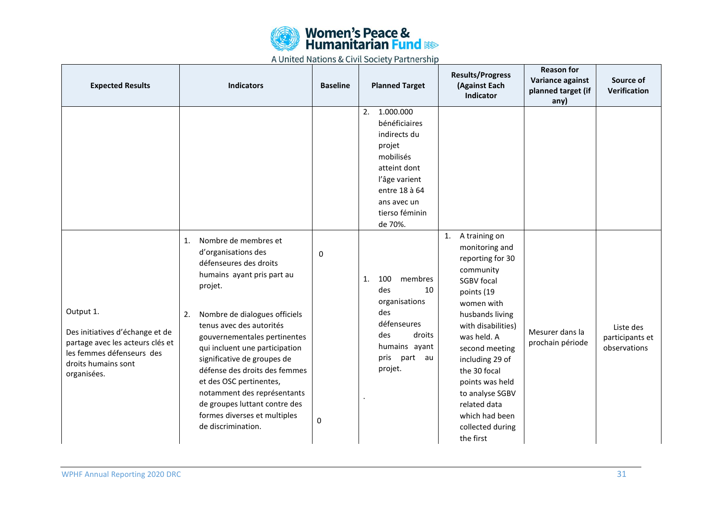

| <b>Expected Results</b>                                                                                                                             | <b>Indicators</b>                                                                                                                                                                                                                                                                                                                                                                                                                                                          | <b>Baseline</b> | <b>Planned Target</b>                                                                                                                                                 | <b>Results/Progress</b><br>(Against Each<br>Indicator                                                                                                                                                                                                                                                                                      | <b>Reason for</b><br>Variance against<br>planned target (if<br>any) | Source of<br>Verification                    |
|-----------------------------------------------------------------------------------------------------------------------------------------------------|----------------------------------------------------------------------------------------------------------------------------------------------------------------------------------------------------------------------------------------------------------------------------------------------------------------------------------------------------------------------------------------------------------------------------------------------------------------------------|-----------------|-----------------------------------------------------------------------------------------------------------------------------------------------------------------------|--------------------------------------------------------------------------------------------------------------------------------------------------------------------------------------------------------------------------------------------------------------------------------------------------------------------------------------------|---------------------------------------------------------------------|----------------------------------------------|
|                                                                                                                                                     |                                                                                                                                                                                                                                                                                                                                                                                                                                                                            |                 | 2.<br>1.000.000<br>bénéficiaires<br>indirects du<br>projet<br>mobilisés<br>atteint dont<br>l'âge varient<br>entre 18 à 64<br>ans avec un<br>tierso féminin<br>de 70%. |                                                                                                                                                                                                                                                                                                                                            |                                                                     |                                              |
| Output 1.<br>Des initiatives d'échange et de<br>partage avec les acteurs clés et<br>les femmes défenseurs des<br>droits humains sont<br>organisées. | 1.<br>Nombre de membres et<br>d'organisations des<br>défenseures des droits<br>humains ayant pris part au<br>projet.<br>Nombre de dialogues officiels<br>2.<br>tenus avec des autorités<br>gouvernementales pertinentes<br>qui incluent une participation<br>significative de groupes de<br>défense des droits des femmes<br>et des OSC pertinentes,<br>notamment des représentants<br>de groupes luttant contre des<br>formes diverses et multiples<br>de discrimination. | 0<br>0          | 100<br>1.<br>membres<br>10<br>des<br>organisations<br>des<br>défenseures<br>des<br>droits<br>humains ayant<br>pris<br>part au<br>projet.                              | 1. A training on<br>monitoring and<br>reporting for 30<br>community<br><b>SGBV</b> focal<br>points (19<br>women with<br>husbands living<br>with disabilities)<br>was held. A<br>second meeting<br>including 29 of<br>the 30 focal<br>points was held<br>to analyse SGBV<br>related data<br>which had been<br>collected during<br>the first | Mesurer dans la<br>prochain période                                 | Liste des<br>participants et<br>observations |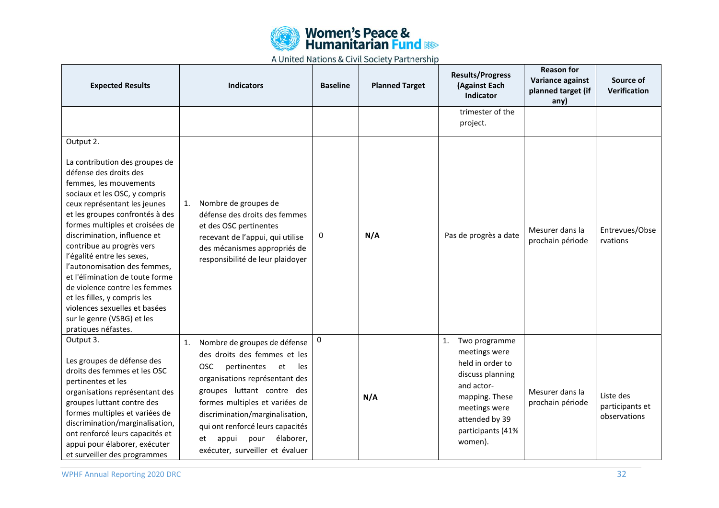

| <b>Expected Results</b>                                                                                                                                                                                                                                                                                                                                                                                                                                                                                                                                     | <b>Indicators</b>                                                                                                                                                                                                                                                                                                                                            | <b>Baseline</b> | <b>Planned Target</b> | <b>Results/Progress</b><br>(Against Each<br>Indicator                                                                                                                           | <b>Reason for</b><br>Variance against<br>planned target (if<br>any) | Source of<br>Verification                    |
|-------------------------------------------------------------------------------------------------------------------------------------------------------------------------------------------------------------------------------------------------------------------------------------------------------------------------------------------------------------------------------------------------------------------------------------------------------------------------------------------------------------------------------------------------------------|--------------------------------------------------------------------------------------------------------------------------------------------------------------------------------------------------------------------------------------------------------------------------------------------------------------------------------------------------------------|-----------------|-----------------------|---------------------------------------------------------------------------------------------------------------------------------------------------------------------------------|---------------------------------------------------------------------|----------------------------------------------|
|                                                                                                                                                                                                                                                                                                                                                                                                                                                                                                                                                             |                                                                                                                                                                                                                                                                                                                                                              |                 |                       | trimester of the<br>project.                                                                                                                                                    |                                                                     |                                              |
| Output 2.<br>La contribution des groupes de<br>défense des droits des<br>femmes, les mouvements<br>sociaux et les OSC, y compris<br>ceux représentant les jeunes<br>et les groupes confrontés à des<br>formes multiples et croisées de<br>discrimination, influence et<br>contribue au progrès vers<br>l'égalité entre les sexes,<br>l'autonomisation des femmes,<br>et l'élimination de toute forme<br>de violence contre les femmes<br>et les filles, y compris les<br>violences sexuelles et basées<br>sur le genre (VSBG) et les<br>pratiques néfastes. | Nombre de groupes de<br>1.<br>défense des droits des femmes<br>et des OSC pertinentes<br>recevant de l'appui, qui utilise<br>des mécanismes appropriés de<br>responsibilité de leur plaidoyer                                                                                                                                                                | 0               | N/A                   | Pas de progrès a date                                                                                                                                                           | Mesurer dans la<br>prochain période                                 | Entrevues/Obse<br>rvations                   |
| Output 3.<br>Les groupes de défense des<br>droits des femmes et les OSC<br>pertinentes et les<br>organisations représentant des<br>groupes luttant contre des<br>formes multiples et variées de<br>discrimination/marginalisation,<br>ont renforcé leurs capacités et<br>appui pour élaborer, exécuter<br>et surveiller des programmes                                                                                                                                                                                                                      | Nombre de groupes de défense<br>1.<br>des droits des femmes et les<br><b>OSC</b><br>pertinentes<br>et<br>les<br>organisations représentant des<br>groupes luttant contre des<br>formes multiples et variées de<br>discrimination/marginalisation,<br>qui ont renforcé leurs capacités<br>élaborer,<br>appui<br>pour<br>et<br>exécuter, surveiller et évaluer | 0               | N/A                   | 1.<br>Two programme<br>meetings were<br>held in order to<br>discuss planning<br>and actor-<br>mapping. These<br>meetings were<br>attended by 39<br>participants (41%<br>women). | Mesurer dans la<br>prochain période                                 | Liste des<br>participants et<br>observations |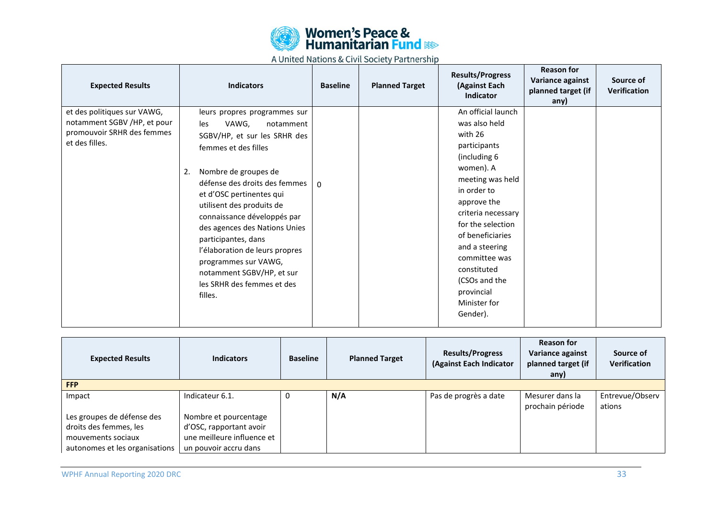

| <b>Expected Results</b>                                                                                    | <b>Indicators</b>                                                                                                                                                                                                                                                                                                                                                                                                                                                | <b>Baseline</b> | <b>Planned Target</b> | <b>Results/Progress</b><br>(Against Each<br><b>Indicator</b>                                                                                                                                                                                                                                                              | <b>Reason for</b><br>Variance against<br>planned target (if<br>any) | Source of<br><b>Verification</b> |
|------------------------------------------------------------------------------------------------------------|------------------------------------------------------------------------------------------------------------------------------------------------------------------------------------------------------------------------------------------------------------------------------------------------------------------------------------------------------------------------------------------------------------------------------------------------------------------|-----------------|-----------------------|---------------------------------------------------------------------------------------------------------------------------------------------------------------------------------------------------------------------------------------------------------------------------------------------------------------------------|---------------------------------------------------------------------|----------------------------------|
| et des politiques sur VAWG,<br>notamment SGBV /HP, et pour<br>promouvoir SRHR des femmes<br>et des filles. | leurs propres programmes sur<br>VAWG,<br>les<br>notamment<br>SGBV/HP, et sur les SRHR des<br>femmes et des filles<br>Nombre de groupes de<br>2.<br>défense des droits des femmes<br>et d'OSC pertinentes qui<br>utilisent des produits de<br>connaissance développés par<br>des agences des Nations Unies<br>participantes, dans<br>l'élaboration de leurs propres<br>programmes sur VAWG,<br>notamment SGBV/HP, et sur<br>les SRHR des femmes et des<br>filles. | $\Omega$        |                       | An official launch<br>was also held<br>with 26<br>participants<br>(including 6<br>women). A<br>meeting was held<br>in order to<br>approve the<br>criteria necessary<br>for the selection<br>of beneficiaries<br>and a steering<br>committee was<br>constituted<br>(CSOs and the<br>provincial<br>Minister for<br>Gender). |                                                                     |                                  |

| <b>Expected Results</b>        | <b>Indicators</b>          | <b>Baseline</b> | <b>Planned Target</b> | <b>Results/Progress</b><br>(Against Each Indicator | <b>Reason for</b><br>Variance against<br>planned target (if<br>any) | Source of<br><b>Verification</b> |  |  |
|--------------------------------|----------------------------|-----------------|-----------------------|----------------------------------------------------|---------------------------------------------------------------------|----------------------------------|--|--|
| <b>FFP</b>                     |                            |                 |                       |                                                    |                                                                     |                                  |  |  |
| Impact                         | Indicateur 6.1.            |                 | N/A                   | Pas de progrès a date                              | Mesurer dans la                                                     | Entrevue/Observ                  |  |  |
|                                |                            |                 |                       |                                                    | prochain période                                                    | ations                           |  |  |
| Les groupes de défense des     | Nombre et pourcentage      |                 |                       |                                                    |                                                                     |                                  |  |  |
| droits des femmes, les         | d'OSC, rapportant avoir    |                 |                       |                                                    |                                                                     |                                  |  |  |
| mouvements sociaux             | une meilleure influence et |                 |                       |                                                    |                                                                     |                                  |  |  |
| autonomes et les organisations | un pouvoir accru dans      |                 |                       |                                                    |                                                                     |                                  |  |  |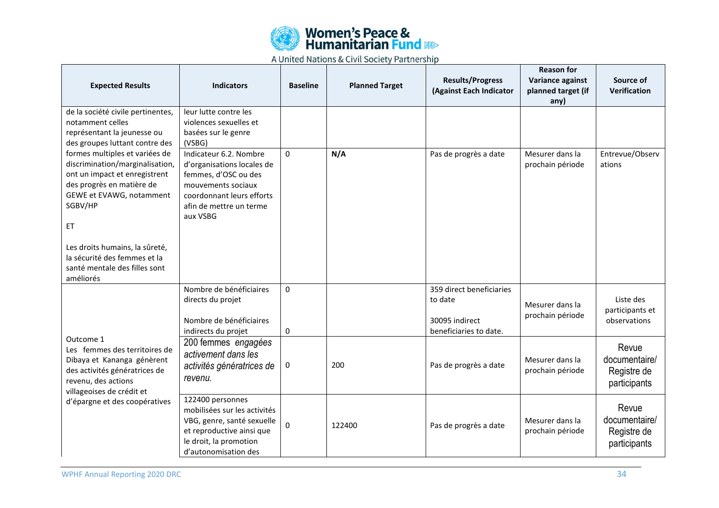

| <b>Expected Results</b>                                                                                                                                                                                                                        | <b>Indicators</b>                                                                                                                                                      | <b>Baseline</b> | <b>Planned Target</b> | <b>Results/Progress</b><br>(Against Each Indicator    | <b>Reason for</b><br>Variance against<br>planned target (if<br>any) | Source of<br>Verification                             |
|------------------------------------------------------------------------------------------------------------------------------------------------------------------------------------------------------------------------------------------------|------------------------------------------------------------------------------------------------------------------------------------------------------------------------|-----------------|-----------------------|-------------------------------------------------------|---------------------------------------------------------------------|-------------------------------------------------------|
| de la société civile pertinentes,<br>notamment celles<br>représentant la jeunesse ou                                                                                                                                                           | leur lutte contre les<br>violences sexuelles et<br>basées sur le genre                                                                                                 |                 |                       |                                                       |                                                                     |                                                       |
| des groupes luttant contre des                                                                                                                                                                                                                 | (VSBG)                                                                                                                                                                 |                 |                       |                                                       |                                                                     |                                                       |
| formes multiples et variées de<br>discrimination/marginalisation,<br>ont un impact et enregistrent<br>des progrès en matière de<br>GEWE et EVAWG, notamment<br>SGBV/HP<br>ET<br>Les droits humains, la sûreté,<br>la sécurité des femmes et la | Indicateur 6.2. Nombre<br>d'organisations locales de<br>femmes, d'OSC ou des<br>mouvements sociaux<br>coordonnant leurs efforts<br>afin de mettre un terme<br>aux VSBG | $\Omega$        | N/A                   | Pas de progrès a date                                 | Mesurer dans la<br>prochain période                                 | Entrevue/Observ<br>ations                             |
| santé mentale des filles sont<br>améliorés                                                                                                                                                                                                     |                                                                                                                                                                        |                 |                       |                                                       |                                                                     |                                                       |
|                                                                                                                                                                                                                                                | Nombre de bénéficiaires<br>directs du projet<br>Nombre de bénéficiaires                                                                                                | $\Omega$        |                       | 359 direct beneficiaries<br>to date<br>30095 indirect | Mesurer dans la<br>prochain période                                 | Liste des<br>participants et<br>observations          |
| Outcome 1                                                                                                                                                                                                                                      | indirects du projet                                                                                                                                                    | 0               |                       | beneficiaries to date.                                |                                                                     |                                                       |
| Les femmes des territoires de<br>Dibaya et Kananga génèrent<br>des activités génératrices de<br>revenu, des actions<br>villageoises de crédit et<br>d'épargne et des coopératives                                                              | 200 femmes engagées<br>activement dans les<br>activités génératrices de<br>revenu.                                                                                     | 0               | 200                   | Pas de progrès a date                                 | Mesurer dans la<br>prochain période                                 | Revue<br>documentaire/<br>Registre de<br>participants |
|                                                                                                                                                                                                                                                | 122400 personnes<br>mobilisées sur les activités<br>VBG, genre, santé sexuelle<br>et reproductive ainsi que<br>le droit, la promotion<br>d'autonomisation des          | 0               | 122400                | Pas de progrès a date                                 | Mesurer dans la<br>prochain période                                 | Revue<br>documentaire/<br>Registre de<br>participants |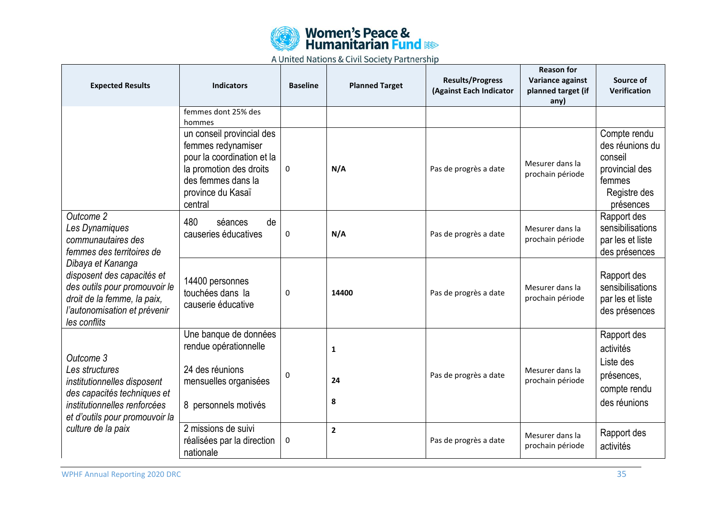![](_page_34_Picture_0.jpeg)

| <b>Expected Results</b>                                                                                                                                                                                                                           | <b>Indicators</b>                                                                                                                                              | <b>Baseline</b> | <b>Planned Target</b>   | <b>Results/Progress</b><br>(Against Each Indicator | <b>Reason for</b><br>Variance against<br>planned target (if<br>any) | Source of<br>Verification                                                                           |
|---------------------------------------------------------------------------------------------------------------------------------------------------------------------------------------------------------------------------------------------------|----------------------------------------------------------------------------------------------------------------------------------------------------------------|-----------------|-------------------------|----------------------------------------------------|---------------------------------------------------------------------|-----------------------------------------------------------------------------------------------------|
|                                                                                                                                                                                                                                                   | femmes dont 25% des<br>hommes                                                                                                                                  |                 |                         |                                                    |                                                                     |                                                                                                     |
|                                                                                                                                                                                                                                                   | un conseil provincial des<br>femmes redynamiser<br>pour la coordination et la<br>la promotion des droits<br>des femmes dans la<br>province du Kasaï<br>central | 0               | N/A                     | Pas de progrès a date                              | Mesurer dans la<br>prochain période                                 | Compte rendu<br>des réunions du<br>conseil<br>provincial des<br>femmes<br>Registre des<br>présences |
| Outcome 2<br>Les Dynamiques<br>communautaires des<br>femmes des territoires de<br>Dibaya et Kananga<br>disposent des capacités et<br>des outils pour promouvoir le<br>droit de la femme, la paix,<br>l'autonomisation et prévenir<br>les conflits | 480<br>séances<br>de<br>causeries éducatives                                                                                                                   | 0               | N/A                     | Pas de progrès a date                              | Mesurer dans la<br>prochain période                                 | Rapport des<br>sensibilisations<br>par les et liste<br>des présences                                |
|                                                                                                                                                                                                                                                   | 14400 personnes<br>touchées dans la<br>causerie éducative                                                                                                      | 0               | 14400                   | Pas de progrès a date                              | Mesurer dans la<br>prochain période                                 | Rapport des<br>sensibilisations<br>par les et liste<br>des présences                                |
| Outcome 3<br>Les structures<br>institutionnelles disposent<br>des capacités techniques et<br>institutionnelles renforcées<br>et d'outils pour promouvoir la<br>culture de la paix                                                                 | Une banque de données<br>rendue opérationnelle<br>24 des réunions<br>mensuelles organisées<br>8 personnels motivés                                             | 0               | 1<br>24<br>8            | Pas de progrès a date                              | Mesurer dans la<br>prochain période                                 | Rapport des<br>activités<br>Liste des<br>présences,<br>compte rendu<br>des réunions                 |
|                                                                                                                                                                                                                                                   | 2 missions de suivi<br>réalisées par la direction<br>nationale                                                                                                 | 0               | $\overline{\mathbf{2}}$ | Pas de progrès a date                              | Mesurer dans la<br>prochain période                                 | Rapport des<br>activités                                                                            |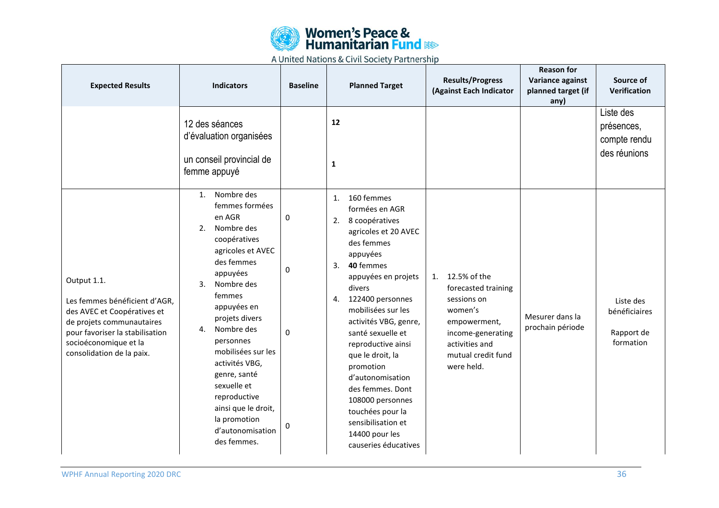![](_page_35_Picture_0.jpeg)

| <b>Expected Results</b>                                                                                                                                                                           | <b>Indicators</b>                                                                                                                                                                                                                                                                                                                                                                                | <b>Baseline</b>  | <b>Planned Target</b>                                                                                                                                                                                                                                                                                                                                                                                                                                                 | <b>Results/Progress</b><br>(Against Each Indicator                                                                                                             | <b>Reason for</b><br>Variance against<br>planned target (if<br>any) | Source of<br>Verification                               |
|---------------------------------------------------------------------------------------------------------------------------------------------------------------------------------------------------|--------------------------------------------------------------------------------------------------------------------------------------------------------------------------------------------------------------------------------------------------------------------------------------------------------------------------------------------------------------------------------------------------|------------------|-----------------------------------------------------------------------------------------------------------------------------------------------------------------------------------------------------------------------------------------------------------------------------------------------------------------------------------------------------------------------------------------------------------------------------------------------------------------------|----------------------------------------------------------------------------------------------------------------------------------------------------------------|---------------------------------------------------------------------|---------------------------------------------------------|
|                                                                                                                                                                                                   | 12 des séances<br>d'évaluation organisées<br>un conseil provincial de<br>femme appuyé                                                                                                                                                                                                                                                                                                            |                  | 12<br>$\mathbf{1}$                                                                                                                                                                                                                                                                                                                                                                                                                                                    |                                                                                                                                                                |                                                                     | Liste des<br>présences,<br>compte rendu<br>des réunions |
| Output 1.1.<br>Les femmes bénéficient d'AGR,<br>des AVEC et Coopératives et<br>de projets communautaires<br>pour favoriser la stabilisation<br>socioéconomique et la<br>consolidation de la paix. | Nombre des<br>1.<br>femmes formées<br>en AGR<br>2.<br>Nombre des<br>coopératives<br>agricoles et AVEC<br>des femmes<br>appuyées<br>Nombre des<br>3.<br>femmes<br>appuyées en<br>projets divers<br>Nombre des<br>4.<br>personnes<br>mobilisées sur les<br>activités VBG,<br>genre, santé<br>sexuelle et<br>reproductive<br>ainsi que le droit,<br>la promotion<br>d'autonomisation<br>des femmes. | 0<br>0<br>0<br>0 | 160 femmes<br>1.<br>formées en AGR<br>2.<br>8 coopératives<br>agricoles et 20 AVEC<br>des femmes<br>appuyées<br>3.<br>40 femmes<br>appuyées en projets<br>divers<br>122400 personnes<br>4.<br>mobilisées sur les<br>activités VBG, genre,<br>santé sexuelle et<br>reproductive ainsi<br>que le droit, la<br>promotion<br>d'autonomisation<br>des femmes. Dont<br>108000 personnes<br>touchées pour la<br>sensibilisation et<br>14400 pour les<br>causeries éducatives | 12.5% of the<br>1.<br>forecasted training<br>sessions on<br>women's<br>empowerment,<br>income-generating<br>activities and<br>mutual credit fund<br>were held. | Mesurer dans la<br>prochain période                                 | Liste des<br>bénéficiaires<br>Rapport de<br>formation   |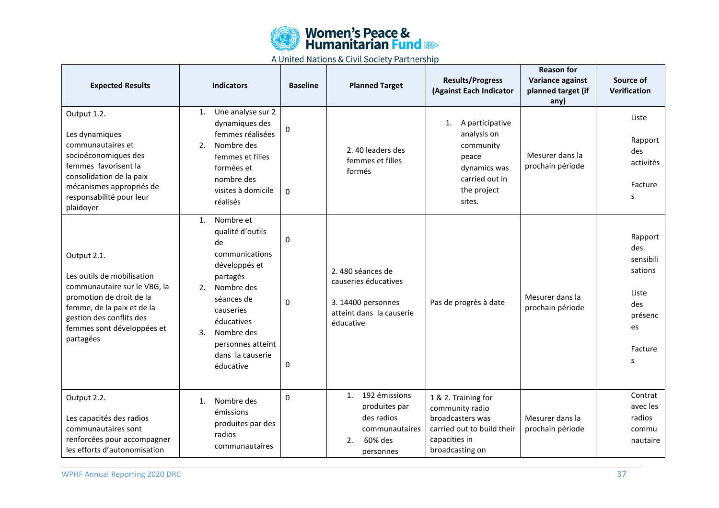![](_page_36_Picture_0.jpeg)

| <b>Expected Results</b>                                                                                                                                                                                    | <b>Indicators</b>                                                                                                                                                                                                               | <b>Baseline</b>        | <b>Planned Target</b>                                                                                   | <b>Results/Progress</b><br>(Against Each Indicator                                                                           | <b>Reason for</b><br>Variance against<br>planned target (if<br>any) | Source of<br>Verification                                                               |
|------------------------------------------------------------------------------------------------------------------------------------------------------------------------------------------------------------|---------------------------------------------------------------------------------------------------------------------------------------------------------------------------------------------------------------------------------|------------------------|---------------------------------------------------------------------------------------------------------|------------------------------------------------------------------------------------------------------------------------------|---------------------------------------------------------------------|-----------------------------------------------------------------------------------------|
| Output 1.2.<br>Les dynamiques<br>communautaires et<br>socioéconomiques des<br>femmes favorisent la<br>consolidation de la paix<br>mécanismes appropriés de<br>responsabilité pour leur<br>plaidoyer        | Une analyse sur 2<br>1.<br>dynamiques des<br>femmes réalisées<br>Nombre des<br>2.<br>femmes et filles<br>formées et<br>nombre des<br>visites à domicile<br>réalisés                                                             | 0<br>$\Omega$          | 2.40 leaders des<br>femmes et filles<br>formés                                                          | 1. A participative<br>analysis on<br>community<br>peace<br>dynamics was<br>carried out in<br>the project<br>sites.           | Mesurer dans la<br>prochain période                                 | Liste<br>Rapport<br>des<br>activités<br>Facture<br>s                                    |
| Output 2.1.<br>Les outils de mobilisation<br>communautaire sur le VBG, la<br>promotion de droit de la<br>femme, de la paix et de la<br>gestion des conflits des<br>femmes sont développées et<br>partagées | Nombre et<br>1.<br>qualité d'outils<br>de<br>communications<br>développés et<br>partagés<br>2.<br>Nombre des<br>séances de<br>causeries<br>éducatives<br>Nombre des<br>3.<br>personnes atteint<br>dans la causerie<br>éducative | 0<br>$\mathbf{0}$<br>0 | 2.480 séances de<br>causeries éducatives<br>3. 14400 personnes<br>atteint dans la causerie<br>éducative | Pas de progrès à date                                                                                                        | Mesurer dans la<br>prochain période                                 | Rapport<br>des<br>sensibili<br>sations<br>Liste<br>des<br>présenc<br>es<br>Facture<br>s |
| Output 2.2.<br>Les capacités des radios<br>communautaires sont<br>renforcées pour accompagner<br>les efforts d'autonomisation                                                                              | Nombre des<br>1.<br>émissions<br>produites par des<br>radios<br>communautaires                                                                                                                                                  | $\Omega$               | 192 émissions<br>1.<br>produites par<br>des radios<br>communautaires<br>60% des<br>2.<br>personnes      | 1 & 2. Training for<br>community radio<br>broadcasters was<br>carried out to build their<br>capacities in<br>broadcasting on | Mesurer dans la<br>prochain période                                 | Contrat<br>avec les<br>radios<br>commu<br>nautaire                                      |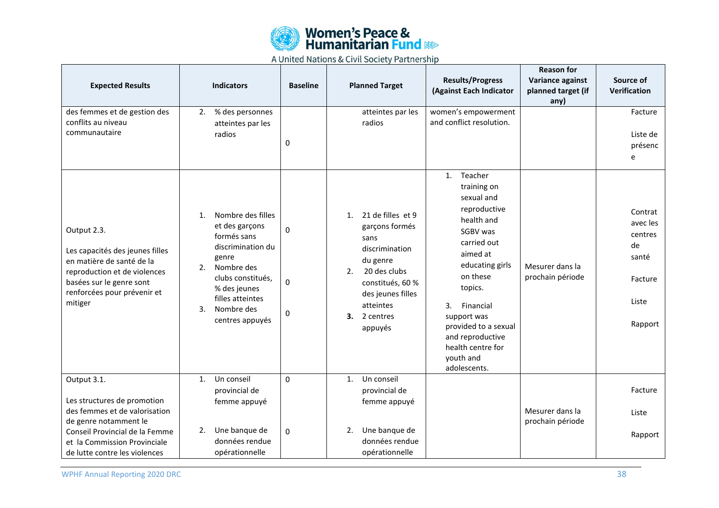![](_page_37_Picture_0.jpeg)

| <b>Expected Results</b>                                                                                                                                                           | <b>Indicators</b>                                                                                                                                                                                                      | <b>Baseline</b> | <b>Planned Target</b>                                                                                                                                                                     | <b>Results/Progress</b><br>(Against Each Indicator                                                                                                                                                                                                                                                    | <b>Reason for</b><br>Variance against<br>planned target (if<br>any) | Source of<br>Verification                                                    |
|-----------------------------------------------------------------------------------------------------------------------------------------------------------------------------------|------------------------------------------------------------------------------------------------------------------------------------------------------------------------------------------------------------------------|-----------------|-------------------------------------------------------------------------------------------------------------------------------------------------------------------------------------------|-------------------------------------------------------------------------------------------------------------------------------------------------------------------------------------------------------------------------------------------------------------------------------------------------------|---------------------------------------------------------------------|------------------------------------------------------------------------------|
| des femmes et de gestion des<br>conflits au niveau<br>communautaire                                                                                                               | 2.<br>% des personnes<br>atteintes par les<br>radios                                                                                                                                                                   | 0               | atteintes par les<br>radios                                                                                                                                                               | women's empowerment<br>and conflict resolution.                                                                                                                                                                                                                                                       |                                                                     | Facture<br>Liste de<br>présenc<br>e                                          |
| Output 2.3.<br>Les capacités des jeunes filles<br>en matière de santé de la<br>reproduction et de violences<br>basées sur le genre sont<br>renforcées pour prévenir et<br>mitiger | Nombre des filles<br>1 <sub>1</sub><br>et des garçons<br>formés sans<br>discrimination du<br>genre<br>Nombre des<br>2.<br>clubs constitués,<br>% des jeunes<br>filles atteintes<br>Nombre des<br>3.<br>centres appuyés | 0<br>0<br>0     | 21 de filles et 9<br>1.<br>garçons formés<br>sans<br>discrimination<br>du genre<br>2.<br>20 des clubs<br>constitués, 60 %<br>des jeunes filles<br>atteintes<br>З.<br>2 centres<br>appuyés | Teacher<br>$\mathbf{1}$ .<br>training on<br>sexual and<br>reproductive<br>health and<br>SGBV was<br>carried out<br>aimed at<br>educating girls<br>on these<br>topics.<br>3.<br>Financial<br>support was<br>provided to a sexual<br>and reproductive<br>health centre for<br>youth and<br>adolescents. | Mesurer dans la<br>prochain période                                 | Contrat<br>avec les<br>centres<br>de<br>santé<br>Facture<br>Liste<br>Rapport |
| Output 3.1.<br>Les structures de promotion<br>des femmes et de valorisation                                                                                                       | Un conseil<br>$\mathbf{1}$ .<br>provincial de<br>femme appuyé                                                                                                                                                          | 0               | Un conseil<br>1.<br>provincial de<br>femme appuyé                                                                                                                                         |                                                                                                                                                                                                                                                                                                       | Mesurer dans la                                                     | Facture                                                                      |
| de genre notamment le<br>Conseil Provincial de la Femme<br>et la Commission Provinciale<br>de lutte contre les violences                                                          | Une banque de<br>2.<br>données rendue<br>opérationnelle                                                                                                                                                                | 0               | Une banque de<br>2.<br>données rendue<br>opérationnelle                                                                                                                                   |                                                                                                                                                                                                                                                                                                       | prochain période                                                    | Liste<br>Rapport                                                             |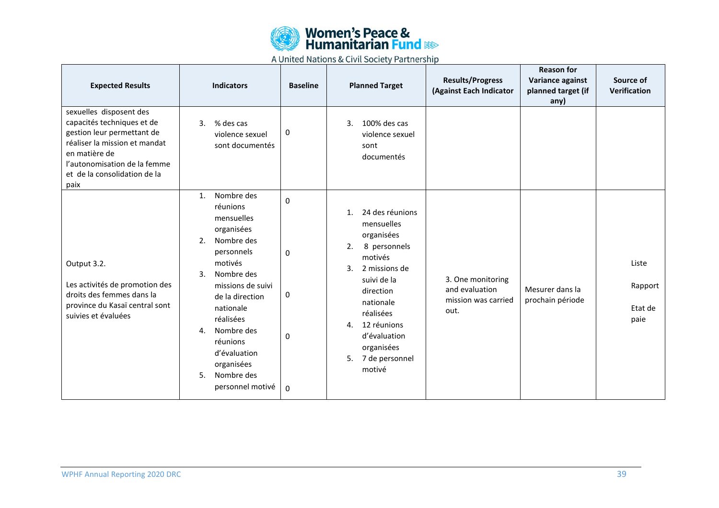![](_page_38_Picture_0.jpeg)

| <b>Expected Results</b>                                                                                                                                                                                       | <b>Indicators</b>                                                                                                                                                                                                                                                                                             | <b>Baseline</b>       | <b>Planned Target</b>                                                                                                                                                                                                                                            | <b>Results/Progress</b><br>(Against Each Indicator                 | <b>Reason for</b><br>Variance against<br>planned target (if<br>any) | Source of<br>Verification           |
|---------------------------------------------------------------------------------------------------------------------------------------------------------------------------------------------------------------|---------------------------------------------------------------------------------------------------------------------------------------------------------------------------------------------------------------------------------------------------------------------------------------------------------------|-----------------------|------------------------------------------------------------------------------------------------------------------------------------------------------------------------------------------------------------------------------------------------------------------|--------------------------------------------------------------------|---------------------------------------------------------------------|-------------------------------------|
| sexuelles disposent des<br>capacités techniques et de<br>gestion leur permettant de<br>réaliser la mission et mandat<br>en matière de<br>l'autonomisation de la femme<br>et de la consolidation de la<br>paix | % des cas<br>3.<br>violence sexuel<br>sont documentés                                                                                                                                                                                                                                                         | 0                     | 3.<br>100% des cas<br>violence sexuel<br>sont<br>documentés                                                                                                                                                                                                      |                                                                    |                                                                     |                                     |
| Output 3.2.<br>Les activités de promotion des<br>droits des femmes dans la<br>province du Kasaï central sont<br>suivies et évaluées                                                                           | Nombre des<br>$\mathbf{1}$ .<br>réunions<br>mensuelles<br>organisées<br>Nombre des<br>2.<br>personnels<br>motivés<br>Nombre des<br>3.<br>missions de suivi<br>de la direction<br>nationale<br>réalisées<br>Nombre des<br>4.<br>réunions<br>d'évaluation<br>organisées<br>Nombre des<br>5.<br>personnel motivé | 0<br>0<br>0<br>0<br>0 | 24 des réunions<br>1.<br>mensuelles<br>organisées<br>8 personnels<br>2.<br>motivés<br>3.<br>2 missions de<br>suivi de la<br>direction<br>nationale<br>réalisées<br>12 réunions<br>$\mathbf{4}$ .<br>d'évaluation<br>organisées<br>7 de personnel<br>5.<br>motivé | 3. One monitoring<br>and evaluation<br>mission was carried<br>out. | Mesurer dans la<br>prochain période                                 | Liste<br>Rapport<br>Etat de<br>paie |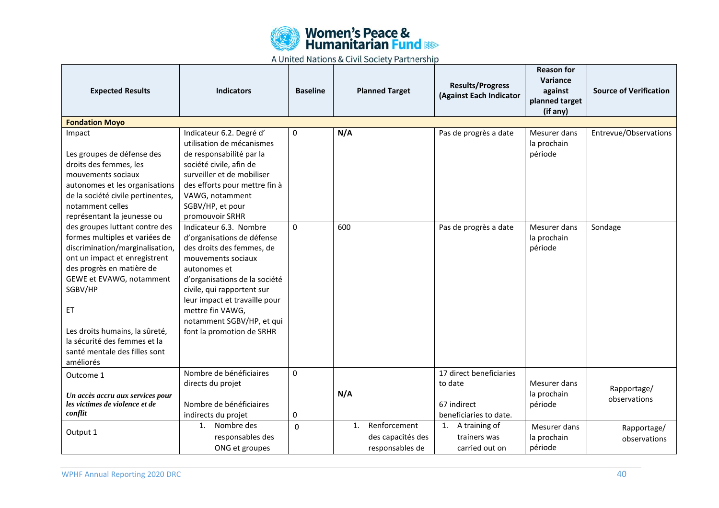![](_page_39_Picture_0.jpeg)

| <b>Expected Results</b>                               | <b>Indicators</b>                                     | <b>Baseline</b> |                | <b>Planned Target</b> | <b>Results/Progress</b><br>(Against Each Indicator | <b>Reason for</b><br>Variance<br>against<br>planned target | <b>Source of Verification</b> |
|-------------------------------------------------------|-------------------------------------------------------|-----------------|----------------|-----------------------|----------------------------------------------------|------------------------------------------------------------|-------------------------------|
|                                                       |                                                       |                 |                |                       |                                                    | (if any)                                                   |                               |
| <b>Fondation Moyo</b>                                 |                                                       |                 |                |                       |                                                    |                                                            |                               |
| Impact                                                | Indicateur 6.2. Degré d'                              | 0               | N/A            |                       | Pas de progrès a date                              | Mesurer dans                                               | Entrevue/Observations         |
|                                                       | utilisation de mécanismes                             |                 |                |                       |                                                    | la prochain                                                |                               |
| Les groupes de défense des                            | de responsabilité par la                              |                 |                |                       |                                                    | période                                                    |                               |
| droits des femmes, les                                | société civile, afin de<br>surveiller et de mobiliser |                 |                |                       |                                                    |                                                            |                               |
| mouvements sociaux                                    |                                                       |                 |                |                       |                                                    |                                                            |                               |
| autonomes et les organisations                        | des efforts pour mettre fin à<br>VAWG, notamment      |                 |                |                       |                                                    |                                                            |                               |
| de la société civile pertinentes,<br>notamment celles | SGBV/HP, et pour                                      |                 |                |                       |                                                    |                                                            |                               |
| représentant la jeunesse ou                           | promouvoir SRHR                                       |                 |                |                       |                                                    |                                                            |                               |
| des groupes luttant contre des                        | Indicateur 6.3. Nombre                                | $\Omega$        | 600            |                       | Pas de progrès a date                              | Mesurer dans                                               | Sondage                       |
| formes multiples et variées de                        | d'organisations de défense                            |                 |                |                       |                                                    | la prochain                                                |                               |
| discrimination/marginalisation,                       | des droits des femmes, de                             |                 |                |                       |                                                    | période                                                    |                               |
| ont un impact et enregistrent                         | mouvements sociaux                                    |                 |                |                       |                                                    |                                                            |                               |
| des progrès en matière de                             | autonomes et                                          |                 |                |                       |                                                    |                                                            |                               |
| GEWE et EVAWG, notamment                              | d'organisations de la société                         |                 |                |                       |                                                    |                                                            |                               |
| SGBV/HP                                               | civile, qui rapportent sur                            |                 |                |                       |                                                    |                                                            |                               |
|                                                       | leur impact et travaille pour                         |                 |                |                       |                                                    |                                                            |                               |
| ET                                                    | mettre fin VAWG,                                      |                 |                |                       |                                                    |                                                            |                               |
|                                                       | notamment SGBV/HP, et qui                             |                 |                |                       |                                                    |                                                            |                               |
| Les droits humains, la sûreté,                        | font la promotion de SRHR                             |                 |                |                       |                                                    |                                                            |                               |
| la sécurité des femmes et la                          |                                                       |                 |                |                       |                                                    |                                                            |                               |
| santé mentale des filles sont                         |                                                       |                 |                |                       |                                                    |                                                            |                               |
| améliorés                                             |                                                       |                 |                |                       |                                                    |                                                            |                               |
| Outcome 1                                             | Nombre de bénéficiaires                               | 0               |                |                       | 17 direct beneficiaries                            |                                                            |                               |
|                                                       | directs du projet                                     |                 |                |                       | to date                                            | Mesurer dans                                               |                               |
| Un accès accru aux services pour                      |                                                       |                 | N/A            |                       |                                                    | la prochain                                                | Rapportage/                   |
| les victimes de violence et de                        | Nombre de bénéficiaires                               |                 |                |                       | 67 indirect                                        | période                                                    | observations                  |
| conflit                                               | indirects du projet                                   | 0               |                |                       | beneficiaries to date.                             |                                                            |                               |
|                                                       | Nombre des<br>1.                                      | $\mathbf{0}$    | $\mathbf{1}$ . | Renforcement          | 1. A training of                                   | Mesurer dans                                               | Rapportage/                   |
| Output 1                                              | responsables des                                      |                 |                | des capacités des     | trainers was                                       | la prochain                                                | observations                  |
|                                                       | ONG et groupes                                        |                 |                | responsables de       | carried out on                                     | période                                                    |                               |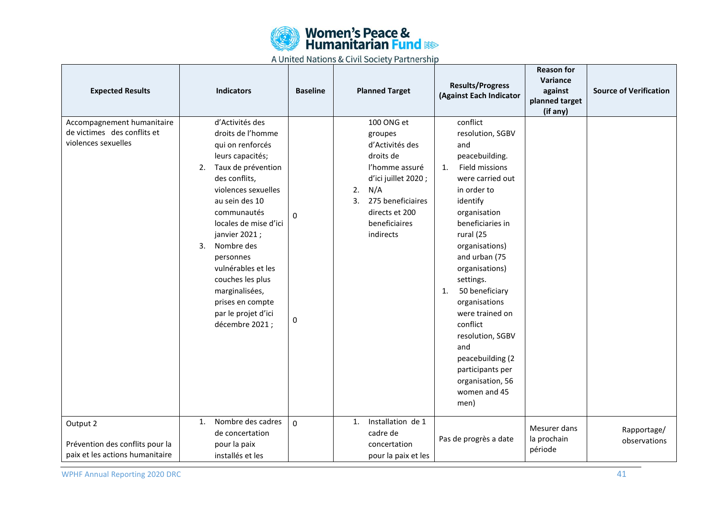![](_page_40_Picture_0.jpeg)

| <b>Expected Results</b>                                                          | <b>Indicators</b>                                                                                                                                                                                                                                                                                                                                                                      | <b>Baseline</b> | <b>Planned Target</b>                                                                                                                                                                  | <b>Results/Progress</b><br>(Against Each Indicator                                                                                                                                                                                                                                                                                                                                                                                     | <b>Reason for</b><br>Variance<br>against<br>planned target<br>(if any) | <b>Source of Verification</b> |
|----------------------------------------------------------------------------------|----------------------------------------------------------------------------------------------------------------------------------------------------------------------------------------------------------------------------------------------------------------------------------------------------------------------------------------------------------------------------------------|-----------------|----------------------------------------------------------------------------------------------------------------------------------------------------------------------------------------|----------------------------------------------------------------------------------------------------------------------------------------------------------------------------------------------------------------------------------------------------------------------------------------------------------------------------------------------------------------------------------------------------------------------------------------|------------------------------------------------------------------------|-------------------------------|
| Accompagnement humanitaire<br>de victimes des conflits et<br>violences sexuelles | d'Activités des<br>droits de l'homme<br>qui on renforcés<br>leurs capacités;<br>Taux de prévention<br>2.<br>des conflits,<br>violences sexuelles<br>au sein des 10<br>communautés<br>locales de mise d'ici<br>janvier 2021;<br>3.<br>Nombre des<br>personnes<br>vulnérables et les<br>couches les plus<br>marginalisées,<br>prises en compte<br>par le projet d'ici<br>décembre 2021 ; | 0<br>0          | 100 ONG et<br>groupes<br>d'Activités des<br>droits de<br>l'homme assuré<br>d'ici juillet 2020;<br>N/A<br>2.<br>275 beneficiaires<br>3.<br>directs et 200<br>beneficiaires<br>indirects | conflict<br>resolution, SGBV<br>and<br>peacebuilding.<br>Field missions<br>1.<br>were carried out<br>in order to<br>identify<br>organisation<br>beneficiaries in<br>rural (25<br>organisations)<br>and urban (75<br>organisations)<br>settings.<br>50 beneficiary<br>1.<br>organisations<br>were trained on<br>conflict<br>resolution, SGBV<br>and<br>peacebuilding (2<br>participants per<br>organisation, 56<br>women and 45<br>men) |                                                                        |                               |
| Output 2<br>Prévention des conflits pour la<br>paix et les actions humanitaire   | Nombre des cadres<br>1.<br>de concertation<br>pour la paix<br>installés et les                                                                                                                                                                                                                                                                                                         | $\mathbf 0$     | Installation de 1<br>1.<br>cadre de<br>concertation<br>pour la paix et les                                                                                                             | Pas de progrès a date                                                                                                                                                                                                                                                                                                                                                                                                                  | Mesurer dans<br>la prochain<br>période                                 | Rapportage/<br>observations   |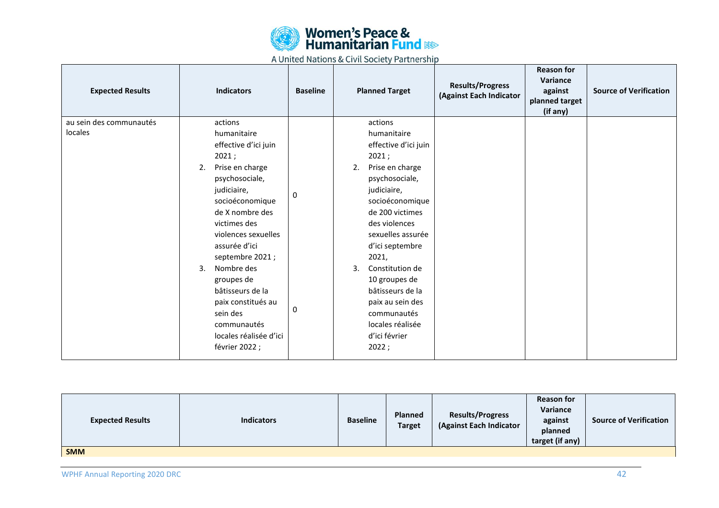![](_page_41_Picture_0.jpeg)

| <b>Expected Results</b>            | <b>Indicators</b>                        | <b>Baseline</b> | <b>Planned Target</b> |                                | <b>Results/Progress</b><br>(Against Each Indicator | <b>Reason for</b><br>Variance<br>against<br>planned target<br>(if any) | <b>Source of Verification</b> |
|------------------------------------|------------------------------------------|-----------------|-----------------------|--------------------------------|----------------------------------------------------|------------------------------------------------------------------------|-------------------------------|
| au sein des communautés<br>locales | actions<br>humanitaire                   |                 |                       | actions<br>humanitaire         |                                                    |                                                                        |                               |
|                                    | effective d'ici juin                     |                 |                       | effective d'ici juin           |                                                    |                                                                        |                               |
|                                    | 2021;                                    |                 |                       | 2021;                          |                                                    |                                                                        |                               |
|                                    | Prise en charge<br>2.                    |                 | 2.                    | Prise en charge                |                                                    |                                                                        |                               |
|                                    | psychosociale,                           |                 |                       | psychosociale,                 |                                                    |                                                                        |                               |
|                                    | judiciaire,<br>socioéconomique           | 0               |                       | judiciaire,<br>socioéconomique |                                                    |                                                                        |                               |
|                                    | de X nombre des                          |                 |                       | de 200 victimes                |                                                    |                                                                        |                               |
|                                    | victimes des                             |                 |                       | des violences                  |                                                    |                                                                        |                               |
|                                    | violences sexuelles                      |                 |                       | sexuelles assurée              |                                                    |                                                                        |                               |
|                                    | assurée d'ici                            |                 |                       | d'ici septembre                |                                                    |                                                                        |                               |
|                                    | septembre 2021;<br>Nombre des<br>3.      |                 | 3.                    | 2021,<br>Constitution de       |                                                    |                                                                        |                               |
|                                    | groupes de                               |                 |                       | 10 groupes de                  |                                                    |                                                                        |                               |
|                                    | bâtisseurs de la                         |                 |                       | bâtisseurs de la               |                                                    |                                                                        |                               |
|                                    | paix constitués au                       |                 |                       | paix au sein des               |                                                    |                                                                        |                               |
|                                    | sein des                                 | 0               |                       | communautés                    |                                                    |                                                                        |                               |
|                                    | communautés                              |                 |                       | locales réalisée               |                                                    |                                                                        |                               |
|                                    | locales réalisée d'ici<br>février 2022 ; |                 |                       | d'ici février<br>2022;         |                                                    |                                                                        |                               |
|                                    |                                          |                 |                       |                                |                                                    |                                                                        |                               |

| <b>Expected Results</b> | <b>Indicators</b> | <b>Baseline</b> | <b>Planned</b><br><b>Target</b> | <b>Results/Progress</b><br>(Against Each Indicator | <b>Reason for</b><br>Variance<br>against<br>planned<br>target (if any) | <b>Source of Verification</b> |
|-------------------------|-------------------|-----------------|---------------------------------|----------------------------------------------------|------------------------------------------------------------------------|-------------------------------|
| <b>SMM</b>              |                   |                 |                                 |                                                    |                                                                        |                               |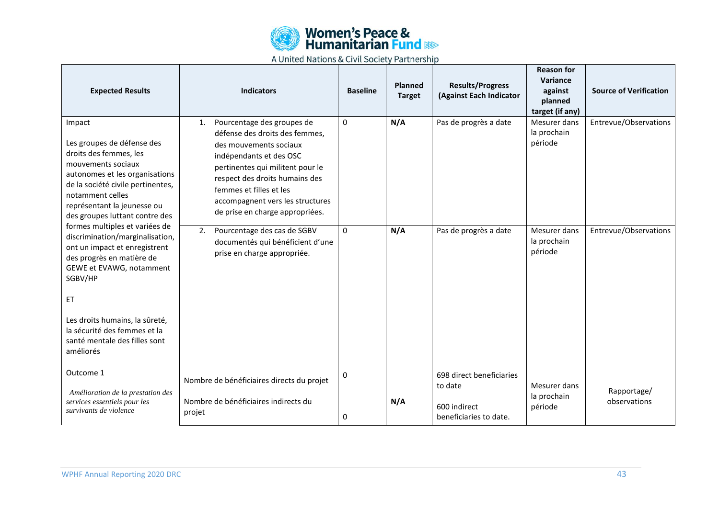![](_page_42_Picture_0.jpeg)

| <b>Expected Results</b>                                                                                                                                                                                                                          | <b>Indicators</b>                                                                                                                                                                                                                                                                               | <b>Baseline</b> | <b>Planned</b><br><b>Target</b> | <b>Results/Progress</b><br>(Against Each Indicator                            | <b>Reason for</b><br>Variance<br>against<br>planned<br>target (if any) | <b>Source of Verification</b> |
|--------------------------------------------------------------------------------------------------------------------------------------------------------------------------------------------------------------------------------------------------|-------------------------------------------------------------------------------------------------------------------------------------------------------------------------------------------------------------------------------------------------------------------------------------------------|-----------------|---------------------------------|-------------------------------------------------------------------------------|------------------------------------------------------------------------|-------------------------------|
| Impact<br>Les groupes de défense des<br>droits des femmes, les<br>mouvements sociaux<br>autonomes et les organisations<br>de la société civile pertinentes,<br>notamment celles<br>représentant la jeunesse ou<br>des groupes luttant contre des | Pourcentage des groupes de<br>1.<br>défense des droits des femmes,<br>des mouvements sociaux<br>indépendants et des OSC<br>pertinentes qui militent pour le<br>respect des droits humains des<br>femmes et filles et les<br>accompagnent vers les structures<br>de prise en charge appropriées. | 0               | N/A                             | Pas de progrès a date                                                         | Mesurer dans<br>la prochain<br>période                                 | Entrevue/Observations         |
| formes multiples et variées de<br>discrimination/marginalisation,<br>ont un impact et enregistrent<br>des progrès en matière de<br>GEWE et EVAWG, notamment<br>SGBV/HP<br>ET                                                                     | Pourcentage des cas de SGBV<br>2.<br>documentés qui bénéficient d'une<br>prise en charge appropriée.                                                                                                                                                                                            | $\Omega$        | N/A                             | Pas de progrès a date                                                         | Mesurer dans<br>la prochain<br>période                                 | Entrevue/Observations         |
| Les droits humains, la sûreté,<br>la sécurité des femmes et la<br>santé mentale des filles sont<br>améliorés                                                                                                                                     |                                                                                                                                                                                                                                                                                                 |                 |                                 |                                                                               |                                                                        |                               |
| Outcome 1<br>Amélioration de la prestation des<br>services essentiels pour les<br>survivants de violence                                                                                                                                         | Nombre de bénéficiaires directs du projet<br>Nombre de bénéficiaires indirects du<br>projet                                                                                                                                                                                                     | 0<br>0          | N/A                             | 698 direct beneficiaries<br>to date<br>600 indirect<br>beneficiaries to date. | Mesurer dans<br>la prochain<br>période                                 | Rapportage/<br>observations   |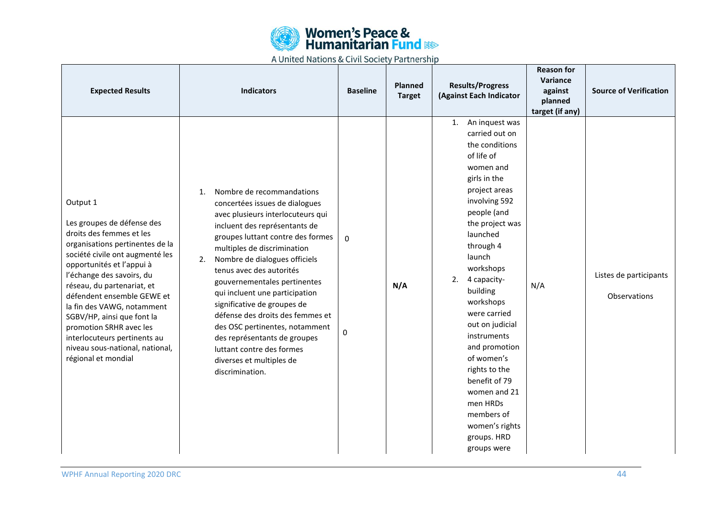![](_page_43_Picture_0.jpeg)

| <b>Expected Results</b>                                                                                                                                                                                                                                                                                                                                                                                                                         | <b>Indicators</b>                                                                                                                                                                                                                                                                                                                                                                                                                                                                                                                                                 | <b>Baseline</b> | <b>Planned</b><br><b>Target</b> | <b>Results/Progress</b><br>(Against Each Indicator                                                                                                                                                                                                                                                                                                                                                                                                                                 | <b>Reason for</b><br>Variance<br>against<br>planned<br>target (if any) | <b>Source of Verification</b>          |
|-------------------------------------------------------------------------------------------------------------------------------------------------------------------------------------------------------------------------------------------------------------------------------------------------------------------------------------------------------------------------------------------------------------------------------------------------|-------------------------------------------------------------------------------------------------------------------------------------------------------------------------------------------------------------------------------------------------------------------------------------------------------------------------------------------------------------------------------------------------------------------------------------------------------------------------------------------------------------------------------------------------------------------|-----------------|---------------------------------|------------------------------------------------------------------------------------------------------------------------------------------------------------------------------------------------------------------------------------------------------------------------------------------------------------------------------------------------------------------------------------------------------------------------------------------------------------------------------------|------------------------------------------------------------------------|----------------------------------------|
| Output 1<br>Les groupes de défense des<br>droits des femmes et les<br>organisations pertinentes de la<br>société civile ont augmenté les<br>opportunités et l'appui à<br>l'échange des savoirs, du<br>réseau, du partenariat, et<br>défendent ensemble GEWE et<br>la fin des VAWG, notamment<br>SGBV/HP, ainsi que font la<br>promotion SRHR avec les<br>interlocuteurs pertinents au<br>niveau sous-national, national,<br>régional et mondial | Nombre de recommandations<br>1.<br>concertées issues de dialogues<br>avec plusieurs interlocuteurs qui<br>incluent des représentants de<br>groupes luttant contre des formes<br>multiples de discrimination<br>Nombre de dialogues officiels<br>2.<br>tenus avec des autorités<br>gouvernementales pertinentes<br>qui incluent une participation<br>significative de groupes de<br>défense des droits des femmes et<br>des OSC pertinentes, notamment<br>des représentants de groupes<br>luttant contre des formes<br>diverses et multiples de<br>discrimination. | $\Omega$<br>0   | N/A                             | An inquest was<br>1.<br>carried out on<br>the conditions<br>of life of<br>women and<br>girls in the<br>project areas<br>involving 592<br>people (and<br>the project was<br>launched<br>through 4<br>launch<br>workshops<br>2.<br>4 capacity-<br>building<br>workshops<br>were carried<br>out on judicial<br>instruments<br>and promotion<br>of women's<br>rights to the<br>benefit of 79<br>women and 21<br>men HRDs<br>members of<br>women's rights<br>groups. HRD<br>groups were | N/A                                                                    | Listes de participants<br>Observations |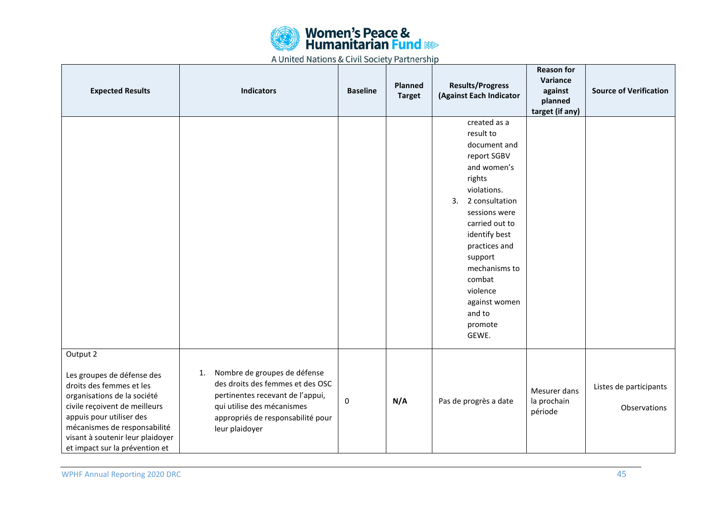![](_page_44_Picture_0.jpeg)

| <b>Expected Results</b>                                                                                                                                                                                                                                              | <b>Indicators</b>                                                                                                                                                                               | <b>Baseline</b> | <b>Planned</b><br><b>Target</b> | <b>Results/Progress</b><br>(Against Each Indicator                                                                                                                                                                                                                                             | <b>Reason for</b><br>Variance<br>against<br>planned<br>target (if any) | <b>Source of Verification</b>          |
|----------------------------------------------------------------------------------------------------------------------------------------------------------------------------------------------------------------------------------------------------------------------|-------------------------------------------------------------------------------------------------------------------------------------------------------------------------------------------------|-----------------|---------------------------------|------------------------------------------------------------------------------------------------------------------------------------------------------------------------------------------------------------------------------------------------------------------------------------------------|------------------------------------------------------------------------|----------------------------------------|
|                                                                                                                                                                                                                                                                      |                                                                                                                                                                                                 |                 |                                 | created as a<br>result to<br>document and<br>report SGBV<br>and women's<br>rights<br>violations.<br>2 consultation<br>3.<br>sessions were<br>carried out to<br>identify best<br>practices and<br>support<br>mechanisms to<br>combat<br>violence<br>against women<br>and to<br>promote<br>GEWE. |                                                                        |                                        |
| Output 2<br>Les groupes de défense des<br>droits des femmes et les<br>organisations de la société<br>civile reçoivent de meilleurs<br>appuis pour utiliser des<br>mécanismes de responsabilité<br>visant à soutenir leur plaidoyer<br>et impact sur la prévention et | Nombre de groupes de défense<br>1.<br>des droits des femmes et des OSC<br>pertinentes recevant de l'appui,<br>qui utilise des mécanismes<br>appropriés de responsabilité pour<br>leur plaidoyer | $\mathbf 0$     | N/A                             | Pas de progrès a date                                                                                                                                                                                                                                                                          | Mesurer dans<br>la prochain<br>période                                 | Listes de participants<br>Observations |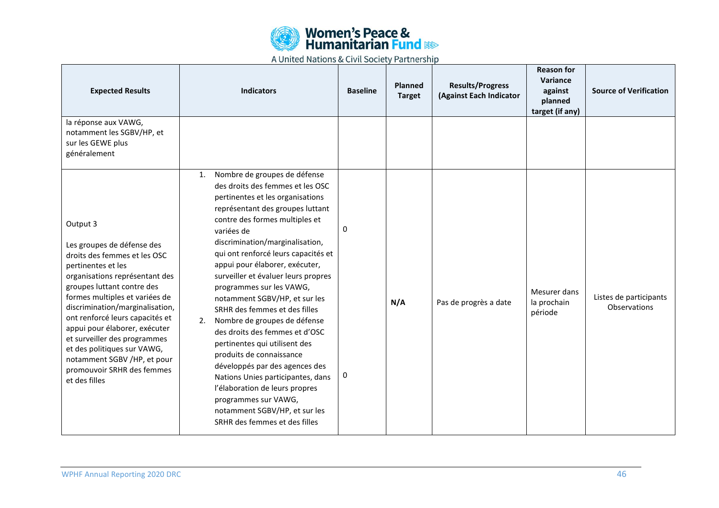![](_page_45_Picture_0.jpeg)

| <b>Expected Results</b>                                                                                                                                                                                                                                                                                                                                                                                                                            | <b>Indicators</b>                                                                                                                                                                                                                                                                                                                                                                                                                                                                                                                                                                                                                                                                                                                                                                       | <b>Baseline</b>  | Planned<br><b>Target</b> | <b>Results/Progress</b><br>(Against Each Indicator | <b>Reason for</b><br>Variance<br>against<br>planned<br>target (if any) | <b>Source of Verification</b>          |
|----------------------------------------------------------------------------------------------------------------------------------------------------------------------------------------------------------------------------------------------------------------------------------------------------------------------------------------------------------------------------------------------------------------------------------------------------|-----------------------------------------------------------------------------------------------------------------------------------------------------------------------------------------------------------------------------------------------------------------------------------------------------------------------------------------------------------------------------------------------------------------------------------------------------------------------------------------------------------------------------------------------------------------------------------------------------------------------------------------------------------------------------------------------------------------------------------------------------------------------------------------|------------------|--------------------------|----------------------------------------------------|------------------------------------------------------------------------|----------------------------------------|
| la réponse aux VAWG,<br>notamment les SGBV/HP, et<br>sur les GEWE plus<br>généralement                                                                                                                                                                                                                                                                                                                                                             |                                                                                                                                                                                                                                                                                                                                                                                                                                                                                                                                                                                                                                                                                                                                                                                         |                  |                          |                                                    |                                                                        |                                        |
| Output 3<br>Les groupes de défense des<br>droits des femmes et les OSC<br>pertinentes et les<br>organisations représentant des<br>groupes luttant contre des<br>formes multiples et variées de<br>discrimination/marginalisation,<br>ont renforcé leurs capacités et<br>appui pour élaborer, exécuter<br>et surveiller des programmes<br>et des politiques sur VAWG,<br>notamment SGBV /HP, et pour<br>promouvoir SRHR des femmes<br>et des filles | Nombre de groupes de défense<br>1.<br>des droits des femmes et les OSC<br>pertinentes et les organisations<br>représentant des groupes luttant<br>contre des formes multiples et<br>variées de<br>discrimination/marginalisation,<br>qui ont renforcé leurs capacités et<br>appui pour élaborer, exécuter,<br>surveiller et évaluer leurs propres<br>programmes sur les VAWG,<br>notamment SGBV/HP, et sur les<br>SRHR des femmes et des filles<br>Nombre de groupes de défense<br>2.<br>des droits des femmes et d'OSC<br>pertinentes qui utilisent des<br>produits de connaissance<br>développés par des agences des<br>Nations Unies participantes, dans<br>l'élaboration de leurs propres<br>programmes sur VAWG,<br>notamment SGBV/HP, et sur les<br>SRHR des femmes et des filles | $\mathbf 0$<br>0 | N/A                      | Pas de progrès a date                              | Mesurer dans<br>la prochain<br>période                                 | Listes de participants<br>Observations |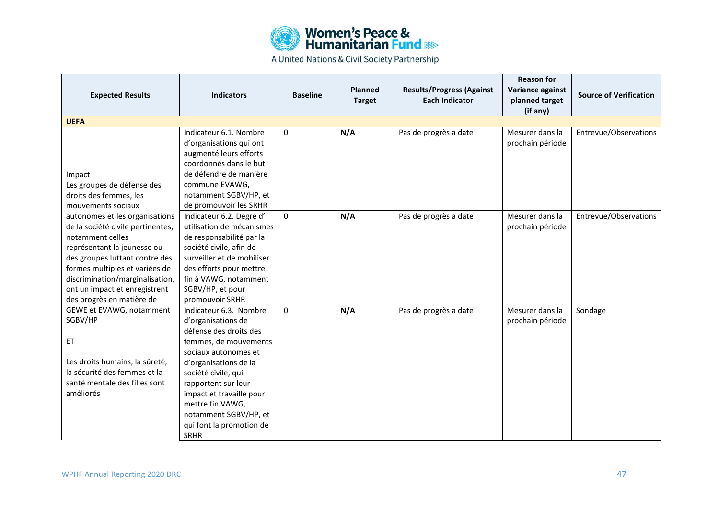![](_page_46_Picture_0.jpeg)

|                                   |                            |                 |                |                                  | <b>Reason for</b> |                               |
|-----------------------------------|----------------------------|-----------------|----------------|----------------------------------|-------------------|-------------------------------|
| <b>Expected Results</b>           | <b>Indicators</b>          | <b>Baseline</b> | <b>Planned</b> | <b>Results/Progress (Against</b> | Variance against  | <b>Source of Verification</b> |
|                                   |                            |                 | <b>Target</b>  | <b>Each Indicator</b>            | planned target    |                               |
|                                   |                            |                 |                |                                  | (if any)          |                               |
| <b>UEFA</b>                       |                            |                 |                |                                  |                   |                               |
|                                   | Indicateur 6.1. Nombre     | $\mathbf 0$     | N/A            | Pas de progrès a date            | Mesurer dans la   | Entrevue/Observations         |
|                                   | d'organisations qui ont    |                 |                |                                  | prochain période  |                               |
|                                   | augmenté leurs efforts     |                 |                |                                  |                   |                               |
|                                   | coordonnés dans le but     |                 |                |                                  |                   |                               |
| Impact                            | de défendre de manière     |                 |                |                                  |                   |                               |
| Les groupes de défense des        | commune EVAWG,             |                 |                |                                  |                   |                               |
| droits des femmes, les            | notamment SGBV/HP, et      |                 |                |                                  |                   |                               |
| mouvements sociaux                | de promouvoir les SRHR     |                 |                |                                  |                   |                               |
| autonomes et les organisations    | Indicateur 6.2. Degré d'   | $\mathbf{0}$    | N/A            | Pas de progrès a date            | Mesurer dans la   | Entrevue/Observations         |
| de la société civile pertinentes, | utilisation de mécanismes  |                 |                |                                  | prochain période  |                               |
| notamment celles                  | de responsabilité par la   |                 |                |                                  |                   |                               |
| représentant la jeunesse ou       | société civile, afin de    |                 |                |                                  |                   |                               |
| des groupes luttant contre des    | surveiller et de mobiliser |                 |                |                                  |                   |                               |
| formes multiples et variées de    | des efforts pour mettre    |                 |                |                                  |                   |                               |
| discrimination/marginalisation,   | fin à VAWG, notamment      |                 |                |                                  |                   |                               |
| ont un impact et enregistrent     | SGBV/HP, et pour           |                 |                |                                  |                   |                               |
| des progrès en matière de         | promouvoir SRHR            |                 |                |                                  |                   |                               |
| GEWE et EVAWG, notamment          | Indicateur 6.3. Nombre     | $\Omega$        | N/A            | Pas de progrès a date            | Mesurer dans la   | Sondage                       |
| SGBV/HP                           | d'organisations de         |                 |                |                                  | prochain période  |                               |
|                                   | défense des droits des     |                 |                |                                  |                   |                               |
| ET                                | femmes, de mouvements      |                 |                |                                  |                   |                               |
|                                   | sociaux autonomes et       |                 |                |                                  |                   |                               |
| Les droits humains, la sûreté,    | d'organisations de la      |                 |                |                                  |                   |                               |
| la sécurité des femmes et la      | société civile, qui        |                 |                |                                  |                   |                               |
| santé mentale des filles sont     | rapportent sur leur        |                 |                |                                  |                   |                               |
| améliorés                         | impact et travaille pour   |                 |                |                                  |                   |                               |
|                                   | mettre fin VAWG,           |                 |                |                                  |                   |                               |
|                                   | notamment SGBV/HP, et      |                 |                |                                  |                   |                               |
|                                   | qui font la promotion de   |                 |                |                                  |                   |                               |
|                                   | <b>SRHR</b>                |                 |                |                                  |                   |                               |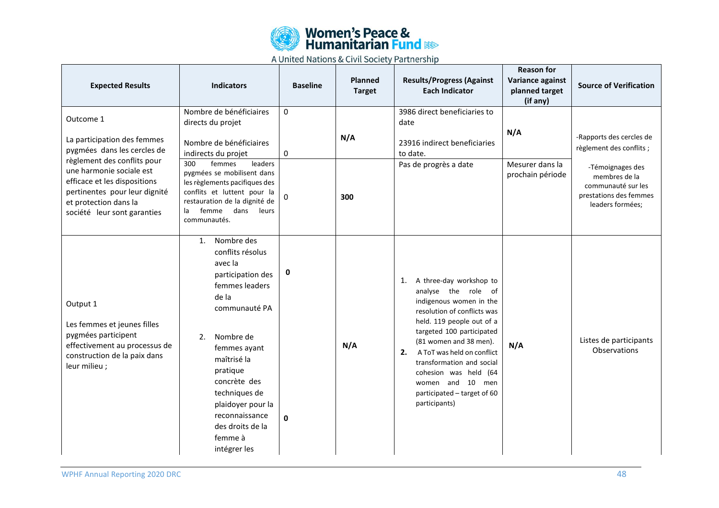![](_page_47_Picture_0.jpeg)

| <b>Expected Results</b>                                                                                                                                                                                                                                     | <b>Indicators</b>                                                                                                                                                                                                                                                                                      | <b>Baseline</b>    | Planned<br><b>Target</b> | <b>Results/Progress (Against</b><br><b>Each Indicator</b>                                                                                                                                                                                                                                                                                                        | <b>Reason for</b><br>Variance against<br>planned target<br>(if any) | <b>Source of Verification</b>                                                                                                                                 |
|-------------------------------------------------------------------------------------------------------------------------------------------------------------------------------------------------------------------------------------------------------------|--------------------------------------------------------------------------------------------------------------------------------------------------------------------------------------------------------------------------------------------------------------------------------------------------------|--------------------|--------------------------|------------------------------------------------------------------------------------------------------------------------------------------------------------------------------------------------------------------------------------------------------------------------------------------------------------------------------------------------------------------|---------------------------------------------------------------------|---------------------------------------------------------------------------------------------------------------------------------------------------------------|
| Outcome 1<br>La participation des femmes<br>pygmées dans les cercles de<br>règlement des conflits pour<br>une harmonie sociale est<br>efficace et les dispositions<br>pertinentes pour leur dignité<br>et protection dans la<br>société leur sont garanties | Nombre de bénéficiaires<br>directs du projet<br>Nombre de bénéficiaires<br>indirects du projet<br>leaders<br>300<br>femmes<br>pygmées se mobilisent dans<br>les règlements pacifiques des<br>conflits et luttent pour la<br>restauration de la dignité de<br>femme dans<br>leurs<br>la<br>communautés. | $\Omega$<br>0<br>0 | N/A<br>300               | 3986 direct beneficiaries to<br>date<br>23916 indirect beneficiaries<br>to date.<br>Pas de progrès a date                                                                                                                                                                                                                                                        | N/A<br>Mesurer dans la<br>prochain période                          | -Rapports des cercles de<br>règlement des conflits ;<br>-Témoignages des<br>membres de la<br>communauté sur les<br>prestations des femmes<br>leaders formées; |
| Output 1<br>Les femmes et jeunes filles<br>pygmées participent<br>effectivement au processus de<br>construction de la paix dans<br>leur milieu;                                                                                                             | Nombre des<br>1.<br>conflits résolus<br>avec la<br>participation des<br>femmes leaders<br>de la<br>communauté PA<br>Nombre de<br>2.<br>femmes ayant<br>maîtrisé la<br>pratique<br>concrète des<br>techniques de<br>plaidoyer pour la<br>reconnaissance<br>des droits de la<br>femme à<br>intégrer les  | $\mathbf 0$<br>0   | N/A                      | A three-day workshop to<br>1.<br>analyse the role of<br>indigenous women in the<br>resolution of conflicts was<br>held. 119 people out of a<br>targeted 100 participated<br>(81 women and 38 men).<br>2.<br>A ToT was held on conflict<br>transformation and social<br>cohesion was held (64<br>women and 10 men<br>participated - target of 60<br>participants) | N/A                                                                 | Listes de participants<br>Observations                                                                                                                        |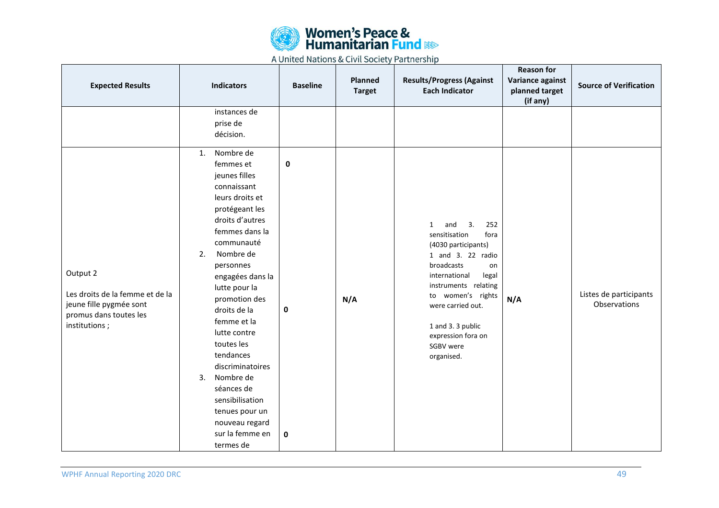![](_page_48_Picture_0.jpeg)

| <b>Expected Results</b>                                                                                           | <b>Indicators</b>                                                                                                                                                                                                                                                                                                                                                                                                                                                            | <b>Baseline</b>               | Planned<br><b>Target</b> | <b>Results/Progress (Against</b><br><b>Each Indicator</b>                                                                                                                                                                                                                                   | <b>Reason for</b><br>Variance against<br>planned target<br>(if any) | <b>Source of Verification</b>          |
|-------------------------------------------------------------------------------------------------------------------|------------------------------------------------------------------------------------------------------------------------------------------------------------------------------------------------------------------------------------------------------------------------------------------------------------------------------------------------------------------------------------------------------------------------------------------------------------------------------|-------------------------------|--------------------------|---------------------------------------------------------------------------------------------------------------------------------------------------------------------------------------------------------------------------------------------------------------------------------------------|---------------------------------------------------------------------|----------------------------------------|
|                                                                                                                   | instances de<br>prise de<br>décision.                                                                                                                                                                                                                                                                                                                                                                                                                                        |                               |                          |                                                                                                                                                                                                                                                                                             |                                                                     |                                        |
| Output 2<br>Les droits de la femme et de la<br>jeune fille pygmée sont<br>promus dans toutes les<br>institutions; | Nombre de<br>$\mathbf{1}$ .<br>femmes et<br>jeunes filles<br>connaissant<br>leurs droits et<br>protégeant les<br>droits d'autres<br>femmes dans la<br>communauté<br>Nombre de<br>2.<br>personnes<br>engagées dans la<br>lutte pour la<br>promotion des<br>droits de la<br>femme et la<br>lutte contre<br>toutes les<br>tendances<br>discriminatoires<br>Nombre de<br>3.<br>séances de<br>sensibilisation<br>tenues pour un<br>nouveau regard<br>sur la femme en<br>termes de | 0<br>$\pmb{0}$<br>$\mathbf 0$ | N/A                      | 3.<br>252<br>$\mathbf{1}$<br>and<br>sensitisation<br>fora<br>(4030 participants)<br>1 and 3. 22 radio<br>broadcasts<br>on<br>international<br>legal<br>instruments relating<br>to women's rights<br>were carried out.<br>1 and 3. 3 public<br>expression fora on<br>SGBV were<br>organised. | N/A                                                                 | Listes de participants<br>Observations |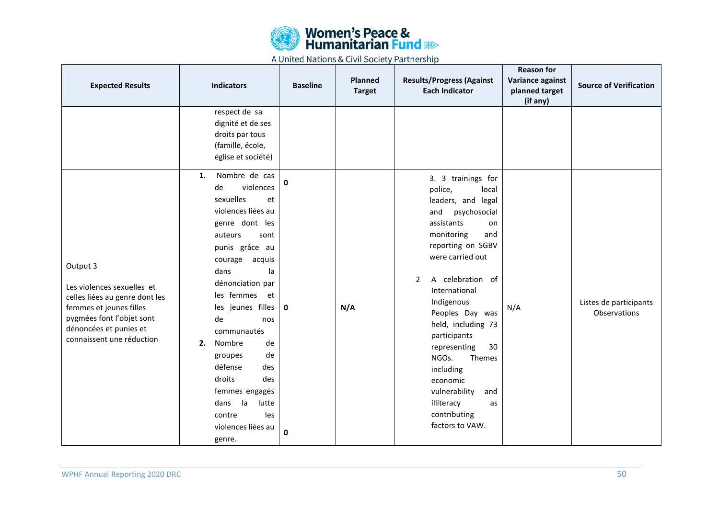![](_page_49_Picture_0.jpeg)

| <b>Expected Results</b>                                                                                                                                                                 | <b>Indicators</b>                                                                                                                                                                                                                                                                                                                                                                            | <b>Baseline</b>  | Planned<br><b>Target</b> | <b>Results/Progress (Against</b><br><b>Each Indicator</b>                                                                                                                                                                                                                                                                                                                                                  | <b>Reason for</b><br>Variance against<br>planned target<br>(if any) | <b>Source of Verification</b>          |
|-----------------------------------------------------------------------------------------------------------------------------------------------------------------------------------------|----------------------------------------------------------------------------------------------------------------------------------------------------------------------------------------------------------------------------------------------------------------------------------------------------------------------------------------------------------------------------------------------|------------------|--------------------------|------------------------------------------------------------------------------------------------------------------------------------------------------------------------------------------------------------------------------------------------------------------------------------------------------------------------------------------------------------------------------------------------------------|---------------------------------------------------------------------|----------------------------------------|
|                                                                                                                                                                                         | respect de sa<br>dignité et de ses<br>droits par tous<br>(famille, école,<br>église et société)<br>Nombre de cas<br>1.<br>violences<br>de                                                                                                                                                                                                                                                    | 0                |                          | 3. 3 trainings for<br>police,<br>local                                                                                                                                                                                                                                                                                                                                                                     |                                                                     |                                        |
| Output 3<br>Les violences sexuelles et<br>celles liées au genre dont les<br>femmes et jeunes filles<br>pygmées font l'objet sont<br>dénoncées et punies et<br>connaissent une réduction | sexuelles<br>et<br>violences liées au<br>genre dont les<br>auteurs<br>sont<br>punis grâce au<br>courage<br>acquis<br>dans<br>la<br>dénonciation par<br>les femmes<br>et<br>les jeunes filles<br>de<br>nos<br>communautés<br>Nombre<br>2.<br>de<br>de<br>groupes<br>défense<br>des<br>droits<br>des<br>femmes engagés<br>la<br>lutte<br>dans<br>contre<br>les<br>violences liées au<br>genre. | $\mathbf 0$<br>0 | N/A                      | leaders, and legal<br>psychosocial<br>and<br>assistants<br>on<br>monitoring<br>and<br>reporting on SGBV<br>were carried out<br>A celebration of<br>$\overline{2}$<br>International<br>Indigenous<br>Peoples Day was<br>held, including 73<br>participants<br>30<br>representing<br>NGOs.<br>Themes<br>including<br>economic<br>vulnerability<br>and<br>illiteracy<br>as<br>contributing<br>factors to VAW. | N/A                                                                 | Listes de participants<br>Observations |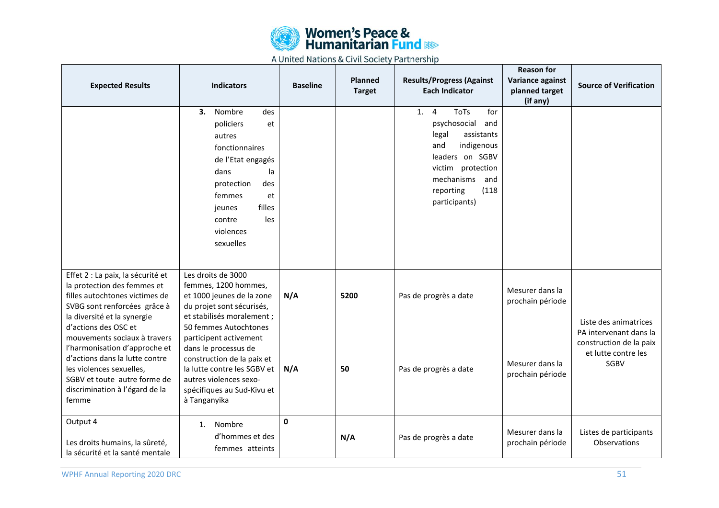![](_page_50_Picture_0.jpeg)

| <b>Expected Results</b>                                                                                                                                                                                                        | <b>Indicators</b>                                                                                                                                                                                            | <b>Baseline</b> | Planned<br><b>Target</b> | <b>Results/Progress (Against</b><br><b>Each Indicator</b>                                                                                                                                                         | <b>Reason for</b><br>Variance against<br>planned target<br>(if any) | <b>Source of Verification</b>                                                                                    |
|--------------------------------------------------------------------------------------------------------------------------------------------------------------------------------------------------------------------------------|--------------------------------------------------------------------------------------------------------------------------------------------------------------------------------------------------------------|-----------------|--------------------------|-------------------------------------------------------------------------------------------------------------------------------------------------------------------------------------------------------------------|---------------------------------------------------------------------|------------------------------------------------------------------------------------------------------------------|
|                                                                                                                                                                                                                                | Nombre<br>3.<br>des<br>policiers<br>et<br>autres<br>fonctionnaires<br>de l'Etat engagés<br>dans<br>la<br>protection<br>des<br>femmes<br>et<br>filles<br>jeunes<br>contre<br>les<br>violences<br>sexuelles    |                 |                          | <b>ToTs</b><br>for<br>1.<br>$\overline{4}$<br>psychosocial<br>and<br>assistants<br>legal<br>indigenous<br>and<br>leaders on SGBV<br>victim protection<br>mechanisms<br>and<br>(118)<br>reporting<br>participants) |                                                                     |                                                                                                                  |
| Effet 2 : La paix, la sécurité et<br>la protection des femmes et<br>filles autochtones victimes de<br>SVBG sont renforcées grâce à<br>la diversité et la synergie                                                              | Les droits de 3000<br>femmes, 1200 hommes,<br>et 1000 jeunes de la zone<br>du projet sont sécurisés,<br>et stabilisés moralement ;                                                                           | N/A             | 5200                     | Pas de progrès a date                                                                                                                                                                                             | Mesurer dans la<br>prochain période                                 |                                                                                                                  |
| d'actions des OSC et<br>mouvements sociaux à travers<br>l'harmonisation d'approche et<br>d'actions dans la lutte contre<br>les violences sexuelles,<br>SGBV et toute autre forme de<br>discrimination à l'égard de la<br>femme | 50 femmes Autochtones<br>participent activement<br>dans le processus de<br>construction de la paix et<br>la lutte contre les SGBV et<br>autres violences sexo-<br>spécifiques au Sud-Kivu et<br>à Tanganyika | N/A             | 50                       | Pas de progrès a date                                                                                                                                                                                             | Mesurer dans la<br>prochain période                                 | Liste des animatrices<br>PA intervenant dans la<br>construction de la paix<br>et lutte contre les<br><b>SGBV</b> |
| Output 4<br>Les droits humains, la sûreté,<br>la sécurité et la santé mentale                                                                                                                                                  | Nombre<br>1.<br>d'hommes et des<br>femmes atteints                                                                                                                                                           | $\mathbf{0}$    | N/A                      | Pas de progrès a date                                                                                                                                                                                             | Mesurer dans la<br>prochain période                                 | Listes de participants<br>Observations                                                                           |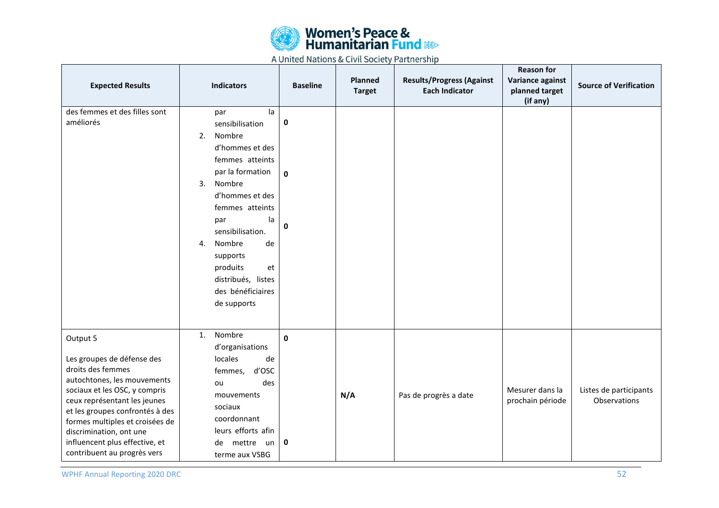![](_page_51_Picture_0.jpeg)

| <b>Expected Results</b>                                                                                                                                                                                                                                                                                                       | <b>Indicators</b>                                                                                                                                                                                                                                                                                           | <b>Baseline</b>        | Planned<br><b>Target</b> | <b>Results/Progress (Against</b><br><b>Each Indicator</b> | <b>Reason for</b><br>Variance against<br>planned target<br>(if any) | <b>Source of Verification</b>          |
|-------------------------------------------------------------------------------------------------------------------------------------------------------------------------------------------------------------------------------------------------------------------------------------------------------------------------------|-------------------------------------------------------------------------------------------------------------------------------------------------------------------------------------------------------------------------------------------------------------------------------------------------------------|------------------------|--------------------------|-----------------------------------------------------------|---------------------------------------------------------------------|----------------------------------------|
| des femmes et des filles sont<br>améliorés                                                                                                                                                                                                                                                                                    | la<br>par<br>sensibilisation<br>Nombre<br>2.<br>d'hommes et des<br>femmes atteints<br>par la formation<br>Nombre<br>3.<br>d'hommes et des<br>femmes atteints<br>la<br>par<br>sensibilisation.<br>Nombre<br>de<br>4.<br>supports<br>produits<br>et<br>distribués, listes<br>des bénéficiaires<br>de supports | 0<br>$\mathbf{0}$<br>0 |                          |                                                           |                                                                     |                                        |
| Output 5<br>Les groupes de défense des<br>droits des femmes<br>autochtones, les mouvements<br>sociaux et les OSC, y compris<br>ceux représentant les jeunes<br>et les groupes confrontés à des<br>formes multiples et croisées de<br>discrimination, ont une<br>influencent plus effective, et<br>contribuent au progrès vers | Nombre<br>1.<br>d'organisations<br>locales<br>de<br>d'OSC<br>femmes,<br>des<br>ou<br>mouvements<br>sociaux<br>coordonnant<br>leurs efforts afin<br>mettre un<br>de<br>terme aux VSBG                                                                                                                        | $\mathbf 0$<br>0       | N/A                      | Pas de progrès a date                                     | Mesurer dans la<br>prochain période                                 | Listes de participants<br>Observations |